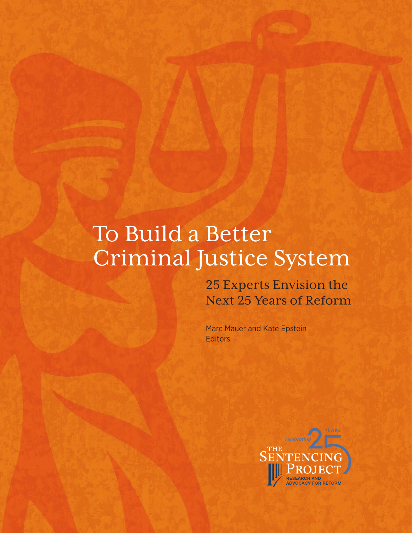# To Build a Better Criminal Justice System

25 Experts Envision the Next 25 Years of Reform

Marc Mauer and Kate Epstein **Editors** 

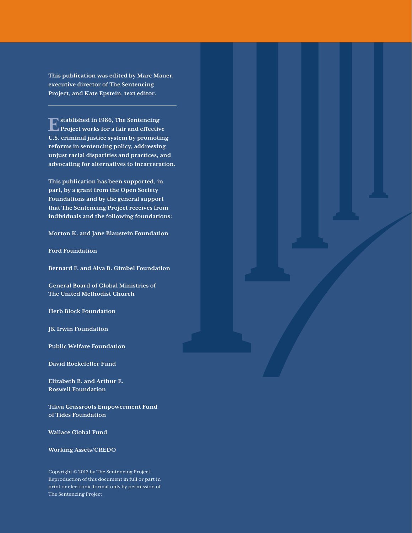**This publication was edited by Marc Mauer, executive director of The Sentencing Project, and Kate Epstein, text editor.**

**Established in 1986, The Sentencing Project works for a fair and effective U.S. criminal justice system by promoting reforms in sentencing policy, addressing unjust racial disparities and practices, and advocating for alternatives to incarceration.** 

**This publication has been supported, in part, by a grant from the Open Society Foundations and by the general support that The Sentencing Project receives from individuals and the following foundations:**

**Morton K. and Jane Blaustein Foundation** 

**Ford Foundation** 

**Bernard F. and Alva B. Gimbel Foundation** 

**General Board of Global Ministries of The United Methodist Church** 

**Herb Block Foundation** 

**JK Irwin Foundation**

**Public Welfare Foundation** 

**David Rockefeller Fund**

**Elizabeth B. and Arthur E. Roswell Foundation**

**Tikva Grassroots Empowerment Fund of Tides Foundation** 

**Wallace Global Fund** 

**Working Assets/CREDO**

Copyright © 2012 by The Sentencing Project. Reproduction of this document in full or part in print or electronic format only by permission of The Sentencing Project.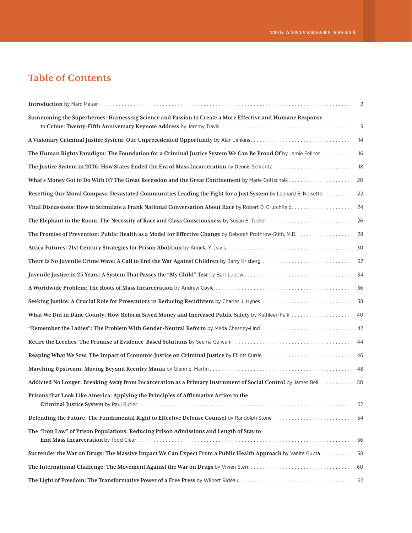### **Table of Contents**

|                                                                                                                | 2  |
|----------------------------------------------------------------------------------------------------------------|----|
| Summoning the Superheroes: Harnessing Science and Passion to Create a More Effective and Humane Response       | 5  |
|                                                                                                                | 14 |
| The Human Rights Paradigm: The Foundation for a Criminal Justice System We Can Be Proud Of by Jamie Fellner    | 16 |
| The Justice System in 2036: How States Ended the Era of Mass Incarceration by Dennis Schrantz                  | 18 |
| What's Money Got to Do With It? The Great Recession and the Great Confinement by Marie Gottschalk              | 20 |
| Resetting Our Moral Compass: Devastated Communities Leading the Fight for a Just System by Leonard E. Noisette | 22 |
|                                                                                                                | 24 |
| The Elephant in the Room: The Necessity of Race and Class Consciousness by Susan B. Tucker                     | 26 |
| The Promise of Prevention: Public Health as a Model for Effective Change by Deborah Prothrow-Stith, M.D.       | 28 |
|                                                                                                                | 30 |
|                                                                                                                | 32 |
|                                                                                                                | 34 |
|                                                                                                                | 36 |
| Seeking Justice: A Crucial Role for Prosecutors in Reducing Recidivism by Charles J. Hynes                     | 38 |
| What We Did in Dane County: How Reform Saved Money and Increased Public Safety by Kathleen Falk                | 40 |
| "Remember the Ladies": The Problem With Gender-Neutral Reform by Meda Chesney-Lind                             | 42 |
|                                                                                                                | 44 |
|                                                                                                                | 46 |
|                                                                                                                | 48 |
| Addicted No Longer: Breaking Away from Incarceration as a Primary Instrument of Social Control by James Bell.  | 50 |
| Prisons that Look Like America: Applying the Principles of Affirmative Action to the                           | 52 |
| Defending the Future: The Fundamental Right to Effective Defense Counsel by Randolph Stone                     | 54 |
| The "Iron Law" of Prison Populations: Reducing Prison Admissions and Length of Stay to                         | 56 |
| Surrender the War on Drugs: The Massive Impact We Can Expect From a Public Health Approach by Vanita Gupta     | 58 |
|                                                                                                                | 60 |
|                                                                                                                | 62 |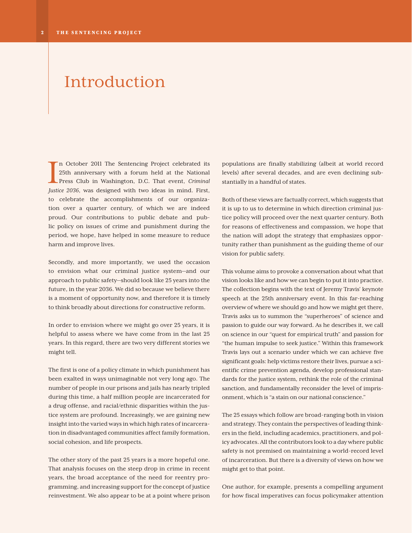# Introduction

In October 2011 The Sentencing Project celebrated its 25th anniversary with a forum held at the National Press Club in Washington, D.C. That event, *Criminal Justice 2036*, was designed with two ideas in mind. First, n October 2011 The Sentencing Project celebrated its 25th anniversary with a forum held at the National Press Club in Washington, D.C. That event, *Criminal*  to celebrate the accomplishments of our organization over a quarter century, of which we are indeed proud. Our contributions to public debate and public policy on issues of crime and punishment during the period, we hope, have helped in some measure to reduce harm and improve lives.

Secondly, and more importantly, we used the occasion to envision what our criminal justice system—and our approach to public safety—should look like 25 years into the future, in the year 2036. We did so because we believe there is a moment of opportunity now, and therefore it is timely to think broadly about directions for constructive reform.

In order to envision where we might go over 25 years, it is helpful to assess where we have come from in the last 25 years. In this regard, there are two very different stories we might tell.

The first is one of a policy climate in which punishment has been exalted in ways unimaginable not very long ago. The number of people in our prisons and jails has nearly tripled during this time, a half million people are incarcerated for a drug offense, and racial/ethnic disparities within the justice system are profound. Increasingly, we are gaining new insight into the varied ways in which high rates of incarceration in disadvantaged communities affect family formation, social cohesion, and life prospects.

The other story of the past 25 years is a more hopeful one. That analysis focuses on the steep drop in crime in recent years, the broad acceptance of the need for reentry programming, and increasing support for the concept of justice reinvestment. We also appear to be at a point where prison populations are finally stabilizing (albeit at world record levels) after several decades, and are even declining substantially in a handful of states.

Both of these views are factually correct, which suggests that it is up to us to determine in which direction criminal justice policy will proceed over the next quarter century. Both for reasons of effectiveness and compassion, we hope that the nation will adopt the strategy that emphasizes opportunity rather than punishment as the guiding theme of our vision for public safety.

This volume aims to provoke a conversation about what that vision looks like and how we can begin to put it into practice. The collection begins with the text of Jeremy Travis' keynote speech at the 25th anniversary event. In this far-reaching overview of where we should go and how we might get there, Travis asks us to summon the "superheroes" of science and passion to guide our way forward. As he describes it, we call on science in our "quest for empirical truth" and passion for "the human impulse to seek justice." Within this framework Travis lays out a scenario under which we can achieve five significant goals: help victims restore their lives, pursue a scientific crime prevention agenda, develop professional standards for the justice system, rethink the role of the criminal sanction, and fundamentally reconsider the level of imprisonment, which is "a stain on our national conscience."

The 25 essays which follow are broad-ranging both in vision and strategy. They contain the perspectives of leading thinkers in the field, including academics, practitioners, and policy advocates. All the contributors look to a day where public safety is not premised on maintaining a world-record level of incarceration. But there is a diversity of views on how we might get to that point.

One author, for example, presents a compelling argument for how fiscal imperatives can focus policymaker attention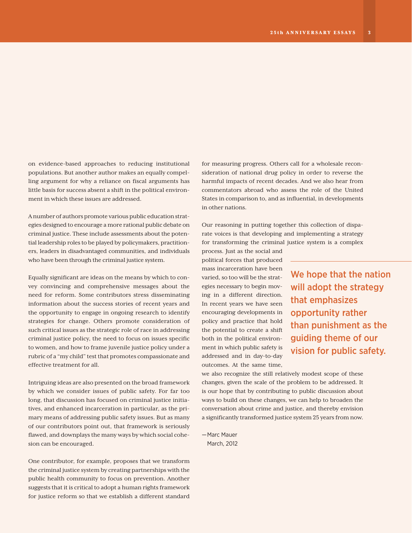on evidence-based approaches to reducing institutional populations. But another author makes an equally compelling argument for why a reliance on fiscal arguments has little basis for success absent a shift in the political environment in which these issues are addressed.

A number of authors promote various public education strategies designed to encourage a more rational public debate on criminal justice. These include assessments about the potential leadership roles to be played by policymakers, practitioners, leaders in disadvantaged communities, and individuals who have been through the criminal justice system.

Equally significant are ideas on the means by which to convey convincing and comprehensive messages about the need for reform. Some contributors stress disseminating information about the success stories of recent years and the opportunity to engage in ongoing research to identify strategies for change. Others promote consideration of such critical issues as the strategic role of race in addressing criminal justice policy, the need to focus on issues specific to women, and how to frame juvenile justice policy under a rubric of a "my child" test that promotes compassionate and effective treatment for all.

Intriguing ideas are also presented on the broad framework by which we consider issues of public safety. For far too long, that discussion has focused on criminal justice initiatives, and enhanced incarceration in particular, as the primary means of addressing public safety issues. But as many of our contributors point out, that framework is seriously flawed, and downplays the many ways by which social cohesion can be encouraged.

One contributor, for example, proposes that we transform the criminal justice system by creating partnerships with the public health community to focus on prevention. Another suggests that it is critical to adopt a human rights framework for justice reform so that we establish a different standard for measuring progress. Others call for a wholesale reconsideration of national drug policy in order to reverse the harmful impacts of recent decades. And we also hear from commentators abroad who assess the role of the United States in comparison to, and as influential, in developments in other nations.

Our reasoning in putting together this collection of disparate voices is that developing and implementing a strategy for transforming the criminal justice system is a complex

process. Just as the social and political forces that produced mass incarceration have been varied, so too will be the strategies necessary to begin moving in a different direction. In recent years we have seen encouraging developments in policy and practice that hold the potential to create a shift both in the political environment in which public safety is addressed and in day-to-day outcomes. At the same time,

We hope that the nation will adopt the strategy that emphasizes opportunity rather than punishment as the guiding theme of our vision for public safety.

we also recognize the still relatively modest scope of these changes, given the scale of the problem to be addressed. It is our hope that by contributing to public discussion about ways to build on these changes, we can help to broaden the conversation about crime and justice, and thereby envision a significantly transformed justice system 25 years from now.

—Marc Mauer March, 2012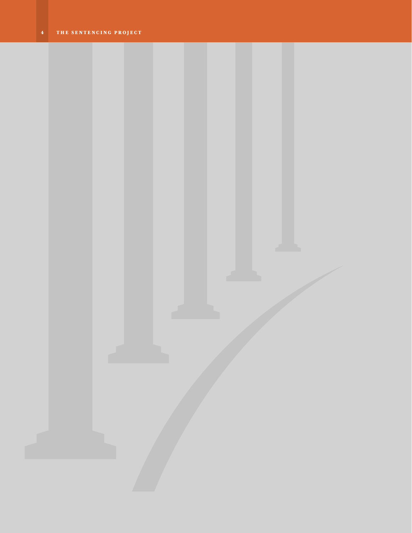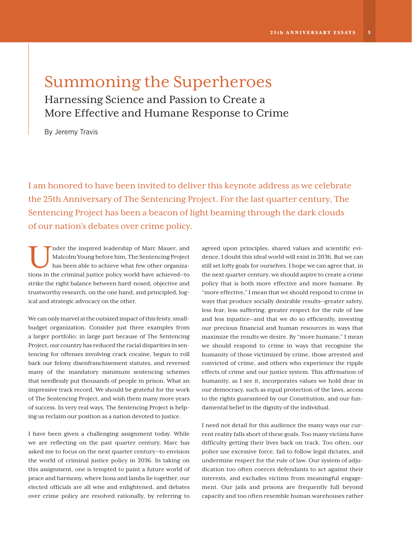# Summoning the Superheroes

Harnessing Science and Passion to Create a More Effective and Humane Response to Crime

By Jeremy Travis

I am honored to have been invited to deliver this keynote address as we celebrate the 25th Anniversary of The Sentencing Project. For the last quarter century, The Sentencing Project has been a beacon of light beaming through the dark clouds of our nation's debates over crime policy.

nder the inspired leadership of Marc Mauer, and Malcolm Young before him, The Sentencing Project has been able to achieve what few other organizations in the criminal justice policy world have achieved—to strike the right balance between hard-nosed, objective and trustworthy research, on the one hand, and principled, logical and strategic advocacy on the other.

We can only marvel at the outsized impact of this feisty, smallbudget organization. Consider just three examples from a larger portfolio: in large part because of The Sentencing Project, our country has reduced the racial disparities in sentencing for offenses involving crack cocaine, begun to roll back our felony disenfranchisement statutes, and reversed many of the mandatory minimum sentencing schemes that needlessly put thousands of people in prison. What an impressive track record. We should be grateful for the work of The Sentencing Project, and wish them many more years of success. In very real ways, The Sentencing Project is helping us reclaim our position as a nation devoted to justice.

I have been given a challenging assignment today. While we are reflecting on the past quarter century, Marc has asked me to focus on the next quarter century—to envision the world of criminal justice policy in 2036. In taking on this assignment, one is tempted to paint a future world of peace and harmony, where lions and lambs lie together, our elected officials are all wise and enlightened, and debates over crime policy are resolved rationally, by referring to agreed upon principles, shared values and scientific evidence. I doubt this ideal world will exist in 2036. But we can still set lofty goals for ourselves. I hope we can agree that, in the next quarter century, we should aspire to create a crime policy that is both more effective and more humane. By "more effective," I mean that we should respond to crime in ways that produce socially desirable results—greater safety, less fear, less suffering, greater respect for the rule of law and less injustice—and that we do so efficiently, investing our precious financial and human resources in ways that maximize the results we desire. By "more humane," I mean we should respond to crime in ways that recognize the humanity of those victimized by crime, those arrested and convicted of crime, and others who experience the ripple effects of crime and our justice system. This affirmation of humanity, as I see it, incorporates values we hold dear in our democracy, such as equal protection of the laws, access to the rights guaranteed by our Constitution, and our fundamental belief in the dignity of the individual.

I need not detail for this audience the many ways our current reality falls short of these goals. Too many victims have difficulty getting their lives back on track. Too often, our police use excessive force, fail to follow legal dictates, and undermine respect for the rule of law. Our system of adjudication too often coerces defendants to act against their interests, and excludes victims from meaningful engagement. Our jails and prisons are frequently full beyond capacity and too often resemble human warehouses rather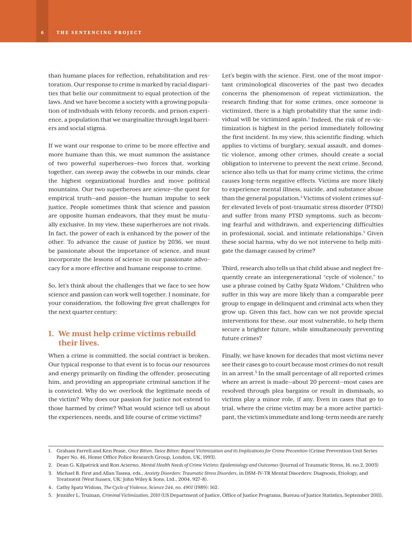than humane places for reflection, rehabilitation and restoration. Our response to crime is marked by racial disparities that belie our commitment to equal protection of the laws. And we have become a society with a growing population of individuals with felony records, and prison experience, a population that we marginalize through legal barriers and social stigma.

If we want our response to crime to be more effective and more humane than this, we must summon the assistance of two powerful superheroes—two forces that, working together, can sweep away the cobwebs in our minds, clear the highest organizational hurdles and move political mountains. Our two superheroes are *science*—the quest for empirical truth—and *passion*—the human impulse to seek justice. People sometimes think that science and passion are opposite human endeavors, that they must be mutually exclusive. In my view, these superheroes are not rivals. In fact, the power of each is enhanced by the power of the other. To advance the cause of justice by 2036, we must be passionate about the importance of science, and must incorporate the lessons of science in our passionate advocacy for a more effective and humane response to crime.

So, let's think about the challenges that we face to see how science and passion can work well together. I nominate, for your consideration, the following five great challenges for the next quarter century:

### **1. We must help crime victims rebuild their lives.**

When a crime is committed, the social contract is broken. Our typical response to that event is to focus our resources and energy primarily on finding the offender, prosecuting him, and providing an appropriate criminal sanction if he is convicted. Why do we overlook the legitimate needs of the victim? Why does our passion for justice not extend to those harmed by crime? What would science tell us about the experiences, needs, and life course of crime victims?

Let's begin with the science. First, one of the most important criminological discoveries of the past two decades concerns the phenomenon of repeat victimization, the research finding that for some crimes, once someone is victimized, there is a high probability that the same individual will be victimized again.<sup>1</sup> Indeed, the risk of re-victimization is highest in the period immediately following the first incident. In my view, this scientific finding, which applies to victims of burglary, sexual assault, and domestic violence, among other crimes, should create a social obligation to intervene to prevent the next crime. Second, science also tells us that for many crime victims, the crime causes long-term negative effects. Victims are more likely to experience mental illness, suicide, and substance abuse than the general population.<sup>2</sup> Victims of violent crimes suffer elevated levels of post-traumatic stress disorder (PTSD) and suffer from many PTSD symptoms, such as becoming fearful and withdrawn, and experiencing difficulties in professional, social, and intimate relationships.<sup>3</sup> Given these social harms, why do we not intervene to help mitigate the damage caused by crime?

Third, research also tells us that child abuse and neglect frequently create an intergenerational "cycle of violence," to use a phrase coined by Cathy Spatz Widom.<sup>4</sup> Children who suffer in this way are more likely than a comparable peer group to engage in delinquent and criminal acts when they grow up. Given this fact, how can we not provide special interventions for these, our most vulnerable, to help them secure a brighter future, while simultaneously preventing future crimes?

Finally, we have known for decades that most victims never see their cases go to court because most crimes do not result in an arrest.<sup>5</sup> In the small percentage of all reported crimes where an arrest is made—about 20 percent—most cases are resolved through plea bargains or result in dismissals, so victims play a minor role, if any. Even in cases that go to trial, where the crime victim may be a more active participant, the victim's immediate and long-term needs are rarely

<sup>1.</sup> Graham Farrell and Ken Pease, *Once Bitten, Twice Bitten: Repeat Victimization and its Implications for Crime Prevention* (Crime Prevention Unit Series Paper No. 46, Home Office Police Research Group, London, UK, 1993).

<sup>2.</sup> Dean G. Kilpatrick and Ron Acierno, *Mental Health Needs of Crime Victims: Epidemiology and Outcomes* (Journal of Traumatic Stress, 16, no.2, 2003)

<sup>3.</sup> Michael B. First and Allan Tasma, eds., *Anxiety Disorders: Traumatic Stress Disorders*, in DSM-IV-TR Mental Disorders: Diagnosis, Etiology, and

Treatment (West Sussex, UK: John Wiley & Sons, Ltd., 2004, 927-8).

<sup>4.</sup> Cathy Spatz Widom, *The Cycle of Violence, Science 244, no. 4901* (1989): 162.

<sup>5.</sup> Jennifer L. Truman, *Criminal Victimization, 2010* (US Department of Justice, Office of Justice Programs, Bureau of Justice Statistics, September 2011).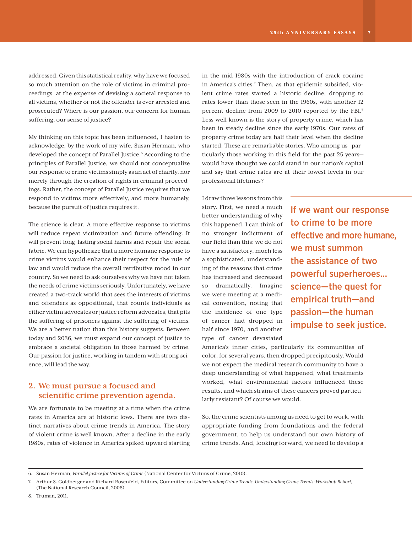addressed. Given this statistical reality, why have we focused so much attention on the role of victims in criminal proceedings, at the expense of devising a societal response to all victims, whether or not the offender is ever arrested and prosecuted? Where is our passion, our concern for human suffering, our sense of justice?

My thinking on this topic has been influenced, I hasten to acknowledge, by the work of my wife, Susan Herman, who developed the concept of Parallel Justice.<sup>6</sup> According to the principles of Parallel Justice, we should not conceptualize our response to crime victims simply as an act of charity, nor merely through the creation of rights in criminal proceedings. Rather, the concept of Parallel Justice requires that we respond to victims more effectively, and more humanely, because the pursuit of justice requires it.

The science is clear. A more effective response to victims will reduce repeat victimization and future offending. It will prevent long-lasting social harms and repair the social fabric. We can hypothesize that a more humane response to crime victims would enhance their respect for the rule of law and would reduce the overall retributive mood in our country. So we need to ask ourselves why we have not taken the needs of crime victims seriously. Unfortunately, we have created a two-track world that sees the interests of victims and offenders as oppositional, that counts individuals as either victim advocates or justice reform advocates, that pits the suffering of prisoners against the suffering of victims. We are a better nation than this history suggests. Between today and 2036, we must expand our concept of justice to embrace a societal obligation to those harmed by crime. Our passion for justice, working in tandem with strong science, will lead the way.

### **2. We must pursue a focused and scientific crime prevention agenda.**

We are fortunate to be meeting at a time when the crime rates in America are at historic lows. There are two distinct narratives about crime trends in America. The story of violent crime is well known. After a decline in the early 1980s, rates of violence in America spiked upward starting

in the mid-1980s with the introduction of crack cocaine in America's cities.<sup>7</sup> Then, as that epidemic subsided, violent crime rates started a historic decline, dropping to rates lower than those seen in the 1960s, with another 12 percent decline from 2009 to 2010 reported by the FBI.<sup>8</sup> Less well known is the story of property crime, which has been in steady decline since the early 1970s. Our rates of property crime today are half their level when the decline started. These are remarkable stories. Who among us—particularly those working in this field for the past 25 years would have thought we could stand in our nation's capital and say that crime rates are at their lowest levels in our professional lifetimes?

I draw three lessons from this story. First, we need a much better understanding of why this happened. I can think of no stronger indictment of our field than this: we do not have a satisfactory, much less a sophisticated, understanding of the reasons that crime has increased and decreased so dramatically. Imagine we were meeting at a medical convention, noting that the incidence of one type of cancer had dropped in half since 1970, and another type of cancer devastated

If we want our response to crime to be more effective and more humane, we must summon the assistance of two powerful superheroes… science—the quest for empirical truth—and passion—the human impulse to seek justice.

America's inner cities, particularly its communities of color, for several years, then dropped precipitously. Would we not expect the medical research community to have a deep understanding of what happened, what treatments worked, what environmental factors influenced these results, and which strains of these cancers proved particularly resistant? Of course we would.

So, the crime scientists among us need to get to work, with appropriate funding from foundations and the federal government, to help us understand our own history of crime trends. And, looking forward, we need to develop a

8. Truman, 2011.

<sup>6.</sup> Susan Herman, *Parallel Justice for Victims of Crime* (National Center for Victims of Crime, 2010).

<sup>7.</sup> Arthur S. Goldberger and Richard Rosenfeld, Editors, Committee on *Understanding Crime Trends, Understanding Crime Trends: Workshop Report,* (The National Research Council, 2008).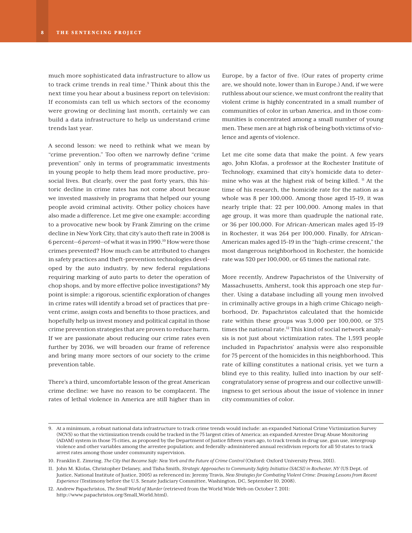much more sophisticated data infrastructure to allow us to track crime trends in real time.<sup>9</sup> Think about this the next time you hear about a business report on television: If economists can tell us which sectors of the economy were growing or declining last month, certainly we can build a data infrastructure to help us understand crime trends last year.

A second lesson: we need to rethink what we mean by "crime prevention." Too often we narrowly define "crime prevention" only in terms of programmatic investments in young people to help them lead more productive, prosocial lives. But clearly, over the past forty years, this historic decline in crime rates has not come about because we invested massively in programs that helped our young people avoid criminal activity. Other policy choices have also made a difference. Let me give one example: according to a provocative new book by Frank Zimring on the crime decline in New York City, that city's auto theft rate in 2008 is 6 percent—*6 percent*—of what it was in 1990.10 How were those crimes prevented? How much can be attributed to changes in safety practices and theft-prevention technologies developed by the auto industry, by new federal regulations requiring marking of auto parts to deter the operation of chop shops, and by more effective police investigations? My point is simple: a rigorous, scientific exploration of changes in crime rates will identify a broad set of practices that prevent crime, assign costs and benefits to those practices, and hopefully help us invest money and political capital in those crime prevention strategies that are proven to reduce harm. If we are passionate about reducing our crime rates even further by 2036, we will broaden our frame of reference and bring many more sectors of our society to the crime prevention table.

There's a third, uncomfortable lesson of the great American crime decline: we have no reason to be complacent. The rates of lethal violence in America are still higher than in Europe, by a factor of five. (Our rates of property crime are, we should note, lower than in Europe.) And, if we were ruthless about our science, we must confront the reality that violent crime is highly concentrated in a small number of communities of color in urban America, and in those communities is concentrated among a small number of young men. These men are at high risk of being both victims of violence and agents of violence.

Let me cite some data that make the point. A few years ago, John Klofas, a professor at the Rochester Institute of Technology, examined that city's homicide data to determine who was at the highest risk of being killed. <sup>11</sup> At the time of his research, the homicide rate for the nation as a whole was 8 per 100,000. Among those aged 15–19, it was nearly triple that: 22 per 100,000. Among males in that age group, it was more than quadruple the national rate, or 36 per 100,000. For African-American males aged 15–19 in Rochester, it was 264 per 100,000. Finally, for African-American males aged 15–19 in the "high-crime crescent," the most dangerous neighborhood in Rochester, the homicide rate was 520 per 100,000, or 65 times the national rate.

More recently, Andrew Papachristos of the University of Massachusetts, Amherst, took this approach one step further. Using a database including all young men involved in criminally active groups in a high crime Chicago neighborhood, Dr. Papachristos calculated that the homicide rate within these groups was 3,000 per 100,000, or 375 times the national rate.<sup>12</sup> This kind of social network analysis is not just about victimization rates. The 1,593 people included in Papachristos' analysis were also responsible for 75 percent of the homicides in this neighborhood. This rate of killing constitutes a national crisis, yet we turn a blind eye to this reality, lulled into inaction by our selfcongratulatory sense of progress and our collective unwillingness to get serious about the issue of violence in inner city communities of color.

<sup>9.</sup> At a minimum, a robust national data infrastructure to track crime trends would include: an expanded National Crime Victimization Survey (NCVS) so that the victimization trends could be tracked in the 75 largest cities of America; an expanded Arrestee Drug Abuse Monitoring (ADAM) system in those 75 cities, as proposed by the Department of Justice fifteen years ago, to track trends in drug use, gun use, intergroup violence and other variables among the arrestee population; and federally-administered annual recidivism reports for all 50 states to track arrest rates among those under community supervision.

<sup>10.</sup> Franklin E. Zimring, *The City that Became Safe: New York and the Future of Crime Control* (Oxford: Oxford University Press, 2011).

<sup>11.</sup> John M. Klofas, Christopher Delaney, and Tisha Smith, *Strategic Approaches to Community Safety Initiative (SACSI) in Rochester, NY* (US Dept. of Justice, National Institute of Justice, 2005) as referenced in: Jeremy Travis, *New Strategies for Combating Violent Crime: Drawing Lessons from Recent Experience* (Testimony before the U.S. Senate Judiciary Committee, Washington, DC, September 10, 2008).

<sup>12.</sup> Andrew Papachristos, *The Small World of Murder* (retrieved from the World Wide Web on October 7, 2011: http://www.papachristos.org/Small\_World.html).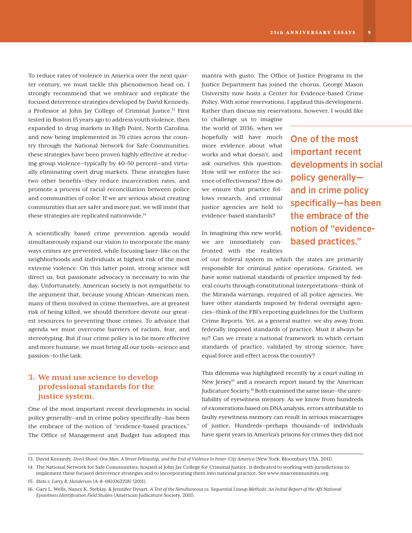To reduce rates of violence in America over the next quarter century, we must tackle this phenomenon head on. I strongly recommend that we embrace and replicate the focused deterrence strategies developed by David Kennedy, a Professor at John Jay College of Criminal Justice.13 First tested in Boston 15 years ago to address youth violence, then expanded to drug markets in High Point, North Carolina, and now being implemented in 70 cities across the country through the National Network for Safe Communities, these strategies have been proven highly effective at reducing group violence—typically by 40–50 percent—and virtually eliminating overt drug markets. These strategies have two other benefits—they reduce incarceration rates, and promote a process of racial reconciliation between police and communities of color. If we are serious about creating communities that are safer and more just, we will insist that these strategies are replicated nationwide.<sup>14</sup>

A scientifically based crime prevention agenda would simultaneously expand our vision to incorporate the many ways crimes are prevented, while focusing laser-like on the neighborhoods and individuals at highest risk of the most extreme violence. On this latter point, strong science will direct us, but passionate advocacy is necessary to win the day. Unfortunately, American society is not sympathetic to the argument that, because young African-American men, many of them involved in crime themselves, are at greatest risk of being killed, we should therefore devote our greatest resources to preventing those crimes. To advance that agenda we must overcome barriers of racism, fear, and stereotyping. But if our crime policy is to be more effective and more humane, we must bring all our tools—science and passion—to the task.

### **3. We must use science to develop professional standards for the justice system.**

One of the most important recent developments in social policy generally—and in crime policy specifically—has been the embrace of the notion of "evidence-based practices." The Office of Management and Budget has adopted this mantra with gusto. The Office of Justice Programs in the Justice Department has joined the chorus. George Mason University now hosts a Center for Evidence-based Crime Policy. With some reservations, I applaud this development. Rather than discuss my reservations, however, I would like

to challenge us to imagine the world of 2036, when we hopefully will have much more evidence about what works and what doesn't, and ask ourselves this question: How will we enforce the science of effectiveness? How do we ensure that practice follows research, and criminal justice agencies are held to evidence-based standards?

One of the most important recent developments in social policy generally and in crime policy specifically—has been the embrace of the notion of "evidencebased practices."

In imagining this new world, we are immediately confronted with the realities

of our federal system in which the states are primarily responsible for criminal justice operations. Granted, we have some national standards of practice imposed by federal courts through constitutional interpretations—think of the Miranda warnings, required of all police agencies. We have other standards imposed by federal oversight agencies—think of the FBI's reporting guidelines for the Uniform Crime Reports. Yet, as a general matter, we shy away from federally imposed standards of practice. Must it always be so? Can we create a national framework in which certain standards of practice, validated by strong science, have equal force and effect across the country?

This dilemma was highlighted recently by a court ruling in New Jersey<sup>15</sup> and a research report issued by the American Judicature Society.16 Both examined the same issue—the unreliability of eyewitness memory. As we know from hundreds of exonerations based on DNA analysis, errors attributable to faulty eyewitness memory can result in serious miscarriages of justice. Hundreds—perhaps thousands—of individuals have spent years in America's prisons for crimes they did not

<sup>13.</sup> David Kennedy, *Don't Shoot: One Man, A Street Fellowship, and the End of Violence in Inner-City America* (New York: Bloombury USA, 2011).

<sup>14.</sup> The National Network for Safe Communities, housed at John Jay College for Criminal Justice, is dedicated to working with jurisdictions to implement these focused deterrence strategies and to incorporating them into national practice. See www.nnscommunities.org.

<sup>15.</sup> *State v. Larry R. Henderson* (A-8-08)(062218) (2011).

<sup>16.</sup> Gary L. Wells, Nancy K. Steblay, & Jennifer Dysart, *A Test of the Simultaneous vs. Sequential Lineup Methods: An Initial Report of the AJS National Eyewitness Identification Field Studies* (American Judicature Society, 2011).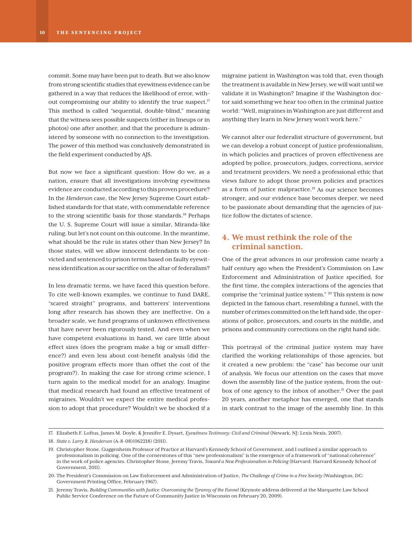commit. Some may have been put to death. But we also know from strong scientific studies that eyewitness evidence can be gathered in a way that reduces the likelihood of error, without compromising our ability to identify the true suspect.<sup>17</sup> This method is called "sequential, double-blind," meaning that the witness sees possible suspects (either in lineups or in photos) one after another, and that the procedure is administered by someone with no connection to the investigation. The power of this method was conclusively demonstrated in the field experiment conducted by AJS.

But now we face a significant question: How do we, as a nation, ensure that all investigations involving eyewitness evidence are conducted according to this proven procedure? In the *Henderson* case, the New Jersey Supreme Court established standards for that state, with commendable reference to the strong scientific basis for those standards.<sup>18</sup> Perhaps the U. S. Supreme Court will issue a similar, Miranda-like ruling, but let's not count on this outcome. In the meantime, what should be the rule in states other than New Jersey? In those states, will we allow innocent defendants to be convicted and sentenced to prison terms based on faulty eyewitness identification as our sacrifice on the altar of federalism?

In less dramatic terms, we have faced this question before. To cite well-known examples, we continue to fund DARE, "scared straight" programs, and batterers' interventions long after research has shown they are ineffective. On a broader scale, we fund programs of unknown effectiveness that have never been rigorously tested. And even when we have competent evaluations in hand, we care little about effect sizes (does the program make a big or small difference?) and even less about cost-benefit analysis (did the positive program effects more than offset the cost of the program?). In making the case for strong crime science, I turn again to the medical model for an analogy. Imagine that medical research had found an effective treatment of migraines. Wouldn't we expect the entire medical profession to adopt that procedure? Wouldn't we be shocked if a

migraine patient in Washington was told that, even though the treatment is available in New Jersey, we will wait until we validate it in Washington? Imagine if the Washington doctor said something we hear too often in the criminal justice world: "Well, migraines in Washington are just different and anything they learn in New Jersey won't work here."

We cannot alter our federalist structure of government, but we can develop a robust concept of justice professionalism, in which policies and practices of proven effectiveness are adopted by police, prosecutors, judges, corrections, service and treatment providers. We need a professional ethic that views failure to adopt those proven policies and practices as a form of justice malpractice.<sup>19</sup> As our science becomes stronger, and our evidence base becomes deeper, we need to be passionate about demanding that the agencies of justice follow the dictates of science.

### **4. We must rethink the role of the criminal sanction.**

One of the great advances in our profession came nearly a half century ago when the President's Commission on Law Enforcement and Administration of Justice specified, for the first time, the complex interactions of the agencies that comprise the "criminal justice system." 20 This system is now depicted in the famous chart, resembling a funnel, with the number of crimes committed on the left hand side, the operations of police, prosecutors, and courts in the middle, and prisons and community corrections on the right hand side.

This portrayal of the criminal justice system may have clarified the working relationships of those agencies, but it created a new problem: the "case" has become our unit of analysis. We focus our attention on the cases that move down the assembly line of the justice system, from the outbox of one agency to the inbox of another.<sup>21</sup> Over the past 20 years, another metaphor has emerged, one that stands in stark contrast to the image of the assembly line. In this

<sup>17.</sup> Elizabeth F. Loftus, James M. Doyle, & Jennifer E. Dysart, *Eyewitness Testimony: Civil and Criminal* (Newark, NJ: Lexis Nexis, 2007).

<sup>18.</sup> *State v. Larry R. Henderson* (A-8-08)(062218) (2011).

<sup>19.</sup> Christopher Stone, Guggenheim Professor of Practice at Harvard's Kennedy School of Government, and I outlined a similar approach to professionalism in policing. One of the cornerstones of this "new professionalism" is the emergence of a framework of "national coherence" in the work of police agencies. Christopher Stone, Jeremy Travis, *Toward a New Professionalism in Policing* (Harvard: Harvard Kennedy School of Government, 2011).

<sup>20.</sup> The President's Commission on Law Enforcement and Administration of Justice, *The Challenge of Crime in a Free Society* (Washington, DC: Government Printing Office, February 1967).

<sup>21.</sup> Jeremy Travis, *Building Communities with Justice: Overcoming the Tyranny of the Funnel* (Keynote address delivered at the Marquette Law School Public Service Conference on the Future of Community Justice in Wisconsin on February 20, 2009).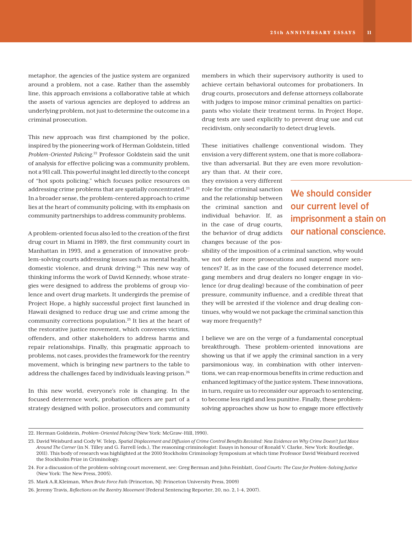metaphor, the agencies of the justice system are organized around a problem, not a case. Rather than the assembly line, this approach envisions a collaborative table at which the assets of various agencies are deployed to address an underlying problem, not just to determine the outcome in a criminal prosecution.

This new approach was first championed by the police, inspired by the pioneering work of Herman Goldstein, titled *Problem-Oriented Policing*. 22 Professor Goldstein said the unit of analysis for effective policing was a community problem, not a 911 call. This powerful insight led directly to the concept of "hot spots policing," which focuses police resources on addressing crime problems that are spatially concentrated.<sup>23</sup> In a broader sense, the problem-centered approach to crime lies at the heart of community policing, with its emphasis on community partnerships to address community problems.

A problem-oriented focus also led to the creation of the first drug court in Miami in 1989, the first community court in Manhattan in 1993, and a generation of innovative problem-solving courts addressing issues such as mental health, domestic violence, and drunk driving. $24$  This new way of thinking informs the work of David Kennedy, whose strategies were designed to address the problems of group violence and overt drug markets. It undergirds the premise of Project Hope, a highly successful project first launched in Hawaii designed to reduce drug use and crime among the community corrections population.25 It lies at the heart of the restorative justice movement, which convenes victims, offenders, and other stakeholders to address harms and repair relationships. Finally, this pragmatic approach to problems, not cases, provides the framework for the reentry movement, which is bringing new partners to the table to address the challenges faced by individuals leaving prison.<sup>26</sup>

In this new world, everyone's role is changing. In the focused deterrence work, probation officers are part of a strategy designed with police, prosecutors and community members in which their supervisory authority is used to achieve certain behavioral outcomes for probationers. In drug courts, prosecutors and defense attorneys collaborate with judges to impose minor criminal penalties on participants who violate their treatment terms. In Project Hope, drug tests are used explicitly to prevent drug use and cut recidivism, only secondarily to detect drug levels.

These initiatives challenge conventional wisdom. They envision a very different system, one that is more collaborative than adversarial. But they are even more revolution-

ary than that. At their core, they envision a very different role for the criminal sanction and the relationship between the criminal sanction and individual behavior. If, as in the case of drug courts, the behavior of drug addicts changes because of the pos-

### We should consider our current level of imprisonment a stain on our national conscience.

sibility of the imposition of a criminal sanction, why would we not defer more prosecutions and suspend more sentences? If, as in the case of the focused deterrence model, gang members and drug dealers no longer engage in violence (or drug dealing) because of the combination of peer pressure, community influence, and a credible threat that they will be arrested if the violence and drug dealing continues, why would we not package the criminal sanction this way more frequently?

I believe we are on the verge of a fundamental conceptual breakthrough. These problem-oriented innovations are showing us that if we apply the criminal sanction in a very parsimonious way, in combination with other interventions, we can reap enormous benefits in crime reduction and enhanced legitimacy of the justice system. These innovations, in turn, require us to reconsider our approach to sentencing, to become less rigid and less punitive. Finally, these problemsolving approaches show us how to engage more effectively

<sup>22.</sup> Herman Goldstein, *Problem-Oriented Policing* (New York: McGraw-Hill, 1990).

<sup>23.</sup> David Weisburd and Cody W. Telep, *Spatial Displacement and Diffusion of Crime Control Benefits Revisited: New Evidence on Why Crime Doesn't Just Move Around The Corner* (in N. Tilley and G. Farrell (eds.), The reasoning criminologist: Essays in honour of Ronald V. Clarke, New York: Routledge, 2011). This body of research was highlighted at the 2010 Stockholm Criminology Symposium at which time Professor David Weisburd received the Stockholm Prize in Criminology.

<sup>24.</sup> For a discussion of the problem-solving court movement, see: Greg Berman and John Feinblatt, *Good Courts: The Case for Problem-Solving Justice* (New York: The New Press, 2005).

<sup>25.</sup> Mark A.R.Kleiman, *When Brute Force Fails* (Princeton, NJ: Princeton University Press, 2009)

<sup>26.</sup> Jeremy Travis, *Reflections on the Reentry Movement* (Federal Sentencing Reporter, 20, no. 2, 1-4, 2007).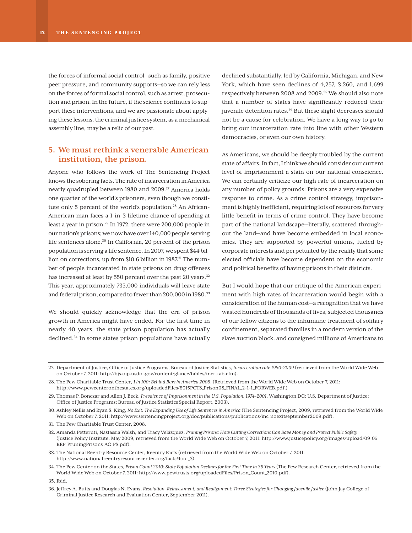the forces of informal social control—such as family, positive peer pressure, and community supports—so we can rely less on the forces of formal social control, such as arrest, prosecution and prison. In the future, if the science continues to support these interventions, and we are passionate about applying these lessons, the criminal justice system, as a mechanical assembly line, may be a relic of our past.

### **5. We must rethink a venerable American institution, the prison.**

Anyone who follows the work of The Sentencing Project knows the sobering facts. The rate of incarceration in America nearly quadrupled between 1980 and 2009.<sup>27</sup> America holds one quarter of the world's prisoners, even though we constitute only 5 percent of the world's population.<sup>28</sup> An African-American man faces a 1-in-3 lifetime chance of spending at least a year in prison.<sup>29</sup> In 1972, there were 200,000 people in our nation's prisons; we now have over 140,000 people serving life sentences alone.<sup>30</sup> In California, 20 percent of the prison population is serving a life sentence. In 2007, we spent \$44 billion on corrections, up from \$10.6 billion in 1987.<sup>31</sup> The number of people incarcerated in state prisons on drug offenses has increased at least by 550 percent over the past 20 years.<sup>32</sup> This year, approximately 735,000 individuals will leave state and federal prison, compared to fewer than 200,000 in 1980.<sup>33</sup>

We should quickly acknowledge that the era of prison growth in America might have ended. For the first time in nearly 40 years, the state prison population has actually declined.34 In some states prison populations have actually

declined substantially, led by California, Michigan, and New York, which have seen declines of 4,257, 3,260, and 1,699 respectively between 2008 and 2009.<sup>35</sup> We should also note that a number of states have significantly reduced their juvenile detention rates.<sup>36</sup> But these slight decreases should not be a cause for celebration. We have a long way to go to bring our incarceration rate into line with other Western democracies, or even our own history.

As Americans, we should be deeply troubled by the current state of affairs. In fact, I think we should consider our current level of imprisonment a stain on our national conscience. We can certainly criticize our high rate of incarceration on any number of policy grounds: Prisons are a very expensive response to crime. As a crime control strategy, imprisonment is highly inefficient, requiring lots of resources for very little benefit in terms of crime control. They have become part of the national landscape—literally, scattered throughout the land—and have become embedded in local economies. They are supported by powerful unions, fueled by corporate interests and perpetuated by the reality that some elected officials have become dependent on the economic and political benefits of having prisons in their districts.

But I would hope that our critique of the American experiment with high rates of incarceration would begin with a consideration of the human cost—a recognition that we have wasted hundreds of thousands of lives, subjected thousands of our fellow citizens to the inhumane treatment of solitary confinement, separated families in a modern version of the slave auction block, and consigned millions of Americans to

30. Ashley Nellis and Ryan S. King, *No Exit: The Expanding Use of Life Sentences in America* (The Sentencing Project, 2009, retrieved from the World Wide Web on October 7, 2011: http://www.sentencingproject.org/doc/publications/publications/inc\_noexitseptember2009.pdf).

- 33. The National Reentry Resource Center, Reentry Facts (retrieved from the World Wide Web on October 7, 2011: http://www.nationalreentryresourcecenter.org/facts#foot\_3).
- 34. The Pew Center on the States, *Prison Count 2010: State Population Declines for the First Time in 38 Years* (The Pew Research Center, retrieved from the World Wide Web on October 7, 2011: http://www.pewtrusts.org/uploadedFiles/Prison\_Count\_2010.pdf).

36. Jeffrey A. Butts and Douglas N. Evans, *Resolution, Reinvestment, and Realignment: Three Strategies for Changing Juvenile Justice* (John Jay College of Criminal Justice Research and Evaluation Center, September 2011).

<sup>27.</sup> Department of Justice, Office of Justice Programs, Bureau of Justice Statistics, *Incarceration rate 1980-2009* (retrieved from the World Wide Web on October 7, 2011: http://bjs.ojp.usdoj.gov/content/glance/tables/incrttab.cfm).

<sup>28.</sup> The Pew Charitable Trust Center, *1 in 100: Behind Bars in America 2008*. (Retrieved from the World Wide Web on October 7, 2011: http://www.pewcenteronthestates.org/uploadedFiles/8015PCTS\_Prison08\_FINAL\_2-1-1\_FORWEB.pdf.)

<sup>29.</sup> Thomas P. Bonczar and Allen J. Beck, *Prevalence of Imprisonment in the U.S. Population, 1974-2001*. Washington DC: U.S. Department of Justice; Office of Justice Programs; Bureau of Justice Statistics Special Report, 2003).

<sup>31.</sup> The Pew Charitable Trust Center, 2008.

<sup>32.</sup> Amanda Petteruti, Nastassia Walsh, and Tracy Velázquez, *Pruning Prisons: How Cutting Corrections Can Save Money and Protect Public Safety* (Justice Policy Institute, May 2009, retrieved from the World Wide Web on October 7, 2011: http://www.justicepolicy.org/images/upload/09\_05\_ REP\_PruningPrisons\_AC\_PS.pdf).

<sup>35.</sup> Ibid.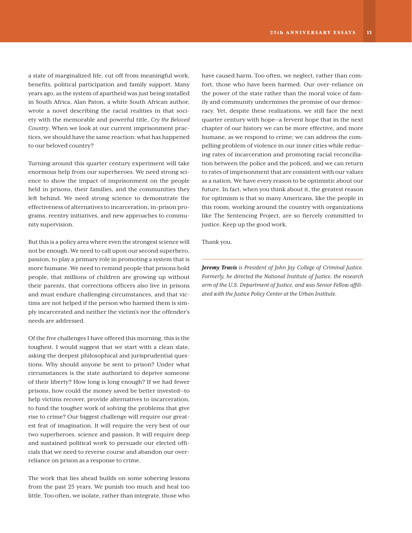a state of marginalized life, cut off from meaningful work, benefits, political participation and family support. Many years ago, as the system of apartheid was just being installed in South Africa, Alan Paton, a white South African author, wrote a novel describing the racial realities in that society with the memorable and powerful title, *Cry the Beloved Country*. When we look at our current imprisonment practices, we should have the same reaction: what has happened to our beloved country?

Turning around this quarter century experiment will take enormous help from our superheroes. We need strong science to show the impact of imprisonment on the people held in prisons, their families, and the communities they left behind. We need strong science to demonstrate the effectiveness of alternatives to incarceration, in-prison programs, reentry initiatives, and new approaches to community supervision.

But this is a policy area where even the strongest science will not be enough. We need to call upon our second superhero, passion, to play a primary role in promoting a system that is more humane. We need to remind people that prisons hold people, that millions of children are growing up without their parents, that corrections officers also live in prisons and must endure challenging circumstances, and that victims are not helped if the person who harmed them is simply incarcerated and neither the victim's nor the offender's needs are addressed.

Of the five challenges I have offered this morning, this is the toughest. I would suggest that we start with a clean slate, asking the deepest philosophical and jurisprudential questions. Why should anyone be sent to prison? Under what circumstances is the state authorized to deprive someone of their liberty? How long is long enough? If we had fewer prisons, how could the money saved be better invested—to help victims recover, provide alternatives to incarceration, to fund the tougher work of solving the problems that give rise to crime? Our biggest challenge will require our greatest feat of imagination. It will require the very best of our two superheroes, science and passion. It will require deep and sustained political work to persuade our elected officials that we need to reverse course and abandon our overreliance on prison as a response to crime.

The work that lies ahead builds on some sobering lessons from the past 25 years. We punish too much and heal too little. Too often, we isolate, rather than integrate, those who

have caused harm. Too often, we neglect, rather than comfort, those who have been harmed. Our over-reliance on the power of the state rather than the moral voice of family and community undermines the promise of our democracy. Yet, despite these realizations, we still face the next quarter century with hope—a fervent hope that in the next chapter of our history we can be more effective, and more humane, as we respond to crime; we can address the compelling problem of violence in our inner cities while reducing rates of incarceration and promoting racial reconciliation between the police and the policed, and we can return to rates of imprisonment that are consistent with our values as a nation. We have every reason to be optimistic about our future. In fact, when you think about it, the greatest reason for optimism is that so many Americans, like the people in this room, working around the country with organizations like The Sentencing Project, are so fiercely committed to justice. Keep up the good work.

Thank you.

*Jeremy Travis is President of John Jay College of Criminal Justice. Formerly, he directed the National Institute of Justice, the research arm of the U.S. Department of Justice, and was Senior Fellow affiliated with the Justice Policy Center at the Urban Institute.*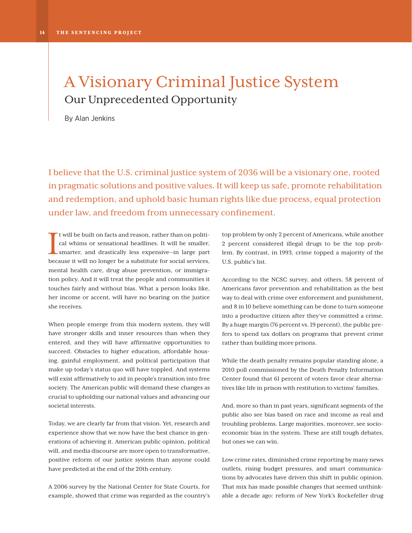### A Visionary Criminal Justice System Our Unprecedented Opportunity

By Alan Jenkins

I believe that the U.S. criminal justice system of 2036 will be a visionary one, rooted in pragmatic solutions and positive values. It will keep us safe, promote rehabilitation and redemption, and uphold basic human rights like due process, equal protection under law, and freedom from unnecessary confinement.

I t will be built on facts and reason, rather than on political whims or sensational headlines. It will be smaller, smarter, and drastically less expensive—in large part because it will no longer be a substitute for social services, mental health care, drug abuse prevention, or immigration policy. And it will treat the people and communities it touches fairly and without bias. What a person looks like, her income or accent, will have no bearing on the justice she receives.

When people emerge from this modern system, they will have stronger skills and inner resources than when they entered, and they will have affirmative opportunities to succeed. Obstacles to higher education, affordable housing, gainful employment, and political participation that make up today's status quo will have toppled. And systems will exist affirmatively to aid in people's transition into free society. The American public will demand these changes as crucial to upholding our national values and advancing our societal interests.

Today, we are clearly far from that vision. Yet, research and experience show that we now have the best chance in generations of achieving it. American public opinion, political will, and media discourse are more open to transformative, positive reform of our justice system than anyone could have predicted at the end of the 20th century.

A 2006 survey by the National Center for State Courts, for example, showed that crime was regarded as the country's top problem by only 2 percent of Americans, while another 2 percent considered illegal drugs to be the top problem. By contrast, in 1993, crime topped a majority of the U.S. public's list.

According to the NCSC survey, and others, 58 percent of Americans favor prevention and rehabilitation as the best way to deal with crime over enforcement and punishment, and 8 in 10 believe something can be done to turn someone into a productive citizen after they've committed a crime. By a huge margin (76 percent vs. 19 percent), the public prefers to spend tax dollars on programs that prevent crime rather than building more prisons.

While the death penalty remains popular standing alone, a 2010 poll commissioned by the Death Penalty Information Center found that 61 percent of voters favor clear alternatives like life in prison with restitution to victims' families.

And, more so than in past years, significant segments of the public also see bias based on race and income as real and troubling problems. Large majorities, moreover, see socioeconomic bias in the system. These are still tough debates, but ones we can win.

Low crime rates, diminished crime reporting by many news outlets, rising budget pressures, and smart communications by advocates have driven this shift in public opinion. That mix has made possible changes that seemed unthinkable a decade ago: reform of New York's Rockefeller drug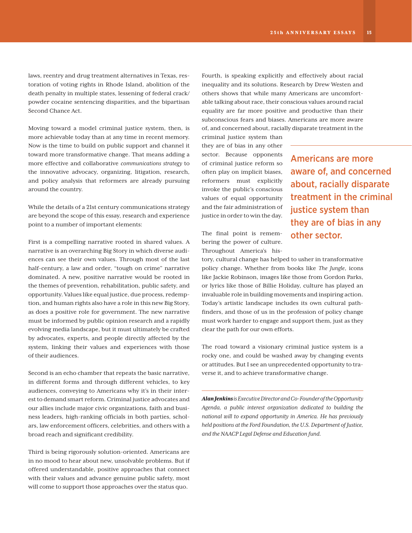laws, reentry and drug treatment alternatives in Texas, restoration of voting rights in Rhode Island, abolition of the death penalty in multiple states, lessening of federal crack/ powder cocaine sentencing disparities, and the bipartisan Second Chance Act.

Moving toward a model criminal justice system, then, is more achievable today than at any time in recent memory. Now is the time to build on public support and channel it toward more transformative change. That means adding a more effective and collaborative *communications strategy* to the innovative advocacy, organizing, litigation, research, and policy analysis that reformers are already pursuing around the country.

While the details of a 21st century communications strategy are beyond the scope of this essay, research and experience point to a number of important elements:

First is a compelling narrative rooted in shared values. A narrative is an overarching Big Story in which diverse audiences can see their own values. Through most of the last half-century, a law and order, "tough on crime" narrative dominated. A new, positive narrative would be rooted in the themes of prevention, rehabilitation, public safety, and opportunity. Values like equal justice, due process, redemption, and human rights also have a role in this new Big Story, as does a positive role for government. The new narrative must be informed by public opinion research and a rapidly evolving media landscape, but it must ultimately be crafted by advocates, experts, and people directly affected by the system, linking their values and experiences with those of their audiences.

Second is an echo chamber that repeats the basic narrative, in different forms and through different vehicles, to key audiences, conveying to Americans why it's in their interest to demand smart reform. Criminal justice advocates and our allies include major civic organizations, faith and business leaders, high-ranking officials in both parties, scholars, law enforcement officers, celebrities, and others with a broad reach and significant credibility.

Third is being rigorously solution-oriented. Americans are in no mood to hear about new, unsolvable problems. But if offered understandable, positive approaches that connect with their values and advance genuine public safety, most will come to support those approaches over the status quo.

Fourth, is speaking explicitly and effectively about racial inequality and its solutions. Research by Drew Westen and others shows that while many Americans are uncomfortable talking about race, their conscious values around racial equality are far more positive and productive than their subconscious fears and biases. Americans are more aware of, and concerned about, racially disparate treatment in the

criminal justice system than they are of bias in any other sector. Because opponents of criminal justice reform so often play on implicit biases, reformers must explicitly invoke the public's conscious values of equal opportunity and the fair administration of justice in order to win the day.

Americans are more aware of, and concerned about, racially disparate treatment in the criminal justice system than they are of bias in any other sector.

The final point is remembering the power of culture. Throughout America's his-

tory, cultural change has helped to usher in transformative policy change. Whether from books like *The Jungle*, icons like Jackie Robinson, images like those from Gordon Parks, or lyrics like those of Billie Holiday, culture has played an invaluable role in building movements and inspiring action. Today's artistic landscape includes its own cultural pathfinders, and those of us in the profession of policy change must work harder to engage and support them, just as they clear the path for our own efforts.

The road toward a visionary criminal justice system is a rocky one, and could be washed away by changing events or attitudes. But I see an unprecedented opportunity to traverse it, and to achieve transformative change.

*Alan Jenkins is Executive Director and Co-Founder of the Opportunity Agenda, a public interest organization dedicated to building the national will to expand opportunity in America. He has previously held positions at the Ford Foundation, the U.S. Department of Justice, and the NAACP Legal Defense and Education fund.*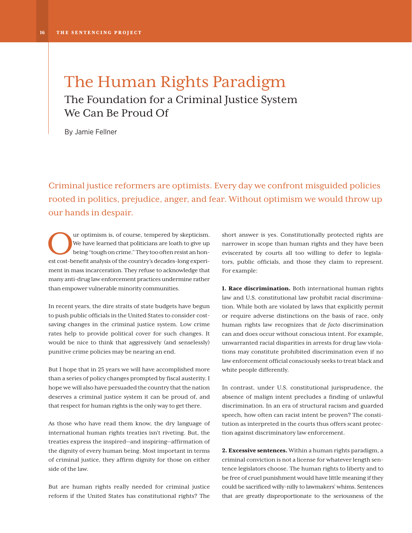### The Human Rights Paradigm The Foundation for a Criminal Justice System We Can Be Proud Of

By Jamie Fellner

Criminal justice reformers are optimists. Every day we confront misguided policies rooted in politics, prejudice, anger, and fear. Without optimism we would throw up our hands in despair.

Ur optimism is, of course, tempered by skepticism.<br>We have learned that politicians are loath to give up<br>being "tough on crime." They too often resist an hon-<br>extensi topolity and wis of the country's deedes, long synonic We have learned that politicians are loath to give up being "tough on crime." They too often resist an honest cost-benefit analysis of the country's decades-long experiment in mass incarceration. They refuse to acknowledge that many anti-drug law enforcement practices undermine rather than empower vulnerable minority communities.

In recent years, the dire straits of state budgets have begun to push public officials in the United States to consider costsaving changes in the criminal justice system. Low crime rates help to provide political cover for such changes. It would be nice to think that aggressively (and senselessly) punitive crime policies may be nearing an end.

But I hope that in 25 years we will have accomplished more than a series of policy changes prompted by fiscal austerity. I hope we will also have persuaded the country that the nation deserves a criminal justice system it can be proud of, and that respect for human rights is the only way to get there.

As those who have read them know, the dry language of international human rights treaties isn't riveting. But, the treaties express the inspired—and inspiring—affirmation of the dignity of every human being. Most important in terms of criminal justice, they affirm dignity for those on either side of the law.

But are human rights really needed for criminal justice reform if the United States has constitutional rights? The

short answer is yes. Constitutionally protected rights are narrower in scope than human rights and they have been eviscerated by courts all too willing to defer to legislators, public officials, and those they claim to represent. For example:

1. Race discrimination. Both international human rights law and U.S. constitutional law prohibit racial discrimination. While both are violated by laws that explicitly permit or require adverse distinctions on the basis of race, only human rights law recognizes that *de facto* discrimination can and does occur without conscious intent. For example, unwarranted racial disparities in arrests for drug law violations may constitute prohibited discrimination even if no law enforcement official consciously seeks to treat black and white people differently.

In contrast, under U.S. constitutional jurisprudence, the absence of malign intent precludes a finding of unlawful discrimination. In an era of structural racism and guarded speech, how often can racist intent be proven? The constitution as interpreted in the courts thus offers scant protection against discriminatory law enforcement.

2. Excessive sentences. Within a human rights paradigm, a criminal conviction is not a license for whatever length sentence legislators choose. The human rights to liberty and to be free of cruel punishment would have little meaning if they could be sacrificed willy-nilly to lawmakers' whims. Sentences that are greatly disproportionate to the seriousness of the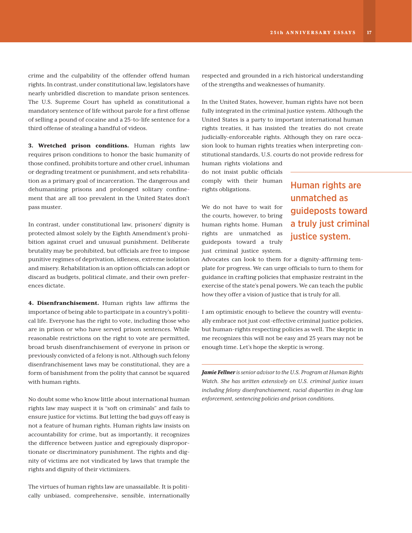crime and the culpability of the offender offend human rights. In contrast, under constitutional law, legislators have nearly unbridled discretion to mandate prison sentences. The U.S. Supreme Court has upheld as constitutional a mandatory sentence of life without parole for a first offense of selling a pound of cocaine and a 25-to-life sentence for a third offense of stealing a handful of videos.

3. Wretched prison conditions. Human rights law requires prison conditions to honor the basic humanity of those confined, prohibits torture and other cruel, inhuman or degrading treatment or punishment, and sets rehabilitation as a primary goal of incarceration. The dangerous and dehumanizing prisons and prolonged solitary confinement that are all too prevalent in the United States don't pass muster.

In contrast, under constitutional law, prisoners' dignity is protected almost solely by the Eighth Amendment's prohibition against cruel and unusual punishment. Deliberate brutality may be prohibited, but officials are free to impose punitive regimes of deprivation, idleness, extreme isolation and misery. Rehabilitation is an option officials can adopt or discard as budgets, political climate, and their own preferences dictate.

4. Disenfranchisement. Human rights law affirms the importance of being able to participate in a country's political life. Everyone has the right to vote, including those who are in prison or who have served prison sentences. While reasonable restrictions on the right to vote are permitted, broad brush disenfranchisement of everyone in prison or previously convicted of a felony is not. Although such felony disenfranchisement laws may be constitutional, they are a form of banishment from the polity that cannot be squared with human rights.

No doubt some who know little about international human rights law may suspect it is "soft on criminals" and fails to ensure justice for victims. But letting the bad guys off easy is not a feature of human rights. Human rights law insists on accountability for crime, but as importantly, it recognizes the difference between justice and egregiously disproportionate or discriminatory punishment. The rights and dignity of victims are not vindicated by laws that trample the rights and dignity of their victimizers.

The virtues of human rights law are unassailable. It is politically unbiased, comprehensive, sensible, internationally respected and grounded in a rich historical understanding of the strengths and weaknesses of humanity.

In the United States, however, human rights have not been fully integrated in the criminal justice system. Although the United States is a party to important international human rights treaties, it has insisted the treaties do not create judicially-enforceable rights. Although they on rare occasion look to human rights treaties when interpreting constitutional standards, U.S. courts do not provide redress for

human rights violations and do not insist public officials comply with their human rights obligations.

We do not have to wait for the courts, however, to bring human rights home. Human rights are unmatched as guideposts toward a truly just criminal justice system.

Human rights are unmatched as guideposts toward a truly just criminal justice system.

Advocates can look to them for a dignity-affirming template for progress. We can urge officials to turn to them for guidance in crafting policies that emphasize restraint in the exercise of the state's penal powers. We can teach the public how they offer a vision of justice that is truly for all.

I am optimistic enough to believe the country will eventually embrace not just cost-effective criminal justice policies, but human-rights respecting policies as well. The skeptic in me recognizes this will not be easy and 25 years may not be enough time. Let's hope the skeptic is wrong.

*Jamie Fellner is senior advisor to the U.S. Program at Human Rights Watch. She has written extensively on U.S. criminal justice issues including felony disenfranchisement, racial disparities in drug law enforcement, sentencing policies and prison conditions.*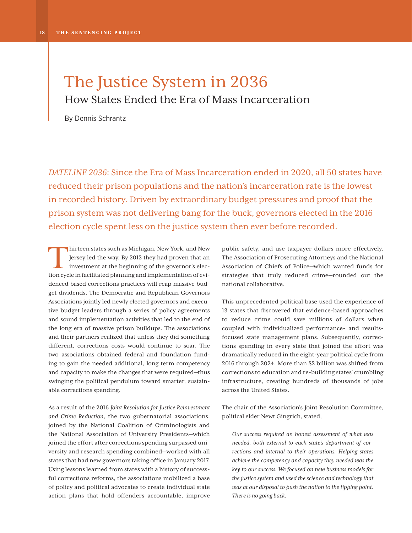### The Justice System in 2036 How States Ended the Era of Mass Incarceration

By Dennis Schrantz

*DATELINE 2036*: Since the Era of Mass Incarceration ended in 2020, all 50 states have reduced their prison populations and the nation's incarceration rate is the lowest in recorded history. Driven by extraordinary budget pressures and proof that the prison system was not delivering bang for the buck, governors elected in the 2016 election cycle spent less on the justice system then ever before recorded.

hirteen states such as Michigan, New York, and New Jersey led the way. By 2012 they had proven that an investment at the beginning of the governor's election cycle in focilitated planning and implementation of sui Jersey led the way. By 2012 they had proven that an investment at the beginning of the governor's election cycle in facilitated planning and implementation of evidenced based corrections practices will reap massive budget dividends. The Democratic and Republican Governors Associations jointly led newly elected governors and executive budget leaders through a series of policy agreements and sound implementation activities that led to the end of the long era of massive prison buildups. The associations and their partners realized that unless they did something different, corrections costs would continue to soar. The two associations obtained federal and foundation funding to gain the needed additional, long term competency and capacity to make the changes that were required—thus swinging the political pendulum toward smarter, sustainable corrections spending.

As a result of the 2016 *Joint Resolution for Justice Reinvestment and Crime Reduction*, the two gubernatorial associations, joined by the National Coalition of Criminologists and the National Association of University Presidents—which joined the effort after corrections spending surpassed university and research spending combined—worked with all states that had new governors taking office in January 2017. Using lessons learned from states with a history of successful corrections reforms, the associations mobilized a base of policy and political advocates to create individual state action plans that hold offenders accountable, improve

public safety, and use taxpayer dollars more effectively. The Association of Prosecuting Attorneys and the National Association of Chiefs of Police—which wanted funds for strategies that truly reduced crime—rounded out the national collaborative.

This unprecedented political base used the experience of 13 states that discovered that evidence-based approaches to reduce crime could save millions of dollars when coupled with individualized performance- and resultsfocused state management plans. Subsequently, corrections spending in every state that joined the effort was dramatically reduced in the eight-year political cycle from 2016 through 2024. More than \$2 billion was shifted from corrections to education and re-building states' crumbling infrastructure, creating hundreds of thousands of jobs across the United States.

The chair of the Association's Joint Resolution Committee, political elder Newt Gingrich, stated,

*Our success required an honest assessment of what was needed, both external to each state's department of corrections and internal to their operations. Helping states achieve the competency and capacity they needed was the key to our success. We focused on new business models for the justice system and used the science and technology that was at our disposal to push the nation to the tipping point. There is no going back.*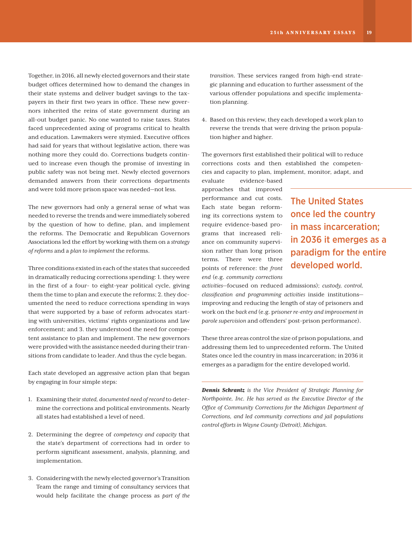Together, in 2016, all newly elected governors and their state budget offices determined how to demand the changes in their state systems and deliver budget savings to the taxpayers in their first two years in office. These new governors inherited the reins of state government during an all-out budget panic. No one wanted to raise taxes. States faced unprecedented axing of programs critical to health and education. Lawmakers were stymied. Executive offices had said for years that without legislative action, there was nothing more they could do. Corrections budgets continued to increase even though the promise of investing in public safety was not being met. Newly elected governors demanded answers from their corrections departments and were told more prison space was needed—not less.

The new governors had only a general sense of what was needed to reverse the trends and were immediately sobered by the question of how to define, plan, and implement the reforms. The Democratic and Republican Governors Associations led the effort by working with them on a *strategy of reforms* and a *plan to implement* the reforms.

Three conditions existed in each of the states that succeeded in dramatically reducing corrections spending: 1. they were in the first of a four- to eight-year political cycle, giving them the time to plan and execute the reforms; 2. they documented the need to reduce corrections spending in ways that were supported by a base of reform advocates starting with universities, victims' rights organizations and law enforcement; and 3. they understood the need for competent assistance to plan and implement. The new governors were provided with the assistance needed during their transitions from candidate to leader. And thus the cycle began.

Each state developed an aggressive action plan that began by engaging in four simple steps:

- 1. Examining their *stated, documented need of record* to determine the corrections and political environments. Nearly all states had established a level of need.
- 2. Determining the degree of *competency and capacity* that the state's department of corrections had in order to perform significant assessment, analysis, planning, and implementation.
- 3. Considering with the newly elected governor's Transition Team the range and timing of consultancy services that would help facilitate the change process as *part of the*

*transition*. These services ranged from high-end strategic planning and education to further assessment of the various offender populations and specific implementation planning.

4. Based on this review, they each developed a work plan to reverse the trends that were driving the prison population higher and higher.

The governors first established their political will to reduce corrections costs and then established the competencies and capacity to plan, implement, monitor, adapt, and

evaluate evidence-based approaches that improved performance and cut costs. Each state began reforming its corrections system to require evidence-based programs that increased reliance on community supervision rather than long prison terms. There were three points of reference: the *front end* (e.g. *community corrections* 

The United States once led the country in mass incarceration; in 2036 it emerges as a paradigm for the entire developed world.

*activities*—focused on reduced admissions); *custody, control, classification and programming activities* inside institutions improving and reducing the length of stay of prisoners and work on the *back end* (e.g. p*risoner re-entry and improvement in parole supervision* and offenders' post-prison performance).

These three areas control the size of prison populations, and addressing them led to unprecedented reform. The United States once led the country in mass incarceration; in 2036 it emerges as a paradigm for the entire developed world.

*Dennis Schrantz is the Vice President of Strategic Planning for Northpointe, Inc. He has served as the Executive Director of the Office of Community Corrections for the Michigan Department of Corrections, and led community corrections and jail populations control efforts in Wayne County (Detroit), Michigan.*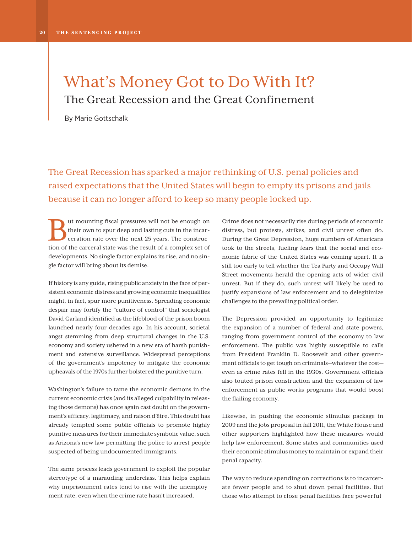### What's Money Got to Do With It? The Great Recession and the Great Confinement

By Marie Gottschalk

The Great Recession has sparked a major rethinking of U.S. penal policies and raised expectations that the United States will begin to empty its prisons and jails because it can no longer afford to keep so many people locked up.

aut mounting fiscal pressures will not be enough on<br>their own to spur deep and lasting cuts in the incar-<br>ceration rate over the next 25 years. The construc-<br>tion of the careeral state was the result of a complex set of their own to spur deep and lasting cuts in the incarceration rate over the next 25 years. The construction of the carceral state was the result of a complex set of developments. No single factor explains its rise, and no single factor will bring about its demise.

If history is any guide, rising public anxiety in the face of persistent economic distress and growing economic inequalities might, in fact, spur more punitiveness. Spreading economic despair may fortify the "culture of control" that sociologist David Garland identified as the lifeblood of the prison boom launched nearly four decades ago. In his account, societal angst stemming from deep structural changes in the U.S. economy and society ushered in a new era of harsh punishment and extensive surveillance. Widespread perceptions of the government's impotency to mitigate the economic upheavals of the 1970s further bolstered the punitive turn.

Washington's failure to tame the economic demons in the current economic crisis (and its alleged culpability in releasing those demons) has once again cast doubt on the government's efficacy, legitimacy, and raison d'être. This doubt has already tempted some public officials to promote highly punitive measures for their immediate symbolic value, such as Arizona's new law permitting the police to arrest people suspected of being undocumented immigrants.

The same process leads government to exploit the popular stereotype of a marauding underclass. This helps explain why imprisonment rates tend to rise with the unemployment rate, even when the crime rate hasn't increased.

Crime does not necessarily rise during periods of economic distress, but protests, strikes, and civil unrest often do. During the Great Depression, huge numbers of Americans took to the streets, fueling fears that the social and economic fabric of the United States was coming apart. It is still too early to tell whether the Tea Party and Occupy Wall Street movements herald the opening acts of wider civil unrest. But if they do, such unrest will likely be used to justify expansions of law enforcement and to delegitimize challenges to the prevailing political order.

The Depression provided an opportunity to legitimize the expansion of a number of federal and state powers, ranging from government control of the economy to law enforcement. The public was highly susceptible to calls from President Franklin D. Roosevelt and other government officials to get tough on criminals—whatever the cost even as crime rates fell in the 1930s. Government officials also touted prison construction and the expansion of law enforcement as public works programs that would boost the flailing economy.

Likewise, in pushing the economic stimulus package in 2009 and the jobs proposal in fall 2011, the White House and other supporters highlighted how these measures would help law enforcement. Some states and communities used their economic stimulus money to maintain or expand their penal capacity.

The way to reduce spending on corrections is to incarcerate fewer people and to shut down penal facilities. But those who attempt to close penal facilities face powerful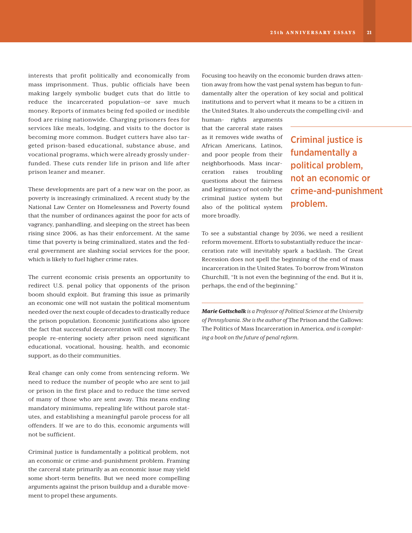interests that profit politically and economically from mass imprisonment. Thus, public officials have been making largely symbolic budget cuts that do little to reduce the incarcerated population—or save much money. Reports of inmates being fed spoiled or inedible food are rising nationwide. Charging prisoners fees for services like meals, lodging, and visits to the doctor is becoming more common. Budget cutters have also targeted prison-based educational, substance abuse, and vocational programs, which were already grossly underfunded. These cuts render life in prison and life after prison leaner and meaner.

These developments are part of a new war on the poor, as poverty is increasingly criminalized. A recent study by the National Law Center on Homelessness and Poverty found that the number of ordinances against the poor for acts of vagrancy, panhandling, and sleeping on the street has been rising since 2006, as has their enforcement. At the same time that poverty is being criminalized, states and the federal government are slashing social services for the poor, which is likely to fuel higher crime rates.

The current economic crisis presents an opportunity to redirect U.S. penal policy that opponents of the prison boom should exploit. But framing this issue as primarily an economic one will not sustain the political momentum needed over the next couple of decades to drastically reduce the prison population. Economic justifications also ignore the fact that successful decarceration will cost money. The people re-entering society after prison need significant educational, vocational, housing, health, and economic support, as do their communities.

Real change can only come from sentencing reform. We need to reduce the number of people who are sent to jail or prison in the first place and to reduce the time served of many of those who are sent away. This means ending mandatory minimums, repealing life without parole statutes, and establishing a meaningful parole process for all offenders. If we are to do this, economic arguments will not be sufficient.

Criminal justice is fundamentally a political problem, not an economic or crime-and-punishment problem. Framing the carceral state primarily as an economic issue may yield some short-term benefits. But we need more compelling arguments against the prison buildup and a durable movement to propel these arguments.

Focusing too heavily on the economic burden draws attention away from how the vast penal system has begun to fundamentally alter the operation of key social and political institutions and to pervert what it means to be a citizen in the United States. It also undercuts the compelling civil- and

human- rights arguments that the carceral state raises as it removes wide swaths of African Americans, Latinos, and poor people from their neighborhoods. Mass incarceration raises troubling questions about the fairness and legitimacy of not only the criminal justice system but also of the political system more broadly.

Criminal justice is fundamentally a political problem, not an economic or crime-and-punishment problem.

To see a substantial change by 2036, we need a resilient reform movement. Efforts to substantially reduce the incarceration rate will inevitably spark a backlash. The Great Recession does not spell the beginning of the end of mass incarceration in the United States. To borrow from Winston Churchill, "It is not even the beginning of the end. But it is, perhaps, the end of the beginning."

*Marie Gottschalk is a Professor of Political Science at the University of Pennsylvania. She is the author of* The Prison and the Gallows: The Politics of Mass Incarceration in America*, and is completing a book on the future of penal reform.*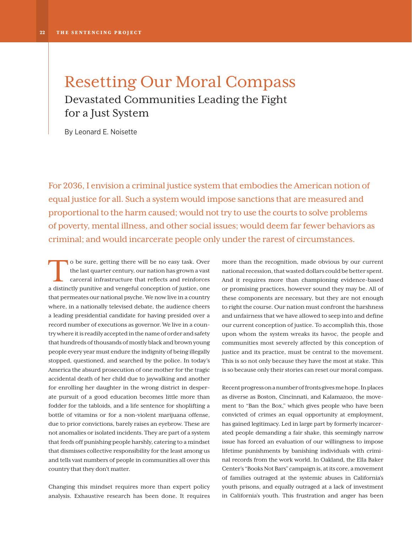### Resetting Our Moral Compass Devastated Communities Leading the Fight for a Just System

By Leonard E. Noisette

For 2036, I envision a criminal justice system that embodies the American notion of equal justice for all. Such a system would impose sanctions that are measured and proportional to the harm caused; would not try to use the courts to solve problems of poverty, mental illness, and other social issues; would deem far fewer behaviors as criminal; and would incarcerate people only under the rarest of circumstances.

o be sure, getting there will be no easy task. Over the last quarter century, our nation has grown a vast carceral infrastructure that reflects and reinforces a distinctly punitive and vengeful conception of justice, one that permeates our national psyche. We now live in a country where, in a nationally televised debate, the audience cheers a leading presidential candidate for having presided over a record number of executions as governor. We live in a country where it is readily accepted in the name of order and safety that hundreds of thousands of mostly black and brown young people every year must endure the indignity of being illegally stopped, questioned, and searched by the police. In today's America the absurd prosecution of one mother for the tragic accidental death of her child due to jaywalking and another for enrolling her daughter in the wrong district in desperate pursuit of a good education becomes little more than fodder for the tabloids, and a life sentence for shoplifting a bottle of vitamins or for a non-violent marijuana offense, due to prior convictions, barely raises an eyebrow. These are not anomalies or isolated incidents. They are part of a system that feeds off punishing people harshly, catering to a mindset that dismisses collective responsibility for the least among us and tells vast numbers of people in communities all over this country that they don't matter.

Changing this mindset requires more than expert policy analysis. Exhaustive research has been done. It requires

more than the recognition, made obvious by our current national recession, that wasted dollars could be better spent. And it requires more than championing evidence-based or promising practices, however sound they may be. All of these components are necessary, but they are not enough to right the course. Our nation must confront the harshness and unfairness that we have allowed to seep into and define our current conception of justice. To accomplish this, those upon whom the system wreaks its havoc, the people and communities most severely affected by this conception of justice and its practice, must be central to the movement. This is so not only because they have the most at stake. This is so because only their stories can reset our moral compass.

Recent progress on a number of fronts gives me hope. In places as diverse as Boston, Cincinnati, and Kalamazoo, the movement to "Ban the Box," which gives people who have been convicted of crimes an equal opportunity at employment, has gained legitimacy. Led in large part by formerly incarcerated people demanding a fair shake, this seemingly narrow issue has forced an evaluation of our willingness to impose lifetime punishments by banishing individuals with criminal records from the work world. In Oakland, the Ella Baker Center's "Books Not Bars" campaign is, at its core, a movement of families outraged at the systemic abuses in California's youth prisons, and equally outraged at a lack of investment in California's youth. This frustration and anger has been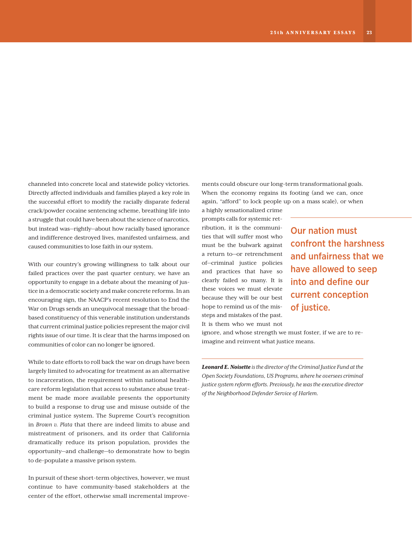channeled into concrete local and statewide policy victories. Directly affected individuals and families played a key role in the successful effort to modify the racially disparate federal crack/powder cocaine sentencing scheme, breathing life into a struggle that could have been about the science of narcotics, but instead was—rightly—about how racially based ignorance and indifference destroyed lives, manifested unfairness, and caused communities to lose faith in our system.

With our country's growing willingness to talk about our failed practices over the past quarter century, we have an opportunity to engage in a debate about the meaning of justice in a democratic society and make concrete reforms. In an encouraging sign, the NAACP's recent resolution to End the War on Drugs sends an unequivocal message that the broadbased constituency of this venerable institution understands that current criminal justice policies represent the major civil rights issue of our time. It is clear that the harms imposed on communities of color can no longer be ignored.

While to date efforts to roll back the war on drugs have been largely limited to advocating for treatment as an alternative to incarceration, the requirement within national healthcare reform legislation that access to substance abuse treatment be made more available presents the opportunity to build a response to drug use and misuse outside of the criminal justice system. The Supreme Court's recognition in *Brown v. Plata* that there are indeed limits to abuse and mistreatment of prisoners, and its order that California dramatically reduce its prison population, provides the opportunity—and challenge—to demonstrate how to begin to de-populate a massive prison system.

In pursuit of these short-term objectives, however, we must continue to have community-based stakeholders at the center of the effort, otherwise small incremental improvements could obscure our long-term transformational goals. When the economy regains its footing (and we can, once again, "afford" to lock people up on a mass scale), or when

a highly sensationalized crime prompts calls for systemic retribution, it is the communities that will suffer most who must be the bulwark against a return to—or retrenchment of—criminal justice policies and practices that have so clearly failed so many. It is these voices we must elevate because they will be our best hope to remind us of the missteps and mistakes of the past. It is them who we must not

Our nation must confront the harshness and unfairness that we have allowed to seep into and define our current conception of justice.

ignore, and whose strength we must foster, if we are to reimagine and reinvent what justice means.

*Leonard E. Noisette is the director of the Criminal Justice Fund at the Open Society Foundations, US Programs, where he oversees criminal justice system reform efforts. Previously, he was the executive director of the Neighborhood Defender Service of Harlem.*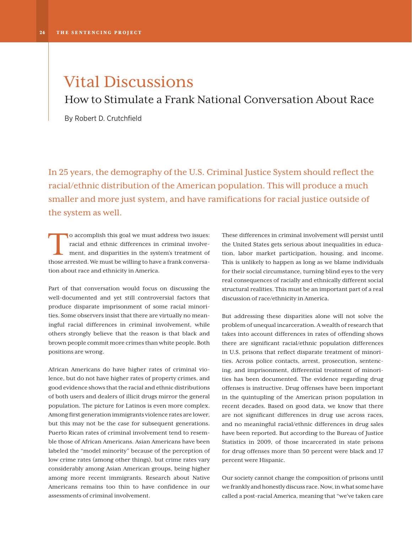# Vital Discussions

How to Stimulate a Frank National Conversation About Race

By Robert D. Crutchfield

In 25 years, the demography of the U.S. Criminal Justice System should reflect the racial/ethnic distribution of the American population. This will produce a much smaller and more just system, and have ramifications for racial justice outside of the system as well.

To accomplish this goal we must address two issues:<br>racial and ethnic differences in criminal involvement, and disparities in the system's treatment of<br>those arrested  $W_0$  must be willing to base a frank sonions. racial and ethnic differences in criminal involvement, and disparities in the system's treatment of those arrested. We must be willing to have a frank conversation about race and ethnicity in America.

Part of that conversation would focus on discussing the well-documented and yet still controversial factors that produce disparate imprisonment of some racial minorities. Some observers insist that there are virtually no meaningful racial differences in criminal involvement, while others strongly believe that the reason is that black and brown people commit more crimes than white people. Both positions are wrong.

African Americans do have higher rates of criminal violence, but do not have higher rates of property crimes, and good evidence shows that the racial and ethnic distributions of both users and dealers of illicit drugs mirror the general population. The picture for Latinos is even more complex. Among first generation immigrants violence rates are lower, but this may not be the case for subsequent generations. Puerto Rican rates of criminal involvement tend to resemble those of African Americans. Asian Americans have been labeled the "model minority" because of the perception of low crime rates (among other things), but crime rates vary considerably among Asian American groups, being higher among more recent immigrants. Research about Native Americans remains too thin to have confidence in our assessments of criminal involvement.

These differences in criminal involvement will persist until the United States gets serious about inequalities in education, labor market participation, housing, and income. This is unlikely to happen as long as we blame individuals for their social circumstance, turning blind eyes to the very real consequences of racially and ethnically different social structural realities. This must be an important part of a real discussion of race/ethnicity in America.

But addressing these disparities alone will not solve the problem of unequal incarceration. A wealth of research that takes into account differences in rates of offending shows there are significant racial/ethnic population differences in U.S. prisons that reflect disparate treatment of minorities. Across police contacts, arrest, prosecution, sentencing, and imprisonment, differential treatment of minorities has been documented. The evidence regarding drug offenses is instructive. Drug offenses have been important in the quintupling of the American prison population in recent decades. Based on good data, we know that there are not significant differences in drug use across races, and no meaningful racial/ethnic differences in drug sales have been reported. But according to the Bureau of Justice Statistics in 2009, of those incarcerated in state prisons for drug offenses more than 50 percent were black and 17 percent were Hispanic.

Our society cannot change the composition of prisons until we frankly and honestly discuss race. Now, in what some have called a post-racial America, meaning that "we've taken care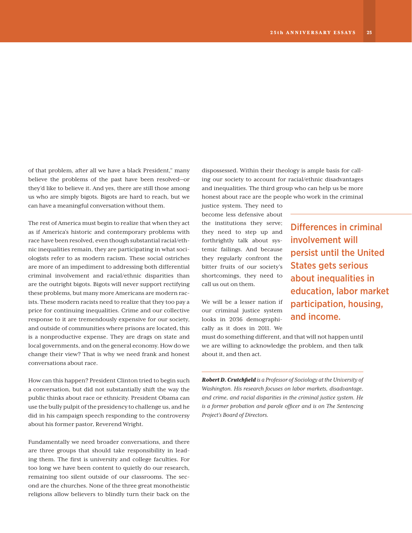of that problem, after all we have a black President," many believe the problems of the past have been resolved—or they'd like to believe it. And yes, there are still those among us who are simply bigots. Bigots are hard to reach, but we can have a meaningful conversation without them.

The rest of America must begin to realize that when they act as if America's historic and contemporary problems with race have been resolved, even though substantial racial/ethnic inequalities remain, they are participating in what sociologists refer to as modern racism. These social ostriches are more of an impediment to addressing both differential criminal involvement and racial/ethnic disparities than are the outright bigots. Bigots will never support rectifying these problems, but many more Americans are modern racists. These modern racists need to realize that they too pay a price for continuing inequalities. Crime and our collective response to it are tremendously expensive for our society, and outside of communities where prisons are located, this is a nonproductive expense. They are drags on state and local governments, and on the general economy. How do we change their view? That is why we need frank and honest conversations about race.

How can this happen? President Clinton tried to begin such a conversation, but did not substantially shift the way the public thinks about race or ethnicity. President Obama can use the bully pulpit of the presidency to challenge us, and he did in his campaign speech responding to the controversy about his former pastor, Reverend Wright.

Fundamentally we need broader conversations, and there are three groups that should take responsibility in leading them. The first is university and college faculties. For too long we have been content to quietly do our research, remaining too silent outside of our classrooms. The second are the churches. None of the three great monotheistic religions allow believers to blindly turn their back on the

dispossessed. Within their theology is ample basis for calling our society to account for racial/ethnic disadvantages and inequalities. The third group who can help us be more honest about race are the people who work in the criminal

justice system. They need to become less defensive about the institutions they serve; they need to step up and forthrightly talk about systemic failings. And because they regularly confront the bitter fruits of our society's shortcomings, they need to call us out on them.

We will be a lesser nation if our criminal justice system looks in 2036 demographically as it does in 2011. We

Differences in criminal involvement will persist until the United States gets serious about inequalities in education, labor market participation, housing, and income.

must do something different, and that will not happen until we are willing to acknowledge the problem, and then talk about it, and then act.

*Robert D. Crutchfield is a Professor of Sociology at the University of Washington. His research focuses on labor markets, disadvantage, and crime, and racial disparities in the criminal justice system. He is a former probation and parole officer and is on The Sentencing Project's Board of Directors.*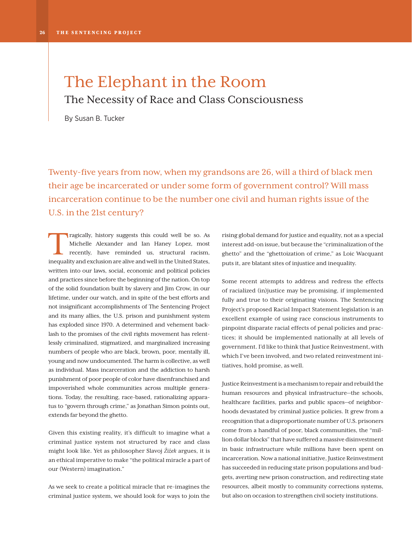### The Elephant in the Room The Necessity of Race and Class Consciousness

By Susan B. Tucker

Twenty-five years from now, when my grandsons are 26, will a third of black men their age be incarcerated or under some form of government control? Will mass incarceration continue to be the number one civil and human rights issue of the U.S. in the 21st century?

ragically, history suggests this could well be so. As<br>Michelle Alexander and Ian Haney Lopez, most<br>recently, have reminded us, structural racism,<br>inequality and organize and well in the United States Michelle Alexander and Ian Haney Lopez, most recently, have reminded us, structural racism, inequality and exclusion are alive and well in the United States, written into our laws, social, economic and political policies and practices since before the beginning of the nation. On top of the solid foundation built by slavery and Jim Crow, in our lifetime, under our watch, and in spite of the best efforts and not insignificant accomplishments of The Sentencing Project and its many allies, the U.S. prison and punishment system has exploded since 1970. A determined and vehement backlash to the promises of the civil rights movement has relentlessly criminalized, stigmatized, and marginalized increasing numbers of people who are black, brown, poor, mentally ill, young and now undocumented. The harm is collective, as well as individual. Mass incarceration and the addiction to harsh punishment of poor people of color have disenfranchised and impoverished whole communities across multiple generations. Today, the resulting, race-based, rationalizing apparatus to "govern through crime," as Jonathan Simon points out, extends far beyond the ghetto.

Given this existing reality, it's difficult to imagine what a criminal justice system not structured by race and class might look like. Yet as philosopher Slavoj *Žižek* argues, it is an ethical imperative to make "the political miracle a part of our (Western) imagination."

As we seek to create a political miracle that re-imagines the criminal justice system, we should look for ways to join the

rising global demand for justice and equality, not as a special interest add-on issue, but because the "criminalization of the ghetto" and the "ghettoization of crime," as Loic Wacquant puts it, are blatant sites of injustice and inequality.

Some recent attempts to address and redress the effects of racialized (in)justice may be promising, if implemented fully and true to their originating visions. The Sentencing Project's proposed Racial Impact Statement legislation is an excellent example of using race conscious instruments to pinpoint disparate racial effects of penal policies and practices; it should be implemented nationally at all levels of government. I'd like to think that Justice Reinvestment, with which I've been involved, and two related reinvestment initiatives, hold promise, as well.

Justice Reinvestment is a mechanism to repair and rebuild the human resources and physical infrastructure—the schools, healthcare facilities, parks and public spaces—of neighborhoods devastated by criminal justice policies. It grew from a recognition that a disproportionate number of U.S. prisoners come from a handful of poor, black communities, the "million dollar blocks" that have suffered a massive disinvestment in basic infrastructure while millions have been spent on incarceration. Now a national initiative, Justice Reinvestment has succeeded in reducing state prison populations and budgets, averting new prison construction, and redirecting state resources, albeit mostly to community corrections systems, but also on occasion to strengthen civil society institutions.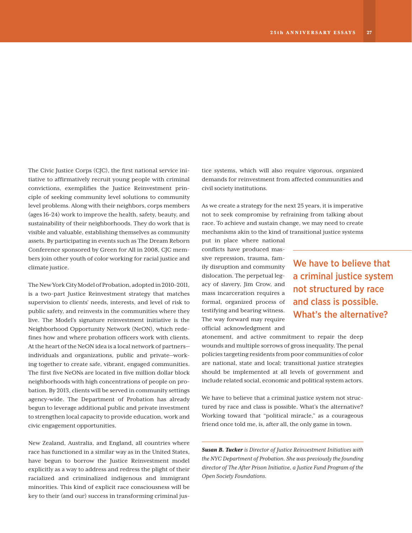The Civic Justice Corps (CJC), the first national service initiative to affirmatively recruit young people with criminal convictions, exemplifies the Justice Reinvestment principle of seeking community level solutions to community level problems. Along with their neighbors, corps members (ages 16–24) work to improve the health, safety, beauty, and sustainability of their neighborhoods. They do work that is visible and valuable, establishing themselves as community assets. By participating in events such as The Dream Reborn Conference sponsored by Green for All in 2008, CJC members join other youth of color working for racial justice and climate justice.

The New York City Model of Probation, adopted in 2010–2011, is a two-part Justice Reinvestment strategy that matches supervision to clients' needs, interests, and level of risk to public safety, and reinvests in the communities where they live. The Model's signature reinvestment initiative is the Neighborhood Opportunity Network (NeON), which redefines how and where probation officers work with clients. At the heart of the NeON idea is a local network of partners individuals and organizations, public and private—working together to create safe, vibrant, engaged communities. The first five NeONs are located in five million dollar block neighborhoods with high concentrations of people on probation. By 2013, clients will be served in community settings agency-wide. The Department of Probation has already begun to leverage additional public and private investment to strengthen local capacity to provide education, work and civic engagement opportunities.

New Zealand, Australia, and England, all countries where race has functioned in a similar way as in the United States, have begun to borrow the Justice Reinvestment model explicitly as a way to address and redress the plight of their racialized and criminalized indigenous and immigrant minorities. This kind of explicit race consciousness will be key to their (and our) success in transforming criminal justice systems, which will also require vigorous, organized demands for reinvestment from affected communities and civil society institutions.

As we create a strategy for the next 25 years, it is imperative not to seek compromise by refraining from talking about race. To achieve and sustain change, we may need to create mechanisms akin to the kind of transitional justice systems

put in place where national conflicts have produced massive repression, trauma, family disruption and community dislocation. The perpetual legacy of slavery, Jim Crow, and mass incarceration requires a formal, organized process of testifying and bearing witness. The way forward may require official acknowledgment and

We have to believe that a criminal justice system not structured by race and class is possible. What's the alternative?

atonement, and active commitment to repair the deep wounds and multiple sorrows of gross inequality. The penal policies targeting residents from poor communities of color are national, state and local; transitional justice strategies should be implemented at all levels of government and include related social, economic and political system actors.

We have to believe that a criminal justice system not structured by race and class is possible. What's the alternative? Working toward that "political miracle," as a courageous friend once told me, is, after all, the only game in town.

*Susan B. Tucker is Director of Justice Reinvestment Initiatives with the NYC Department of Probation. She was previously the founding director of The After Prison Initiative, a Justice Fund Program of the Open Society Foundations.*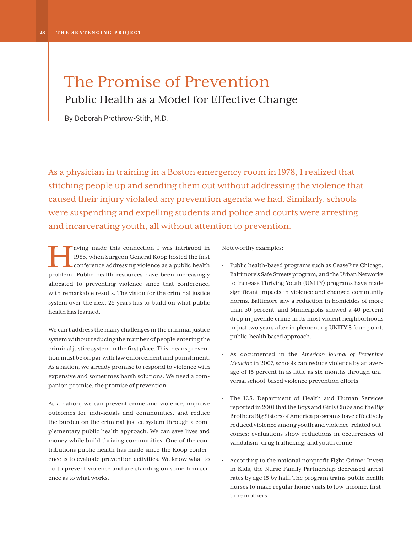## The Promise of Prevention Public Health as a Model for Effective Change

By Deborah Prothrow-Stith, M.D.

As a physician in training in a Boston emergency room in 1978, I realized that stitching people up and sending them out without addressing the violence that caused their injury violated any prevention agenda we had. Similarly, schools were suspending and expelling students and police and courts were arresting and incarcerating youth, all without attention to prevention.

aving made this connection I was intrigued in<br>1985, when Surgeon General Koop hosted the first<br>conference addressing violence as a public health<br>mechanic health mechanics have been increasingly 1985, when Surgeon General Koop hosted the first conference addressing violence as a public health problem. Public health resources have been increasingly allocated to preventing violence since that conference, with remarkable results. The vision for the criminal justice system over the next 25 years has to build on what public health has learned.

We can't address the many challenges in the criminal justice system without reducing the number of people entering the criminal justice system in the first place. This means prevention must be on par with law enforcement and punishment. As a nation, we already promise to respond to violence with expensive and sometimes harsh solutions. We need a companion promise, the promise of prevention.

As a nation, we can prevent crime and violence, improve outcomes for individuals and communities, and reduce the burden on the criminal justice system through a complementary public health approach. We can save lives and money while build thriving communities. One of the contributions public health has made since the Koop conference is to evaluate prevention activities. We know what to do to prevent violence and are standing on some firm science as to what works.

Noteworthy examples:

- • Public health-based programs such as CeaseFire Chicago, Baltimore's Safe Streets program, and the Urban Networks to Increase Thriving Youth (UNITY) programs have made significant impacts in violence and changed community norms. Baltimore saw a reduction in homicides of more than 50 percent, and Minneapolis showed a 40 percent drop in juvenile crime in its most violent neighborhoods in just two years after implementing UNITY'S four-point, public-health based approach.
- As documented in the *American Journal of Preventive Medicine* in 2007, schools can reduce violence by an average of 15 percent in as little as six months through universal school-based violence prevention efforts.
- The U.S. Department of Health and Human Services reported in 2001 that the Boys and Girls Clubs and the Big Brothers Big Sisters of America programs have effectively reduced violence among youth and violence-related outcomes; evaluations show reductions in occurrences of vandalism, drug trafficking, and youth crime.
- • According to the national nonprofit Fight Crime: Invest in Kids, the Nurse Family Partnership decreased arrest rates by age 15 by half. The program trains public health nurses to make regular home visits to low-income, firsttime mothers.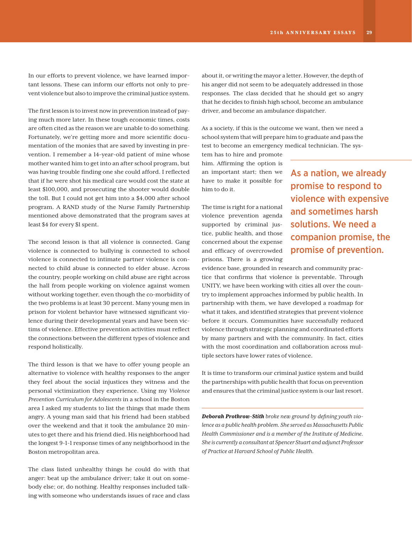In our efforts to prevent violence, we have learned important lessons. These can inform our efforts not only to prevent violence but also to improve the criminal justice system.

The first lesson is to invest now in prevention instead of paying much more later. In these tough economic times, costs are often cited as the reason we are unable to do something. Fortunately, we're getting more and more scientific documentation of the monies that are saved by investing in prevention. I remember a 14-year-old patient of mine whose mother wanted him to get into an after school program, but was having trouble finding one she could afford. I reflected that if he were shot his medical care would cost the state at least \$100,000, and prosecuting the shooter would double the toll. But I could not get him into a \$4,000 after school program. A RAND study of the Nurse Family Partnership mentioned above demonstrated that the program saves at least \$4 for every \$1 spent.

The second lesson is that all violence is connected. Gang violence is connected to bullying is connected to school violence is connected to intimate partner violence is connected to child abuse is connected to elder abuse. Across the country, people working on child abuse are right across the hall from people working on violence against women without working together, even though the co-morbidity of the two problems is at least 30 percent. Many young men in prison for violent behavior have witnessed significant violence during their developmental years and have been victims of violence. Effective prevention activities must reflect the connections between the different types of violence and respond holistically.

The third lesson is that we have to offer young people an alternative to violence with healthy responses to the anger they feel about the social injustices they witness and the personal victimization they experience. Using my *Violence Prevention Curriculum for Adolescents* in a school in the Boston area I asked my students to list the things that made them angry. A young man said that his friend had been stabbed over the weekend and that it took the ambulance 20 minutes to get there and his friend died. His neighborhood had the longest 9-1-1 response times of any neighborhood in the Boston metropolitan area.

The class listed unhealthy things he could do with that anger: beat up the ambulance driver; take it out on somebody else; or, do nothing. Healthy responses included talking with someone who understands issues of race and class

about it, or writing the mayor a letter. However, the depth of his anger did not seem to be adequately addressed in those responses. The class decided that he should get so angry that he decides to finish high school, become an ambulance driver, and become an ambulance dispatcher.

As a society, if this is the outcome we want, then we need a school system that will prepare him to graduate and pass the test to become an emergency medical technician. The sys-

tem has to hire and promote him. Affirming the option is an important start; then we have to make it possible for him to do it.

The time is right for a national violence prevention agenda supported by criminal justice, public health, and those concerned about the expense and efficacy of overcrowded prisons. There is a growing As a nation, we already promise to respond to violence with expensive and sometimes harsh solutions. We need a companion promise, the promise of prevention.

evidence base, grounded in research and community practice that confirms that violence is preventable. Through UNITY, we have been working with cities all over the country to implement approaches informed by public health. In partnership with them, we have developed a roadmap for what it takes, and identified strategies that prevent violence before it occurs. Communities have successfully reduced violence through strategic planning and coordinated efforts by many partners and with the community. In fact, cities with the most coordination and collaboration across multiple sectors have lower rates of violence.

It is time to transform our criminal justice system and build the partnerships with public health that focus on prevention and ensures that the criminal justice system is our last resort.

*Deborah Prothrow-Stith broke new ground by defining youth violence as a public health problem. She served as Massachusetts Public Health Commissioner and is a member of the Institute of Medicine. She is currently a consultant at Spencer Stuart and adjunct Professor of Practice at Harvard School of Public Health.*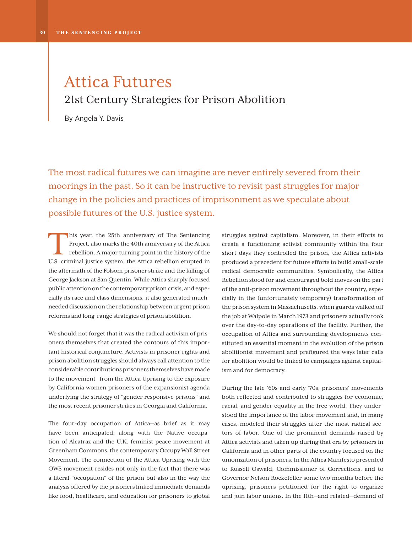### Attica Futures 21st Century Strategies for Prison Abolition

By Angela Y. Davis

The most radical futures we can imagine are never entirely severed from their moorings in the past. So it can be instructive to revisit past struggles for major change in the policies and practices of imprisonment as we speculate about possible futures of the U.S. justice system.

his year, the 25th anniversary of The Sentencing<br>Project, also marks the 40th anniversary of the Attica<br>rebellion. A major turning point in the history of the<br>ILS eximinal justice gratem, the Attica rebellion erunted in Project, also marks the 40th anniversary of the Attica rebellion. A major turning point in the history of the U.S. criminal justice system, the Attica rebellion erupted in the aftermath of the Folsom prisoner strike and the killing of George Jackson at San Quentin. While Attica sharply focused public attention on the contemporary prison crisis, and especially its race and class dimensions, it also generated muchneeded discussion on the relationship between urgent prison reforms and long-range strategies of prison abolition.

We should not forget that it was the radical activism of prisoners themselves that created the contours of this important historical conjuncture. Activists in prisoner rights and prison abolition struggles should always call attention to the considerable contributions prisoners themselves have made to the movement—from the Attica Uprising to the exposure by California women prisoners of the expansionist agenda underlying the strategy of "gender responsive prisons" and the most recent prisoner strikes in Georgia and California.

The four-day occupation of Attica—as brief as it may have been—anticipated, along with the Native occupation of Alcatraz and the U.K. feminist peace movement at Greenham Commons, the contemporary Occupy Wall Street Movement. The connection of the Attica Uprising with the OWS movement resides not only in the fact that there was a literal "occupation" of the prison but also in the way the analysis offered by the prisoners linked immediate demands like food, healthcare, and education for prisoners to global

struggles against capitalism. Moreover, in their efforts to create a functioning activist community within the four short days they controlled the prison, the Attica activists produced a precedent for future efforts to build small-scale radical democratic communities. Symbolically, the Attica Rebellion stood for and encouraged bold moves on the part of the anti-prison movement throughout the country, especially in the (unfortunately temporary) transformation of the prison system in Massachusetts, when guards walked off the job at Walpole in March 1973 and prisoners actually took over the day-to-day operations of the facility. Further, the occupation of Attica and surrounding developments constituted an essential moment in the evolution of the prison abolitionist movement and prefigured the ways later calls for abolition would be linked to campaigns against capitalism and for democracy.

During the late '60s and early '70s, prisoners' movements both reflected and contributed to struggles for economic, racial, and gender equality in the free world. They understood the importance of the labor movement and, in many cases, modeled their struggles after the most radical sectors of labor. One of the prominent demands raised by Attica activists and taken up during that era by prisoners in California and in other parts of the country focused on the unionization of prisoners. In the Attica Manifesto presented to Russell Oswald, Commissioner of Corrections, and to Governor Nelson Rockefeller some two months before the uprising, prisoners petitioned for the right to organize and join labor unions. In the 11th—and related—demand of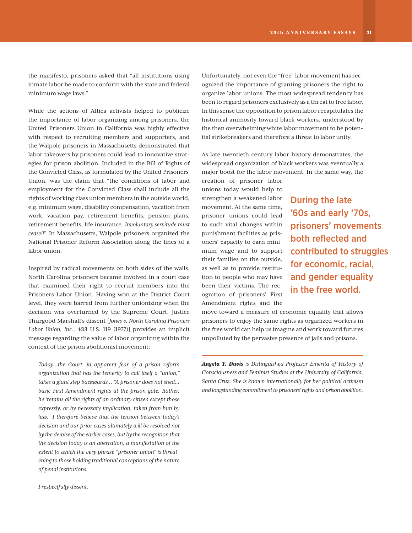the manifesto, prisoners asked that "all institutions using inmate labor be made to conform with the state and federal minimum wage laws."

While the actions of Attica activists helped to publicize the importance of labor organizing among prisoners, the United Prisoners Union in California was highly effective with respect to recruiting members and supporters, and the Walpole prisoners in Massachusetts demonstrated that labor takeovers by prisoners could lead to innovative strategies for prison abolition. Included in the Bill of Rights of the Convicted Class, as formulated by the United Prisoners' Union, was the claim that "the conditions of labor and employment for the Convicted Class shall include all the rights of working class union members in the outside world, e.g. minimum wage, disability compensation, vacation from work, vacation pay, retirement benefits, pension plans, retirement benefits, life insurance. *Involuntary servitude must cease!!*" In Massachusetts, Walpole prisoners organized the National Prisoner Reform Association along the lines of a labor union.

Inspired by radical movements on both sides of the walls, North Carolina prisoners became involved in a court case that examined their right to recruit members into the Prisoners Labor Union. Having won at the District Court level, they were barred from further unionizing when the decision was overturned by the Supreme Court. Justice Thurgood Marshall's dissent [*Jones v. North Carolina Prisoners Labor Union, Inc.*, 433 U.S. 119 (1977)] provides an implicit message regarding the value of labor organizing within the context of the prison abolitionist movement:

*Today…the Court, in apparent fear of a prison reform organization that has the temerity to call itself a "union," takes a giant step backwards… "A prisoner does not shed… basic First Amendment rights at the prison gate. Rather, he 'retains all the rights of an ordinary citizen except those expressly, or by necessary implication, taken from him by law." I therefore believe that the tension between today's decision and our prior cases ultimately will be resolved not by the demise of the earlier cases, but by the recognition that the decision today is an aberration, a manifestation of the extent to which the very phrase "prisoner union" is threatening to those holding traditional conceptions of the nature of penal institutions.* 

*I respectfully dissent.*

Unfortunately, not even the "free" labor movement has recognized the importance of granting prisoners the right to organize labor unions. The most widespread tendency has been to regard prisoners exclusively as a threat to free labor. In this sense the opposition to prison labor recapitulates the historical animosity toward black workers, understood by the then overwhelming white labor movement to be potential strikebreakers and therefore a threat to labor unity.

As late twentieth century labor history demonstrates, the widespread organization of black workers was eventually a major boost for the labor movement. In the same way, the

creation of prisoner labor unions today would help to strengthen a weakened labor movement. At the same time, prisoner unions could lead to such vital changes within punishment facilities as prisoners' capacity to earn minimum wage and to support their families on the outside, as well as to provide restitution to people who may have been their victims. The recognition of prisoners' First Amendment rights and the

During the late '60s and early '70s, prisoners' movements both reflected and contributed to struggles for economic, racial, and gender equality in the free world.

move toward a measure of economic equality that allows prisoners to enjoy the same rights as organized workers in the free world can help us imagine and work toward futures unpolluted by the pervasive presence of jails and prisons.

*Angela Y. Davis is Distinguished Professor Emerita of History of Consciousness and Feminist Studies at the University of California, Santa Cruz. She is known internationally for her political activism and longstanding commitment to prisoners' rights and prison abolition.*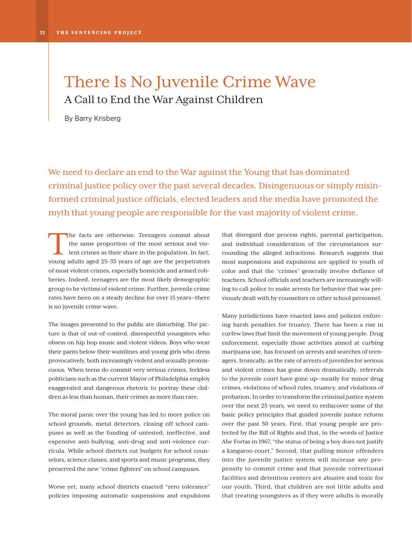### There Is No Juvenile Crime Wave A Call to End the War Against Children

By Barry Krisberg

We need to declare an end to the War against the Young that has dominated criminal justice policy over the past several decades. Disingenuous or simply misinformed criminal justice officials, elected leaders and the media have promoted the myth that young people are responsible for the vast majority of violent crime.

The facts are otherwise. Teenagers commit about<br>the same proportion of the most serious and vio-<br>lent crimes as their share in the population. In fact, the same proportion of the most serious and violent crimes as their share in the population. In fact, young adults aged 25–35 years of age are the perpetrators of most violent crimes, especially homicide and armed robberies. Indeed, teenagers are the most likely demographic group to be victims of violent crime. Further, juvenile crime rates have been on a steady decline for over 15 years—there is no juvenile crime wave.

The images presented to the public are disturbing. The picture is that of out-of-control, disrespectful youngsters who obsess on hip hop music and violent videos. Boys who wear their pants below their waistlines and young girls who dress provocatively, both increasingly violent and sexually promiscuous. When teens do commit very serious crimes, feckless politicians such as the current Mayor of Philadelphia employ exaggerated and dangerous rhetoric to portray these children as less than human, their crimes as more than rare.

The moral panic over the young has led to more police on school grounds, metal detectors, closing off school campuses as well as the funding of untested, ineffective, and expensive anti-bullying, anti-drug and anti-violence curricula. While school districts cut budgets for school counselors, science classes, and sports and music programs, they preserved the new "crime fighters" on school campuses.

Worse yet, many school districts enacted "zero tolerance" policies imposing automatic suspensions and expulsions

that disregard due process rights, parental participation, and individual consideration of the circumstances surrounding the alleged infractions. Research suggests that most suspensions and expulsions are applied to youth of color and that the "crimes" generally involve defiance of teachers. School officials and teachers are increasingly willing to call police to make arrests for behavior that was previously dealt with by counselors or other school personnel.

Many jurisdictions have enacted laws and policies enforcing harsh penalties for truancy. There has been a rise in curfew laws that limit the movement of young people. Drug enforcement, especially those activities aimed at curbing marijuana use, has focused on arrests and searches of teenagers. Ironically, as the rate of arrests of juveniles for serious and violent crimes has gone down dramatically, referrals to the juvenile court have gone up—mostly for minor drug crimes, violations of school rules, truancy, and violations of probation. In order to transform the criminal justice system over the next 25 years, we need to rediscover some of the basic policy principles that guided juvenile justice reform over the past 50 years. First, that young people are protected by the Bill of Rights and that, in the words of Justice Abe Fortas in 1967, "the status of being a boy does not justify a kangaroo court." Second, that pulling minor offenders into the juvenile justice system will increase any propensity to commit crime and that juvenile correctional facilities and detention centers are abusive and toxic for our youth. Third, that children are not little adults and that treating youngsters as if they were adults is morally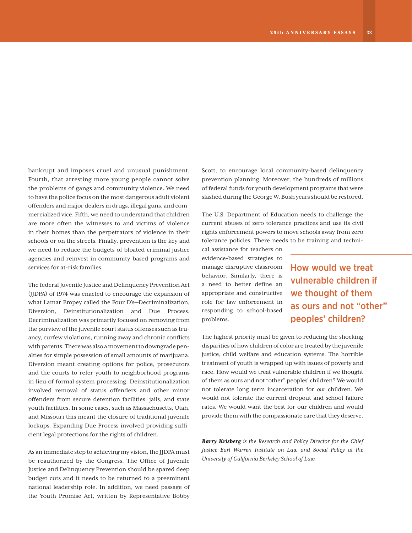bankrupt and imposes cruel and unusual punishment. Fourth, that arresting more young people cannot solve the problems of gangs and community violence. We need to have the police focus on the most dangerous adult violent offenders and major dealers in drugs, illegal guns, and commercialized vice. Fifth, we need to understand that children are more often the witnesses to and victims of violence in their homes than the perpetrators of violence in their schools or on the streets. Finally, prevention is the key and we need to reduce the budgets of bloated criminal justice agencies and reinvest in community-based programs and services for at-risk families.

The federal Juvenile Justice and Delinquency Prevention Act (JJDPA) of 1974 was enacted to encourage the expansion of what Lamar Empey called the Four D's—Decriminalization, Diversion, Deinstitutionalization and Due Process. Decriminalization was primarily focused on removing from the purview of the juvenile court status offenses such as truancy, curfew violations, running away and chronic conflicts with parents. There was also a movement to downgrade penalties for simple possession of small amounts of marijuana. Diversion meant creating options for police, prosecutors and the courts to refer youth to neighborhood programs in lieu of formal system processing. Deinstitutionalization involved removal of status offenders and other minor offenders from secure detention facilities, jails, and state youth facilities. In some cases, such as Massachusetts, Utah, and Missouri this meant the closure of traditional juvenile lockups. Expanding Due Process involved providing sufficient legal protections for the rights of children.

As an immediate step to achieving my vision, the JJDPA must be reauthorized by the Congress. The Office of Juvenile Justice and Delinquency Prevention should be spared deep budget cuts and it needs to be returned to a preeminent national leadership role. In addition, we need passage of the Youth Promise Act, written by Representative Bobby Scott, to encourage local community-based delinquency prevention planning. Moreover, the hundreds of millions of federal funds for youth development programs that were slashed during the George W. Bush years should be restored.

The U.S. Department of Education needs to challenge the current abuses of zero tolerance practices and use its civil rights enforcement powers to move schools away from zero tolerance policies. There needs to be training and techni-

cal assistance for teachers on evidence-based strategies to manage disruptive classroom behavior. Similarly, there is a need to better define an appropriate and constructive role for law enforcement in responding to school-based problems.

How would we treat vulnerable children if we thought of them as ours and not "other" peoples' children?

The highest priority must be given to reducing the shocking disparities of how children of color are treated by the juvenile justice, child welfare and education systems. The horrible treatment of youth is wrapped up with issues of poverty and race. How would we treat vulnerable children if we thought of them as ours and not "other" peoples' children? We would not tolerate long term incarceration for *our* children. We would not tolerate the current dropout and school failure rates. We would want the best for our children and would provide them with the compassionate care that they deserve.

*Barry Krisberg is the Research and Policy Director for the Chief Justice Earl Warren Institute on Law and Social Policy at the University of California Berkeley School of Law.*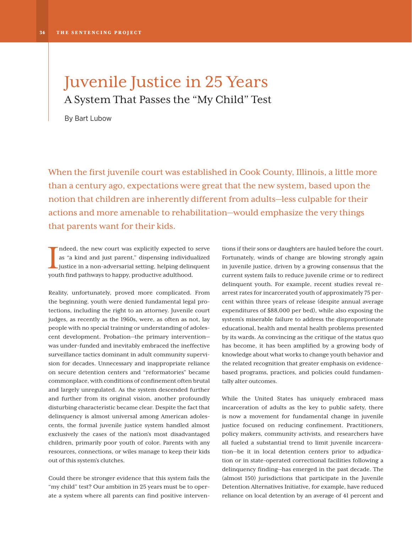### Juvenile Justice in 25 Years A System That Passes the "My Child" Test

By Bart Lubow

When the first juvenile court was established in Cook County, Illinois, a little more than a century ago, expectations were great that the new system, based upon the notion that children are inherently different from adults—less culpable for their actions and more amenable to rehabilitation—would emphasize the very things that parents want for their kids.

I ndeed, the new court was explicitly expected to serve as "a kind and just parent," dispensing individualized justice in a non-adversarial setting, helping delinquent youth find pathways to happy, productive adulthood.

Reality, unfortunately, proved more complicated. From the beginning, youth were denied fundamental legal protections, including the right to an attorney. Juvenile court judges, as recently as the 1960s, were, as often as not, lay people with no special training or understanding of adolescent development. Probation—the primary intervention was under-funded and inevitably embraced the ineffective surveillance tactics dominant in adult community supervision for decades. Unnecessary and inappropriate reliance on secure detention centers and "reformatories" became commonplace, with conditions of confinement often brutal and largely unregulated. As the system descended further and further from its original vision, another profoundly disturbing characteristic became clear. Despite the fact that delinquency is almost universal among American adolescents, the formal juvenile justice system handled almost exclusively the cases of the nation's most disadvantaged children, primarily poor youth of color. Parents with any resources, connections, or wiles manage to keep their kids out of this system's clutches.

Could there be stronger evidence that this system fails the "my child" test? Our ambition in 25 years must be to operate a system where all parents can find positive interventions if their sons or daughters are hauled before the court. Fortunately, winds of change are blowing strongly again in juvenile justice, driven by a growing consensus that the current system fails to reduce juvenile crime or to redirect delinquent youth. For example, recent studies reveal rearrest rates for incarcerated youth of approximately 75 percent within three years of release (despite annual average expenditures of \$88,000 per bed), while also exposing the system's miserable failure to address the disproportionate educational, health and mental health problems presented by its wards. As convincing as the critique of the status quo has become, it has been amplified by a growing body of knowledge about what works to change youth behavior and the related recognition that greater emphasis on evidencebased programs, practices, and policies could fundamentally alter outcomes.

While the United States has uniquely embraced mass incarceration of adults as the key to public safety, there is now a movement for fundamental change in juvenile justice focused on reducing confinement. Practitioners, policy makers, community activists, and researchers have all fueled a substantial trend to limit juvenile incarceration—be it in local detention centers prior to adjudication or in state-operated correctional facilities following a delinquency finding—has emerged in the past decade. The (almost 150) jurisdictions that participate in the Juvenile Detention Alternatives Initiative, for example, have reduced reliance on local detention by an average of 41 percent and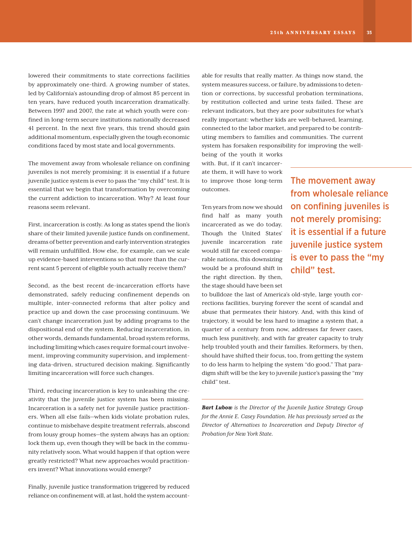lowered their commitments to state corrections facilities by approximately one-third. A growing number of states, led by California's astounding drop of almost 85 percent in ten years, have reduced youth incarceration dramatically. Between 1997 and 2007, the rate at which youth were confined in long-term secure institutions nationally decreased 41 percent. In the next five years, this trend should gain additional momentum, especially given the tough economic conditions faced by most state and local governments.

The movement away from wholesale reliance on confining juveniles is not merely promising: it is essential if a future juvenile justice system is ever to pass the "my child" test. It is essential that we begin that transformation by overcoming the current addiction to incarceration. Why? At least four reasons seem relevant.

First, incarceration is costly. As long as states spend the lion's share of their limited juvenile justice funds on confinement, dreams of better prevention and early intervention strategies will remain unfulfilled. How else, for example, can we scale up evidence-based interventions so that more than the current scant 5 percent of eligible youth actually receive them?

Second, as the best recent de-incarceration efforts have demonstrated, safely reducing confinement depends on multiple, inter-connected reforms that alter policy and practice up and down the case processing continuum. We can't change incarceration just by adding programs to the dispositional end of the system. Reducing incarceration, in other words, demands fundamental, broad system reforms, including limiting which cases require formal court involvement, improving community supervision, and implementing data-driven, structured decision making. Significantly limiting incarceration will force such changes.

Third, reducing incarceration is key to unleashing the creativity that the juvenile justice system has been missing. Incarceration is a safety net for juvenile justice practitioners. When all else fails—when kids violate probation rules, continue to misbehave despite treatment referrals, abscond from lousy group homes—the system always has an option: lock them up, even though they will be back in the community relatively soon. What would happen if that option were greatly restricted? What new approaches would practitioners invent? What innovations would emerge?

Finally, juvenile justice transformation triggered by reduced reliance on confinement will, at last, hold the system accountable for results that really matter. As things now stand, the system measures success, or failure, by admissions to detention or corrections, by successful probation terminations, by restitution collected and urine tests failed. These are relevant indicators, but they are poor substitutes for what's really important: whether kids are well-behaved, learning, connected to the labor market, and prepared to be contributing members to families and communities. The current system has forsaken responsibility for improving the wellbeing of the youth it works

with. But, if it can't incarcerate them, it will have to work to improve those long-term outcomes.

Ten years from now we should find half as many youth incarcerated as we do today. Though the United States' juvenile incarceration rate would still far exceed comparable nations, this downsizing would be a profound shift in the right direction. By then, the stage should have been set

The movement away from wholesale reliance on confining juveniles is not merely promising: it is essential if a future juvenile justice system is ever to pass the "my child" test.

to bulldoze the last of America's old-style, large youth corrections facilities, burying forever the scent of scandal and abuse that permeates their history. And, with this kind of trajectory, it would be less hard to imagine a system that, a quarter of a century from now, addresses far fewer cases, much less punitively, and with far greater capacity to truly help troubled youth and their families. Reformers, by then, should have shifted their focus, too, from getting the system to do less harm to helping the system "do good." That paradigm shift will be the key to juvenile justice's passing the "my child" test.

*Bart Lubow is the Director of the Juvenile Justice Strategy Group for the Annie E. Casey Foundation. He has previously served as the Director of Alternatives to Incarceration and Deputy Director of Probation for New York State.*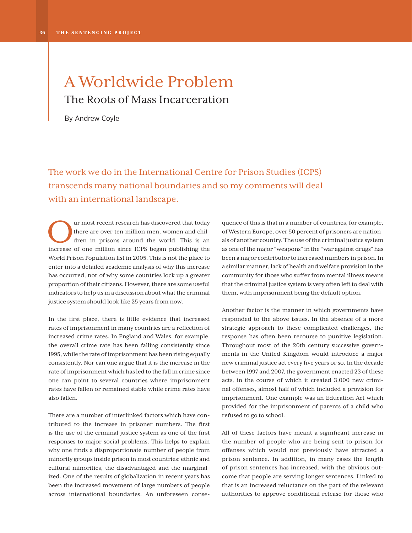# A Worldwide Problem The Roots of Mass Incarceration

By Andrew Coyle

The work we do in the International Centre for Prison Studies (ICPS) transcends many national boundaries and so my comments will deal with an international landscape.

Our most recent research has discovered that today<br>there are over ten million men, women and chil-<br>dren in prisons around the world. This is an<br>increase of one million since ICPS heren publishing the there are over ten million men, women and children in prisons around the world. This is an increase of one million since ICPS began publishing the World Prison Population list in 2005. This is not the place to enter into a detailed academic analysis of why this increase has occurred, nor of why some countries lock up a greater proportion of their citizens. However, there are some useful indicators to help us in a discussion about what the criminal justice system should look like 25 years from now.

In the first place, there is little evidence that increased rates of imprisonment in many countries are a reflection of increased crime rates. In England and Wales, for example, the overall crime rate has been falling consistently since 1995, while the rate of imprisonment has been rising equally consistently. Nor can one argue that it is the increase in the rate of imprisonment which has led to the fall in crime since one can point to several countries where imprisonment rates have fallen or remained stable while crime rates have also fallen.

There are a number of interlinked factors which have contributed to the increase in prisoner numbers. The first is the use of the criminal justice system as one of the first responses to major social problems. This helps to explain why one finds a disproportionate number of people from minority groups inside prison in most countries: ethnic and cultural minorities, the disadvantaged and the marginalized. One of the results of globalization in recent years has been the increased movement of large numbers of people across international boundaries. An unforeseen consequence of this is that in a number of countries, for example, of Western Europe, over 50 percent of prisoners are nationals of another country. The use of the criminal justice system as one of the major "weapons" in the "war against drugs" has been a major contributor to increased numbers in prison. In a similar manner, lack of health and welfare provision in the community for those who suffer from mental illness means that the criminal justice system is very often left to deal with them, with imprisonment being the default option.

Another factor is the manner in which governments have responded to the above issues. In the absence of a more strategic approach to these complicated challenges, the response has often been recourse to punitive legislation. Throughout most of the 20th century successive governments in the United Kingdom would introduce a major new criminal justice act every five years or so. In the decade between 1997 and 2007, the government enacted 23 of these acts, in the course of which it created 3,000 new criminal offenses, almost half of which included a provision for imprisonment. One example was an Education Act which provided for the imprisonment of parents of a child who refused to go to school.

All of these factors have meant a significant increase in the number of people who are being sent to prison for offenses which would not previously have attracted a prison sentence. In addition, in many cases the length of prison sentences has increased, with the obvious outcome that people are serving longer sentences. Linked to that is an increased reluctance on the part of the relevant authorities to approve conditional release for those who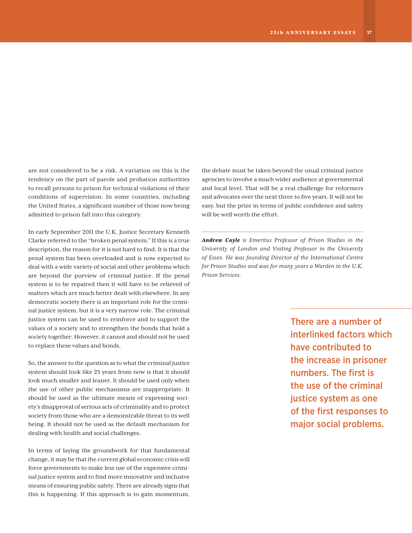are not considered to be a risk. A variation on this is the tendency on the part of parole and probation authorities to recall persons to prison for technical violations of their conditions of supervision. In some countries, including the United States, a significant number of those now being admitted to prison fall into this category.

In early September 2011 the U.K. Justice Secretary Kenneth Clarke referred to the "broken penal system." If this is a true description, the reason for it is not hard to find. It is that the penal system has been overloaded and is now expected to deal with a wide variety of social and other problems which are beyond the purview of criminal justice. If the penal system is to be repaired then it will have to be relieved of matters which are much better dealt with elsewhere. In any democratic society there is an important role for the criminal justice system, but it is a very narrow role. The criminal justice system can be used to reinforce and to support the values of a society and to strengthen the bonds that hold a society together. However, it cannot and should not be used to replace these values and bonds.

So, the answer to the question as to what the criminal justice system should look like 25 years from now is that it should look much smaller and leaner. It should be used only when the use of other public mechanisms are inappropriate. It should be used as the ultimate means of expressing society's disapproval of serious acts of criminality and to protect society from those who are a demonstrable threat to its well being. It should not be used as the default mechanism for dealing with health and social challenges.

In terms of laying the groundwork for that fundamental change, it may be that the current global economic crisis will force governments to make less use of the expensive criminal justice system and to find more innovative and inclusive means of ensuring public safety. There are already signs that this is happening. If this approach is to gain momentum,

the debate must be taken beyond the usual criminal justice agencies to involve a much wider audience at governmental and local level. That will be a real challenge for reformers and advocates over the next three to five years. It will not be easy, but the prize in terms of public confidence and safety will be well worth the effort.

*Andrew Coyle is Emeritus Professor of Prison Studies in the University of London and Visiting Professor in the University of Essex. He was founding Director of the International Centre for Prison Studies and was for many years a Warden in the U.K. Prison Services.*

> There are a number of interlinked factors which have contributed to the increase in prisoner numbers. The first is the use of the criminal justice system as one of the first responses to major social problems.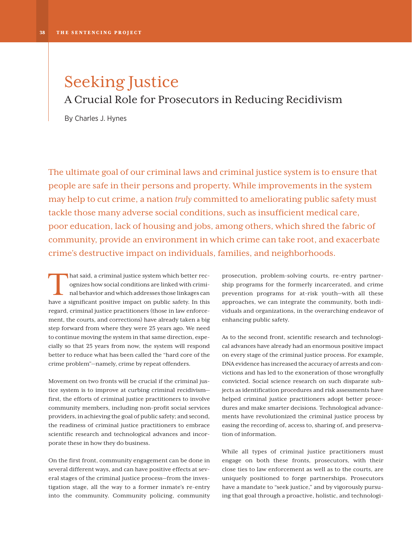# Seeking Justice

### A Crucial Role for Prosecutors in Reducing Recidivism

By Charles J. Hynes

The ultimate goal of our criminal laws and criminal justice system is to ensure that people are safe in their persons and property. While improvements in the system may help to cut crime, a nation *truly* committed to ameliorating public safety must tackle those many adverse social conditions, such as insufficient medical care, poor education, lack of housing and jobs, among others, which shred the fabric of community, provide an environment in which crime can take root, and exacerbate crime's destructive impact on individuals, families, and neighborhoods.

I hat said, a criminal justice system which better recognizes how social conditions are linked with criminal behavior and which addresses those linkages can have a significant positive impact on public safety. In this regard, criminal justice practitioners (those in law enforcement, the courts, and corrections) have already taken a big step forward from where they were 25 years ago. We need to continue moving the system in that same direction, especially so that 25 years from now, the system will respond better to reduce what has been called the "hard core of the crime problem"—namely, crime by repeat offenders.

Movement on two fronts will be crucial if the criminal justice system is to improve at curbing criminal recidivism first, the efforts of criminal justice practitioners to involve community members, including non-profit social services providers, in achieving the goal of public safety; and second, the readiness of criminal justice practitioners to embrace scientific research and technological advances and incorporate these in how they do business.

On the first front, community engagement can be done in several different ways, and can have positive effects at several stages of the criminal justice process—from the investigation stage, all the way to a former inmate's re-entry into the community. Community policing, community

prosecution, problem-solving courts, re-entry partnership programs for the formerly incarcerated, and crime prevention programs for at-risk youth—with all these approaches, we can integrate the community, both individuals and organizations, in the overarching endeavor of enhancing public safety.

As to the second front, scientific research and technological advances have already had an enormous positive impact on every stage of the criminal justice process. For example, DNA evidence has increased the accuracy of arrests and convictions and has led to the exoneration of those wrongfully convicted. Social science research on such disparate subjects as identification procedures and risk assessments have helped criminal justice practitioners adopt better procedures and make smarter decisions. Technological advancements have revolutionized the criminal justice process by easing the recording of, access to, sharing of, and preservation of information.

While all types of criminal justice practitioners must engage on both these fronts, prosecutors, with their close ties to law enforcement as well as to the courts, are uniquely positioned to forge partnerships. Prosecutors have a mandate to "seek justice," and by vigorously pursuing that goal through a proactive, holistic, and technologi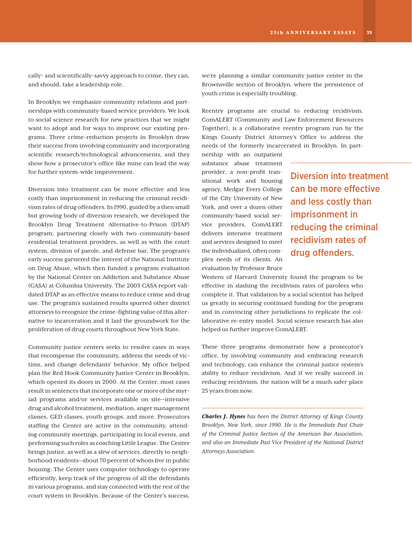cally- and scientifically-savvy approach to crime, they can, and should, take a leadership role.

In Brooklyn we emphasize community relations and partnerships with community-based service providers. We look to social science research for new practices that we might want to adopt and for ways to improve our existing programs. Three crime-reduction projects in Brooklyn draw their success from involving community and incorporating scientific research/technological advancements, and they show how a prosecutor's office like mine can lead the way for further system-wide improvement.

Diversion into treatment can be more effective and less costly than imprisonment in reducing the criminal recidivism rates of drug offenders. In 1990, guided by a then small but growing body of diversion research, we developed the Brooklyn Drug Treatment Alternative-to-Prison (DTAP) program, partnering closely with two community-based residential treatment providers, as well as with the court system, division of parole, and defense bar. The program's early success garnered the interest of the National Institute on Drug Abuse, which then funded a program evaluation by the National Center on Addiction and Substance Abuse (CASA) at Columbia University. The 2003 CASA report validated DTAP as an effective means to reduce crime and drug use. The program's sustained results spurred other district attorneys to recognize the crime-fighting value of this alternative to incarceration and it laid the groundwork for the proliferation of drug courts throughout New York State.

Community justice centers seeks to resolve cases in ways that recompense the community, address the needs of victims, and change defendants' behavior. My office helped plan the Red Hook Community Justice Center in Brooklyn, which opened its doors in 2000. At the Center, most cases result in sentences that incorporate one or more of the myriad programs and/or services available on site—intensive drug and alcohol treatment, mediation, anger management classes, GED classes, youth groups, and more. Prosecutors staffing the Center are active in the community, attending community meetings, participating in local events, and performing such roles as coaching Little League. The Center brings justice, as well as a slew of services, directly to neighborhood residents—about 70 percent of whom live in public housing. The Center uses computer technology to operate efficiently, keep track of the progress of all the defendants in various programs, and stay connected with the rest of the court system in Brooklyn. Because of the Center's success,

we're planning a similar community justice center in the Brownsville section of Brooklyn, where the persistence of youth crime is especially troubling.

Reentry programs are crucial to reducing recidivism. ComALERT (Community and Law Enforcement Resources Together), is a collaborative reentry program run by the Kings County District Attorney's Office to address the needs of the formerly incarcerated in Brooklyn. In part-

nership with an outpatient substance abuse treatment provider, a non-profit transitional work and housing agency, Medgar Evers College of the City University of New York, and over a dozen other community-based social service providers, ComALERT delivers intensive treatment and services designed to meet the individualized, often complex needs of its clients. An evaluation by Professor Bruce

Diversion into treatment can be more effective and less costly than imprisonment in reducing the criminal recidivism rates of drug offenders.

Western of Harvard University found the program to be effective in slashing the recidivism rates of parolees who complete it. That validation by a social scientist has helped us greatly in securing continued funding for the program and in convincing other jurisdictions to replicate the collaborative re-entry model. Social science research has also helped us further improve ComALERT.

These three programs demonstrate how a prosecutor's office, by involving community and embracing research and technology, can enhance the criminal justice system's ability to reduce recidivism. And if we really succeed in reducing recidivism, the nation will be a much safer place 25 years from now.

*Charles J. Hynes has been the District Attorney of Kings County Brooklyn, New York, since 1990. He is the Immediate Past Chair of the Criminal Justice Section of the American Bar Association, and also an Immediate Past Vice President of the National District Attorneys Association.*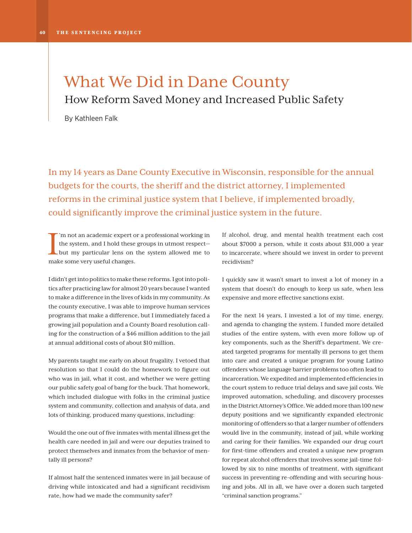# What We Did in Dane County How Reform Saved Money and Increased Public Safety

By Kathleen Falk

In my 14 years as Dane County Executive in Wisconsin, responsible for the annual budgets for the courts, the sheriff and the district attorney, I implemented reforms in the criminal justice system that I believe, if implemented broadly, could significantly improve the criminal justice system in the future.

I 'm not an academic expert or a professional working in the system, and I hold these groups in utmost respect but my particular lens on the system allowed me to make some very useful changes.

I didn't get into politics to make these reforms. I got into politics after practicing law for almost 20 years because I wanted to make a difference in the lives of kids in my community. As the county executive, I was able to improve human services programs that make a difference, but I immediately faced a growing jail population and a County Board resolution calling for the construction of a \$46 million addition to the jail at annual additional costs of about \$10 million.

My parents taught me early on about frugality. I vetoed that resolution so that I could do the homework to figure out who was in jail, what it cost, and whether we were getting our public safety goal of bang for the buck. That homework, which included dialogue with folks in the criminal justice system and community, collection and analysis of data, and lots of thinking, produced many questions, including:

Would the one out of five inmates with mental illness get the health care needed in jail and were our deputies trained to protect themselves and inmates from the behavior of mentally ill persons?

If almost half the sentenced inmates were in jail because of driving while intoxicated and had a significant recidivism rate, how had we made the community safer?

If alcohol, drug, and mental health treatment each cost about \$7000 a person, while it costs about \$31,000 a year to incarcerate, where should we invest in order to prevent recidivism?

I quickly saw it wasn't smart to invest a lot of money in a system that doesn't do enough to keep us safe, when less expensive and more effective sanctions exist.

For the next 14 years, I invested a lot of my time, energy, and agenda to changing the system. I funded more detailed studies of the entire system, with even more follow up of key components, such as the Sheriff's department. We created targeted programs for mentally ill persons to get them into care and created a unique program for young Latino offenders whose language barrier problems too often lead to incarceration. We expedited and implemented efficiencies in the court system to reduce trial delays and save jail costs. We improved automation, scheduling, and discovery processes in the District Attorney's Office. We added more than 100 new deputy positions and we significantly expanded electronic monitoring of offenders so that a larger number of offenders would live in the community, instead of jail, while working and caring for their families. We expanded our drug court for first-time offenders and created a unique new program for repeat alcohol offenders that involves some jail-time followed by six to nine months of treatment, with significant success in preventing re-offending and with securing housing and jobs. All in all, we have over a dozen such targeted "criminal sanction programs."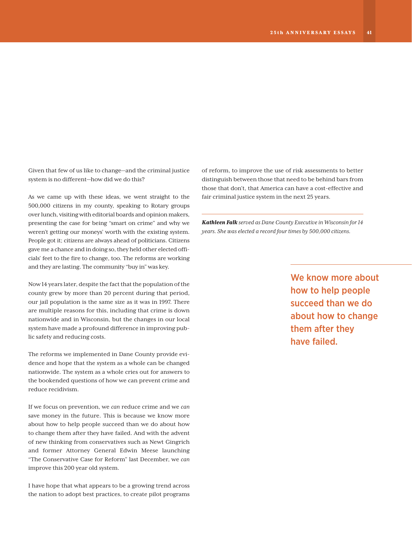Given that few of us like to change—and the criminal justice system is no different—how did we do this?

As we came up with these ideas, we went straight to the 500,000 citizens in my county, speaking to Rotary groups over lunch, visiting with editorial boards and opinion makers, presenting the case for being "smart on crime" and why we weren't getting our moneys' worth with the existing system. People got it; citizens are always ahead of politicians. Citizens gave me a chance and in doing so, they held other elected officials' feet to the fire to change, too. The reforms are working and they are lasting. The community "buy in" was key.

Now 14 years later, despite the fact that the population of the county grew by more than 20 percent during that period, our jail population is the same size as it was in 1997. There are multiple reasons for this, including that crime is down nationwide and in Wisconsin, but the changes in our local system have made a profound difference in improving public safety and reducing costs.

The reforms we implemented in Dane County provide evidence and hope that the system as a whole can be changed nationwide. The system as a whole cries out for answers to the bookended questions of how we can prevent crime and reduce recidivism.

If we focus on prevention, we *can* reduce crime and we *can* save money in the future. This is because we know more about how to help people succeed than we do about how to change them after they have failed. And with the advent of new thinking from conservatives such as Newt Gingrich and former Attorney General Edwin Meese launching "The Conservative Case for Reform" last December, we *can* improve this 200 year old system.

I have hope that what appears to be a growing trend across the nation to adopt best practices, to create pilot programs

of reform, to improve the use of risk assessments to better distinguish between those that need to be behind bars from those that don't, that America can have a cost-effective and fair criminal justice system in the next 25 years.

*Kathleen Falk served as Dane County Executive in Wisconsin for 14 years. She was elected a record four times by 500,000 citizens.* 

> We know more about how to help people succeed than we do about how to change them after they have failed.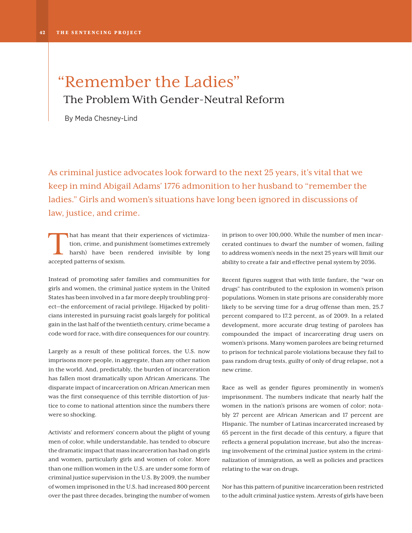# "Remember the Ladies" The Problem With Gender-Neutral Reform

By Meda Chesney-Lind

As criminal justice advocates look forward to the next 25 years, it's vital that we keep in mind Abigail Adams' 1776 admonition to her husband to "remember the ladies." Girls and women's situations have long been ignored in discussions of law, justice, and crime.

hat has meant that their experiences of victimiza-<br>tion, crime, and punishment (sometimes extremely<br>harsh) have been rendered invisible by long<br>assessed patterns of soviem tion, crime, and punishment (sometimes extremely harsh) have been rendered invisible by long accepted patterns of sexism.

Instead of promoting safer families and communities for girls and women, the criminal justice system in the United States has been involved in a far more deeply troubling project—the enforcement of racial privilege. Hijacked by politicians interested in pursuing racist goals largely for political gain in the last half of the twentieth century, crime became a code word for race, with dire consequences for our country.

Largely as a result of these political forces, the U.S. now imprisons more people, in aggregate, than any other nation in the world. And, predictably, the burden of incarceration has fallen most dramatically upon African Americans. The disparate impact of incarceration on African American men was the first consequence of this terrible distortion of justice to come to national attention since the numbers there were so shocking.

Activists' and reformers' concern about the plight of young men of color, while understandable, has tended to obscure the dramatic impact that mass incarceration has had on girls and women, particularly girls and women of color. More than one million women in the U.S. are under some form of criminal justice supervision in the U.S. By 2009, the number of women imprisoned in the U.S. had increased 800 percent over the past three decades, bringing the number of women

in prison to over 100,000. While the number of men incarcerated continues to dwarf the number of women, failing to address women's needs in the next 25 years will limit our ability to create a fair and effective penal system by 2036.

Recent figures suggest that with little fanfare, the "war on drugs" has contributed to the explosion in women's prison populations. Women in state prisons are considerably more likely to be serving time for a drug offense than men, 25.7 percent compared to 17.2 percent, as of 2009. In a related development, more accurate drug testing of parolees has compounded the impact of incarcerating drug users on women's prisons. Many women parolees are being returned to prison for technical parole violations because they fail to pass random drug tests, guilty of only of drug relapse, not a new crime.

Race as well as gender figures prominently in women's imprisonment. The numbers indicate that nearly half the women in the nation's prisons are women of color; notably 27 percent are African American and 17 percent are Hispanic. The number of Latinas incarcerated increased by 65 percent in the first decade of this century, a figure that reflects a general population increase, but also the increasing involvement of the criminal justice system in the criminalization of immigration, as well as policies and practices relating to the war on drugs.

Nor has this pattern of punitive incarceration been restricted to the adult criminal justice system. Arrests of girls have been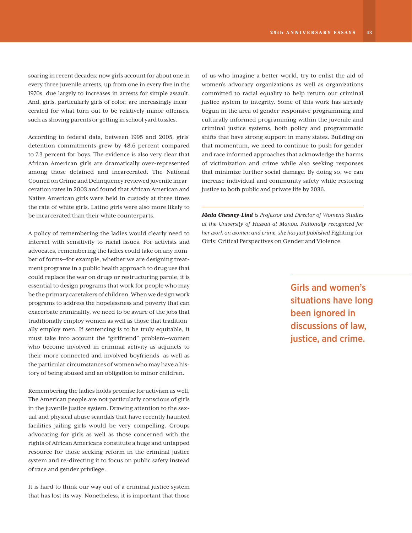soaring in recent decades; now girls account for about one in every three juvenile arrests, up from one in every five in the 1970s, due largely to increases in arrests for simple assault. And, girls, particularly girls of color, are increasingly incarcerated for what turn out to be relatively minor offenses, such as shoving parents or getting in school yard tussles.

According to federal data, between 1995 and 2005, girls' detention commitments grew by 48.6 percent compared to 7.3 percent for boys. The evidence is also very clear that African American girls are dramatically over-represented among those detained and incarcerated. The National Council on Crime and Delinquency reviewed juvenile incarceration rates in 2003 and found that African American and Native American girls were held in custody at three times the rate of white girls. Latino girls were also more likely to be incarcerated than their white counterparts.

A policy of remembering the ladies would clearly need to interact with sensitivity to racial issues. For activists and advocates, remembering the ladies could take on any number of forms—for example, whether we are designing treatment programs in a public health approach to drug use that could replace the war on drugs or restructuring parole, it is essential to design programs that work for people who may be the primary caretakers of children. When we design work programs to address the hopelessness and poverty that can exacerbate criminality, we need to be aware of the jobs that traditionally employ women as well as those that traditionally employ men. If sentencing is to be truly equitable, it must take into account the "girlfriend" problem—women who become involved in criminal activity as adjuncts to their more connected and involved boyfriends—as well as the particular circumstances of women who may have a history of being abused and an obligation to minor children.

Remembering the ladies holds promise for activism as well. The American people are not particularly conscious of girls in the juvenile justice system. Drawing attention to the sexual and physical abuse scandals that have recently haunted facilities jailing girls would be very compelling. Groups advocating for girls as well as those concerned with the rights of African Americans constitute a huge and untapped resource for those seeking reform in the criminal justice system and re-directing it to focus on public safety instead of race and gender privilege.

It is hard to think our way out of a criminal justice system that has lost its way. Nonetheless, it is important that those

of us who imagine a better world, try to enlist the aid of women's advocacy organizations as well as organizations committed to racial equality to help return our criminal justice system to integrity. Some of this work has already begun in the area of gender responsive programming and culturally informed programming within the juvenile and criminal justice systems, both policy and programmatic shifts that have strong support in many states. Building on that momentum, we need to continue to push for gender and race informed approaches that acknowledge the harms of victimization and crime while also seeking responses that minimize further social damage. By doing so, we can increase individual and community safety while restoring justice to both public and private life by 2036.

*Meda Chesney-Lind is Professor and Director of Women's Studies at the University of Hawaii at Manoa. Nationally recognized for her work on women and crime, she has just published* Fighting for Girls: Critical Perspectives on Gender and Violence*.*

> Girls and women's situations have long been ignored in discussions of law, justice, and crime.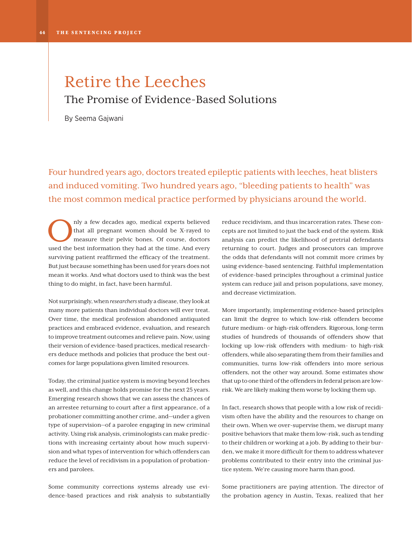### Retire the Leeches The Promise of Evidence-Based Solutions

By Seema Gajwani

Four hundred years ago, doctors treated epileptic patients with leeches, heat blisters and induced vomiting. Two hundred years ago, "bleeding patients to health" was the most common medical practice performed by physicians around the world.

nly a few decades ago, medical experts believed that all pregnant women should be X-rayed to measure their pelvic bones. Of course, doctors used the best information they had at the time. And every surviving patient reaffirmed the efficacy of the treatment. But just because something has been used for years does not mean it works. And what doctors used to think was the best thing to do might, in fact, have been harmful.

Not surprisingly, when *researchers* study a disease, they look at many more patients than individual doctors will ever treat. Over time, the medical profession abandoned antiquated practices and embraced evidence, evaluation, and research to improve treatment outcomes and relieve pain. Now, using their version of evidence-based practices, medical researchers deduce methods and policies that produce the best outcomes for large populations given limited resources.

Today, the criminal justice system is moving beyond leeches as well, and this change holds promise for the next 25 years. Emerging research shows that we can assess the chances of an arrestee returning to court after a first appearance, of a probationer committing another crime, and—under a given type of supervision—of a parolee engaging in new criminal activity. Using risk analysis, criminologists can make predictions with increasing certainty about how much supervision and what types of intervention for which offenders can reduce the level of recidivism in a population of probationers and parolees.

Some community corrections systems already use evidence-based practices and risk analysis to substantially

reduce recidivism, and thus incarceration rates. These concepts are not limited to just the back end of the system. Risk analysis can predict the likelihood of pretrial defendants returning to court. Judges and prosecutors can improve the odds that defendants will not commit more crimes by using evidence-based sentencing. Faithful implementation of evidence-based principles throughout a criminal justice system can reduce jail and prison populations, save money, and decrease victimization.

More importantly, implementing evidence-based principles can limit the degree to which low-risk offenders become future medium- or high-risk offenders. Rigorous, long-term studies of hundreds of thousands of offenders show that locking up low-risk offenders with medium- to high-risk offenders, while also separating them from their families and communities, turns low-risk offenders into more serious offenders, not the other way around. Some estimates show that up to one third of the offenders in federal prison are lowrisk. We are likely making them worse by locking them up.

In fact, research shows that people with a low risk of recidivism often have the ability and the resources to change on their own. When we over-supervise them, we disrupt many positive behaviors that make them low-risk, such as tending to their children or working at a job. By adding to their burden, we make it more difficult for them to address whatever problems contributed to their entry into the criminal justice system. We're causing more harm than good.

Some practitioners are paying attention. The director of the probation agency in Austin, Texas, realized that her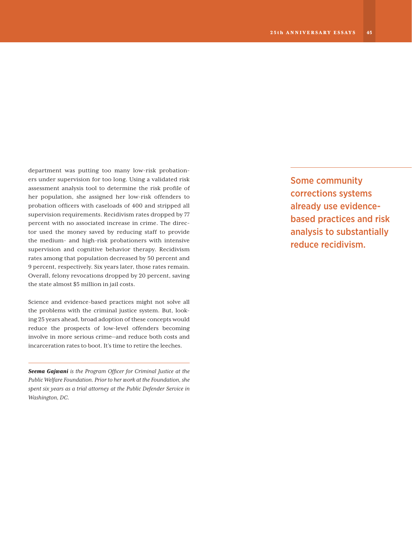department was putting too many low-risk probationers under supervision for too long. Using a validated risk assessment analysis tool to determine the risk profile of her population, she assigned her low-risk offenders to probation officers with caseloads of 400 and stripped all supervision requirements. Recidivism rates dropped by 77 percent with no associated increase in crime. The director used the money saved by reducing staff to provide the medium- and high-risk probationers with intensive supervision and cognitive behavior therapy. Recidivism rates among that population decreased by 50 percent and 9 percent, respectively. Six years later, those rates remain. Overall, felony revocations dropped by 20 percent, saving the state almost \$5 million in jail costs.

Science and evidence-based practices might not solve all the problems with the criminal justice system. But, looking 25 years ahead, broad adoption of these concepts would reduce the prospects of low-level offenders becoming involve in more serious crime—and reduce both costs and incarceration rates to boot. It's time to retire the leeches.

*Seema Gajwani is the Program Officer for Criminal Justice at the Public Welfare Foundation. Prior to her work at the Foundation, she spent six years as a trial attorney at the Public Defender Service in Washington, DC.* 

Some community corrections systems already use evidencebased practices and risk analysis to substantially reduce recidivism.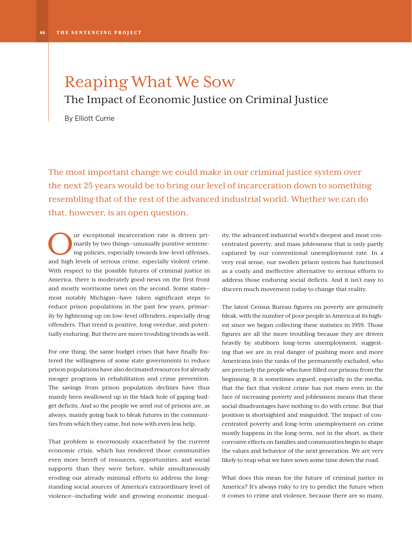### Reaping What We Sow The Impact of Economic Justice on Criminal Justice

By Elliott Currie

The most important change we could make in our criminal justice system over the next 25 years would be to bring our level of incarceration down to something resembling that of the rest of the advanced industrial world. Whether we can do that, however, is an open question.

Our exceptional incarceration rate is driven pri-<br>marily by two things—unusually punitive sentenc-<br>ing policies, especially towards low-level offenses, marily by two things—unusually punitive sentencing policies, especially towards low-level offenses, and high levels of serious crime, especially violent crime. With respect to the possible futures of criminal justice in America, there is moderately good news on the first front and mostly worrisome news on the second. Some states most notably Michigan—have taken significant steps to reduce prison populations in the past few years, primarily by lightening up on low-level offenders, especially drug offenders. That trend is positive, long overdue, and potentially enduring. But there are more troubling trends as well.

For one thing, the same budget crises that have finally fostered the willingness of some state governments to reduce prison populations have also decimated resources for already meager programs in rehabilitation and crime prevention. The savings from prison population declines have thus mainly been swallowed up in the black hole of gaping budget deficits. And so the people we send out of prisons are, as always, mainly going back to bleak futures in the communities from which they came, but now with even less help.

That problem is enormously exacerbated by the current economic crisis, which has rendered those communities even more bereft of resources, opportunities, and social supports than they were before, while simultaneously eroding our already minimal efforts to address the longstanding social sources of America's extraordinary level of violence—including wide and growing economic inequality, the advanced industrial world's deepest and most concentrated poverty, and mass joblessness that is only partly captured by our conventional unemployment rate. In a very real sense, our swollen prison system has functioned as a costly and ineffective alternative to serious efforts to address those enduring social deficits. And it isn't easy to discern much movement today to change that reality.

The latest Census Bureau figures on poverty are genuinely bleak, with the number of poor people in America at its highest since we began collecting these statistics in 1959. Those figures are all the more troubling because they are driven heavily by stubborn long-term unemployment, suggesting that we are in real danger of pushing more and more Americans into the ranks of the permanently excluded, who are precisely the people who have filled our prisons from the beginning. It is sometimes argued, especially in the media, that the fact that violent crime has not risen even in the face of increasing poverty and joblessness means that these social disadvantages have nothing to do with crime. But that position is shortsighted and misguided. The impact of concentrated poverty and long-term unemployment on crime mostly happens in the long-term, not in the short, as their corrosive effects on families and communities begin to shape the values and behavior of the next generation. We are very likely to reap what we have sown some time down the road.

What does this mean for the future of criminal justice in America? It's always risky to try to predict the future when it comes to crime and violence, because there are so many,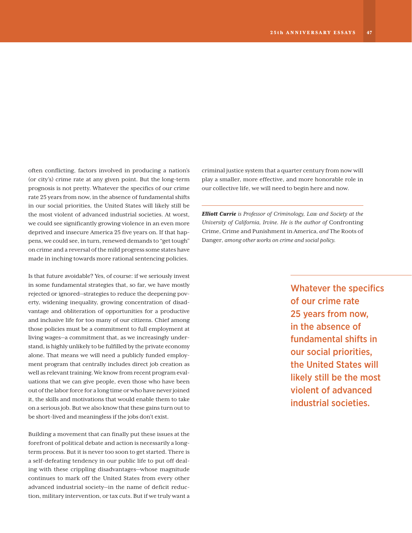often conflicting, factors involved in producing a nation's (or city's) crime rate at any given point. But the long-term prognosis is not pretty. Whatever the specifics of our crime rate 25 years from now, in the absence of fundamental shifts in our social priorities, the United States will likely still be the most violent of advanced industrial societies. At worst, we could see significantly growing violence in an even more deprived and insecure America 25 five years on. If that happens, we could see, in turn, renewed demands to "get tough" on crime and a reversal of the mild progress some states have made in inching towards more rational sentencing policies.

Is that future avoidable? Yes, of course: if we seriously invest in some fundamental strategies that, so far, we have mostly rejected or ignored—strategies to reduce the deepening poverty, widening inequality, growing concentration of disadvantage and obliteration of opportunities for a productive and inclusive life for too many of our citizens. Chief among those policies must be a commitment to full employment at living wages—a commitment that, as we increasingly understand, is highly unlikely to be fulfilled by the private economy alone. That means we will need a publicly funded employment program that centrally includes direct job creation as well as relevant training. We know from recent program evaluations that we can give people, even those who have been out of the labor force for a long time or who have never joined it, the skills and motivations that would enable them to take on a serious job. But we also know that these gains turn out to be short-lived and meaningless if the jobs don't exist.

Building a movement that can finally put these issues at the forefront of political debate and action is necessarily a longterm process. But it is never too soon to get started. There is a self-defeating tendency in our public life to put off dealing with these crippling disadvantages—whose magnitude continues to mark off the United States from every other advanced industrial society—in the name of deficit reduction, military intervention, or tax cuts. But if we truly want a criminal justice system that a quarter century from now will play a smaller, more effective, and more honorable role in our collective life, we will need to begin here and now.

*Elliott Currie is Professor of Criminology, Law and Society at the University of California, Irvine. He is the author of* Confronting Crime, Crime and Punishment in America*, and* The Roots of Danger*, among other works on crime and social policy.*

> Whatever the specifics of our crime rate 25 years from now, in the absence of fundamental shifts in our social priorities, the United States will likely still be the most violent of advanced industrial societies.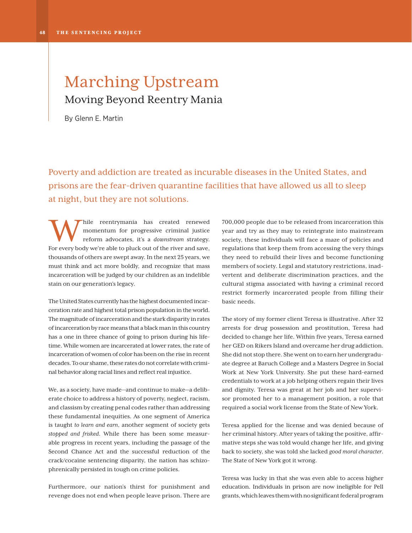# Marching Upstream Moving Beyond Reentry Mania

By Glenn E. Martin

Poverty and addiction are treated as incurable diseases in the United States, and prisons are the fear-driven quarantine facilities that have allowed us all to sleep at night, but they are not solutions.

hile reentrymania has created renewed momentum for progressive criminal justice reform advocates, it's a *downstream* strategy. For every body we're able to pluck out of the river and save, thousands of others are swept away. In the next 25 years, we must think and act more boldly, and recognize that mass incarceration will be judged by our children as an indelible stain on our generation's legacy.

The United States currently has the highest documented incarceration rate and highest total prison population in the world. The magnitude of incarceration and the stark disparity in rates of incarceration by race means that a black man in this country has a one in three chance of going to prison during his lifetime. While women are incarcerated at lower rates, the rate of incarceration of women of color has been on the rise in recent decades. To our shame, these rates do not correlate with criminal behavior along racial lines and reflect real injustice.

We, as a society, have made—and continue to make—a deliberate choice to address a history of poverty, neglect, racism, and classism by creating penal codes rather than addressing these fundamental inequities. As one segment of America is taught *to learn and earn*, another segment of society gets *stopped and frisked*. While there has been some measurable progress in recent years, including the passage of the Second Chance Act and the successful reduction of the crack/cocaine sentencing disparity, the nation has schizophrenically persisted in tough on crime policies.

Furthermore, our nation's thirst for punishment and revenge does not end when people leave prison. There are

700,000 people due to be released from incarceration this year and try as they may to reintegrate into mainstream society, these individuals will face a maze of policies and regulations that keep them from accessing the very things they need to rebuild their lives and become functioning members of society. Legal and statutory restrictions, inadvertent and deliberate discrimination practices, and the cultural stigma associated with having a criminal record restrict formerly incarcerated people from filling their basic needs.

The story of my former client Teresa is illustrative. After 32 arrests for drug possession and prostitution, Teresa had decided to change her life. Within five years, Teresa earned her GED on Rikers Island and overcame her drug addiction. She did not stop there. She went on to earn her undergraduate degree at Baruch College and a Masters Degree in Social Work at New York University. She put these hard-earned credentials to work at a job helping others regain their lives and dignity. Teresa was great at her job and her supervisor promoted her to a management position, a role that required a social work license from the State of New York.

Teresa applied for the license and was denied because of her criminal history. After years of taking the positive, affirmative steps she was told would change her life, and giving back to society, she was told she lacked *good moral character*. The State of New York got it wrong.

Teresa was lucky in that she was even able to access higher education. Individuals in prison are now ineligible for Pell grants, which leaves them with no significant federal program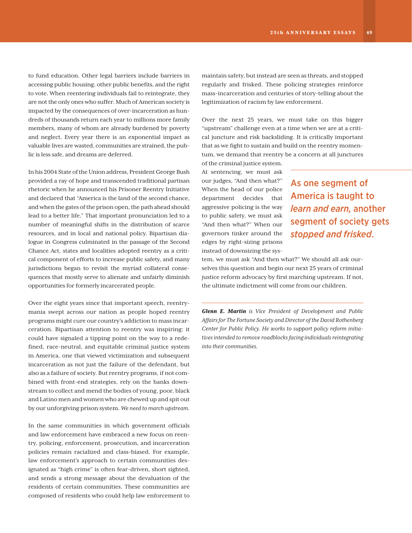to fund education. Other legal barriers include barriers in accessing public housing, other public benefits, and the right to vote. When reentering individuals fail to reintegrate, they are not the only ones who suffer. Much of American society is impacted by the consequences of over-incarceration as hundreds of thousands return each year to millions more family members, many of whom are already burdened by poverty and neglect. Every year there is an exponential impact as valuable lives are wasted, communities are strained, the public is less safe, and dreams are deferred.

In his 2004 State of the Union address, President George Bush provided a ray of hope and transcended traditional partisan rhetoric when he announced his Prisoner Reentry Initiative and declared that "America is the land of the second chance, and when the gates of the prison open, the path ahead should lead to a better life." That important pronunciation led to a number of meaningful shifts in the distribution of scarce resources, and in local and national policy. Bipartisan dialogue in Congress culminated in the passage of the Second Chance Act, states and localities adopted reentry as a critical component of efforts to increase public safety, and many jurisdictions began to revisit the myriad collateral consequences that mostly serve to alienate and unfairly diminish opportunities for formerly incarcerated people.

Over the eight years since that important speech, reentrymania swept across our nation as people hoped reentry programs might cure our country's addiction to mass incarceration. Bipartisan attention to reentry was inspiring; it could have signaled a tipping point on the way to a redefined, race-neutral, and equitable criminal justice system in America, one that viewed victimization and subsequent incarceration as not just the failure of the defendant, but also as a failure of society. But reentry programs, if not combined with front-end strategies, rely on the banks downstream to collect and mend the bodies of young, poor, black and Latino men and women who are chewed up and spit out by our unforgiving prison system. *We need to march upstream.*

In the same communities in which government officials and law enforcement have embraced a new focus on reentry, policing, enforcement, prosecution, and incarceration policies remain racialized and class-biased. For example, law enforcement's approach to certain communities designated as "high crime" is often fear-driven, short sighted, and sends a strong message about the devaluation of the residents of certain communities. These communities are composed of residents who could help law enforcement to

maintain safety, but instead are seen as threats, and stopped regularly and frisked. These policing strategies reinforce mass-incarceration and centuries of story-telling about the legitimization of racism by law enforcement.

Over the next 25 years, we must take on this bigger "upstream" challenge even at a time when we are at a critical juncture and risk backsliding. It is critically important that as we fight to sustain and build on the reentry momentum, we demand that reentry be a concern at all junctures

At sentencing, we must ask our judges, "And then what?" When the head of our police department decides that aggressive policing is the way to public safety, we must ask "And then what?" When our governors tinker around the edges by right-sizing prisons instead of downsizing the sys-

of the criminal justice system.

As one segment of America is taught to *learn and earn,* another segment of society gets *stopped and frisked*.

tem, we must ask "And then what?" We should all ask ourselves this question and begin our next 25 years of criminal justice reform advocacy by first marching upstream. If not, the ultimate indictment will come from our children.

*Glenn E. Martin is Vice President of Development and Public Affairs for The Fortune Society and Director of the David Rothenberg Center for Public Policy. He works to support policy reform initiatives intended to remove roadblocks facing individuals reintegrating into their communities.*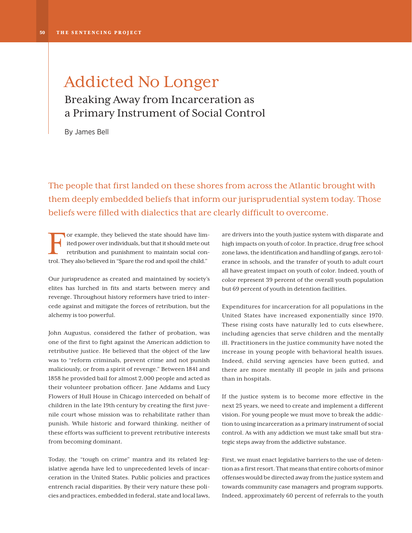# Addicted No Longer

### Breaking Away from Incarceration as a Primary Instrument of Social Control

By James Bell

The people that first landed on these shores from across the Atlantic brought with them deeply embedded beliefs that inform our jurisprudential system today. Those beliefs were filled with dialectics that are clearly difficult to overcome.

For example, they believed the state should have limited power over individuals, but that it should mete out retribution and punishment to maintain social control. They also believed in "Spans the red and spell the obild". ited power over individuals, but that it should mete out retribution and punishment to maintain social control. They also believed in "Spare the rod and spoil the child."

Our jurisprudence as created and maintained by society's elites has lurched in fits and starts between mercy and revenge. Throughout history reformers have tried to intercede against and mitigate the forces of retribution, but the alchemy is too powerful.

John Augustus, considered the father of probation, was one of the first to fight against the American addiction to retributive justice. He believed that the object of the law was to "reform criminals, prevent crime and not punish maliciously, or from a spirit of revenge." Between 1841 and 1858 he provided bail for almost 2,000 people and acted as their volunteer probation officer. Jane Addams and Lucy Flowers of Hull House in Chicago interceded on behalf of children in the late 19th century by creating the first juvenile court whose mission was to rehabilitate rather than punish. While historic and forward thinking, neither of these efforts was sufficient to prevent retributive interests from becoming dominant.

Today, the "tough on crime" mantra and its related legislative agenda have led to unprecedented levels of incarceration in the United States. Public policies and practices entrench racial disparities. By their very nature these policies and practices, embedded in federal, state and local laws,

are drivers into the youth justice system with disparate and high impacts on youth of color. In practice, drug free school zone laws, the identification and handling of gangs, zero tolerance in schools, and the transfer of youth to adult court all have greatest impact on youth of color. Indeed, youth of color represent 39 percent of the overall youth population but 69 percent of youth in detention facilities.

Expenditures for incarceration for all populations in the United States have increased exponentially since 1970. These rising costs have naturally led to cuts elsewhere, including agencies that serve children and the mentally ill. Practitioners in the justice community have noted the increase in young people with behavioral health issues. Indeed, child serving agencies have been gutted, and there are more mentally ill people in jails and prisons than in hospitals.

If the justice system is to become more effective in the next 25 years, we need to create and implement a different vision. For young people we must move to break the addiction to using incarceration as a primary instrument of social control. As with any addiction we must take small but strategic steps away from the addictive substance.

First, we must enact legislative barriers to the use of detention as a first resort. That means that entire cohorts of minor offenses would be directed away from the justice system and towards community case managers and program supports. Indeed, approximately 60 percent of referrals to the youth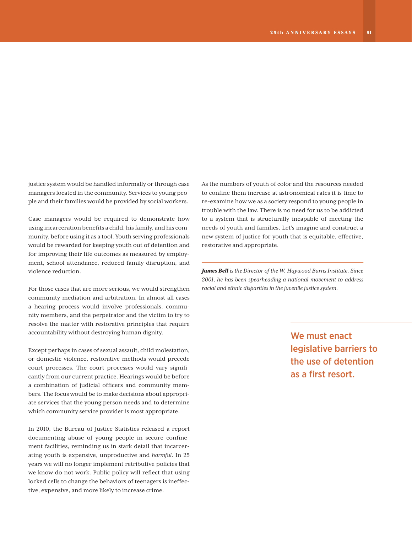justice system would be handled informally or through case managers located in the community. Services to young people and their families would be provided by social workers.

Case managers would be required to demonstrate how using incarceration benefits a child, his family, and his community, before using it as a tool. Youth serving professionals would be rewarded for keeping youth out of detention and for improving their life outcomes as measured by employment, school attendance, reduced family disruption, and violence reduction.

For those cases that are more serious, we would strengthen community mediation and arbitration. In almost all cases a hearing process would involve professionals, community members, and the perpetrator and the victim to try to resolve the matter with restorative principles that require accountability without destroying human dignity.

Except perhaps in cases of sexual assault, child molestation, or domestic violence, restorative methods would precede court processes. The court processes would vary significantly from our current practice. Hearings would be before a combination of judicial officers and community members. The focus would be to make decisions about appropriate services that the young person needs and to determine which community service provider is most appropriate.

In 2010, the Bureau of Justice Statistics released a report documenting abuse of young people in secure confinement facilities, reminding us in stark detail that incarcerating youth is expensive, unproductive and *harmful*. In 25 years we will no longer implement retributive policies that we know do not work. Public policy will reflect that using locked cells to change the behaviors of teenagers is ineffective, expensive, and more likely to increase crime.

As the numbers of youth of color and the resources needed to confine them increase at astronomical rates it is time to re-examine how we as a society respond to young people in trouble with the law. There is no need for us to be addicted to a system that is structurally incapable of meeting the needs of youth and families. Let's imagine and construct a new system of justice for youth that is equitable, effective, restorative and appropriate.

*James Bell is the Director of the W. Haywood Burns Institute. Since 2001, he has been spearheading a national movement to address racial and ethnic disparities in the juvenile justice system.*

> We must enact legislative barriers to the use of detention as a first resort.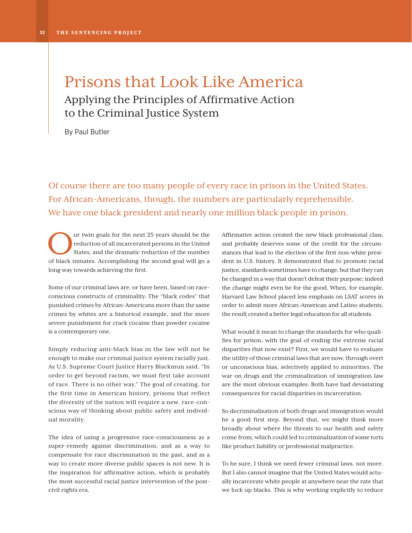### Prisons that Look Like America Applying the Principles of Affirmative Action to the Criminal Justice System

By Paul Butler

Of course there are too many people of every race in prison in the United States. For African-Americans, though, the numbers are particularly reprehensible. We have one black president and nearly one million black people in prison.

Our twin goals for the next 25 years should be the<br>reduction of all incarcerated persons in the United<br>States, and the dramatic reduction of the number<br>of black inmates. Accomplishing the second goal will go a reduction of all incarcerated persons in the United States, and the dramatic reduction of the number of black inmates. Accomplishing the second goal will go a long way towards achieving the first.

Some of our criminal laws are, or have been, based on raceconscious constructs of criminality. The "black codes" that punished crimes by African-Americans more than the same crimes by whites are a historical example, and the more severe punishment for crack cocaine than powder cocaine is a contemporary one.

Simply reducing anti-black bias in the law will not be enough to make our criminal justice system racially just. As U.S. Supreme Court Justice Harry Blackmun said, "In order to get beyond racism, we must first take account of race. There is no other way." The goal of creating, for the first time in American history, prisons that reflect the diversity of the nation will require a new, race-conscious way of thinking about public safety and individual morality.

The idea of using a progressive race-consciousness as a super-remedy against discrimination, and as a way to compensate for race discrimination in the past, and as a way to create more diverse public spaces is not new. It is the inspiration for affirmative action, which is probably the most successful racial justice intervention of the postcivil rights era.

Affirmative action created the new black professional class, and probably deserves some of the credit for the circumstances that lead to the election of the first non-white president in U.S. history. It demonstrated that to promote racial justice, standards sometimes have to change, but that they can be changed in a way that doesn't defeat their purpose; indeed the change might even be for the good. When, for example, Harvard Law School placed less emphasis on LSAT scores in order to admit more African-American and Latino students, the result created a better legal education for all students.

What would it mean to change the standards for who qualifies for prison, with the goal of ending the extreme racial disparities that now exist? First, we would have to evaluate the utility of those criminal laws that are now, through overt or unconscious bias, selectively applied to minorities. The war on drugs and the criminalization of immigration law are the most obvious examples. Both have had devastating consequences for racial disparities in incarceration.

So decriminalization of both drugs and immigration would be a good first step. Beyond that, we might think more broadly about where the threats to our health and safety come from, which could led to criminalization of some torts like product liability or professional malpractice.

To be sure, I think we need fewer criminal laws, not more. But I also cannot imagine that the United States would actually incarcerate white people at anywhere near the rate that we lock up blacks. This is why working explicitly to reduce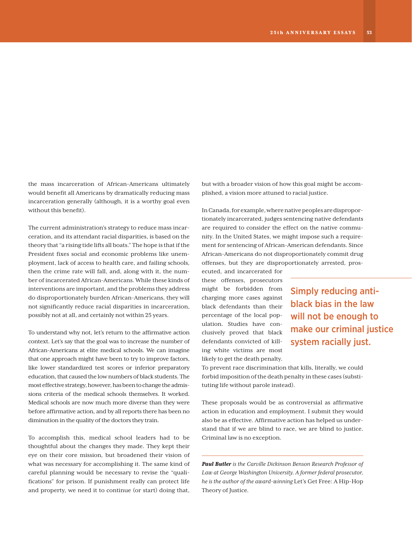the mass incarceration of African-Americans ultimately would benefit all Americans by dramatically reducing mass incarceration generally (although, it is a worthy goal even without this benefit).

The current administration's strategy to reduce mass incarceration, and its attendant racial disparities, is based on the theory that "a rising tide lifts all boats." The hope is that if the President fixes social and economic problems like unemployment, lack of access to health care, and failing schools, then the crime rate will fall, and, along with it, the number of incarcerated African-Americans. While these kinds of interventions are important, and the problems they address do disproportionately burden African-Americans, they will not significantly reduce racial disparities in incarceration, possibly not at all, and certainly not within 25 years.

To understand why not, let's return to the affirmative action context. Let's say that the goal was to increase the number of African-Americans at elite medical schools. We can imagine that one approach might have been to try to improve factors, like lower standardized test scores or inferior preparatory education, that caused the low numbers of black students. The most effective strategy, however, has been to change the admissions criteria of the medical schools themselves. It worked. Medical schools are now much more diverse than they were before affirmative action, and by all reports there has been no diminution in the quality of the doctors they train.

To accomplish this, medical school leaders had to be thoughtful about the changes they made. They kept their eye on their core mission, but broadened their vision of what was necessary for accomplishing it. The same kind of careful planning would be necessary to revise the "qualifications" for prison. If punishment really can protect life and property, we need it to continue (or start) doing that,

but with a broader vision of how this goal might be accomplished, a vision more attuned to racial justice.

In Canada, for example, where native peoples are disproportionately incarcerated, judges sentencing native defendants are required to consider the effect on the native community. In the United States, we might impose such a requirement for sentencing of African-American defendants. Since African-Americans do not disproportionately commit drug offenses, but they are disproportionately arrested, pros-

ecuted, and incarcerated for these offenses, prosecutors might be forbidden from charging more cases against black defendants than their percentage of the local population. Studies have conclusively proved that black defendants convicted of killing white victims are most likely to get the death penalty.

Simply reducing antiblack bias in the law will not be enough to make our criminal justice system racially just.

To prevent race discrimination that kills, literally, we could forbid imposition of the death penalty in these cases (substituting life without parole instead).

These proposals would be as controversial as affirmative action in education and employment. I submit they would also be as effective. Affirmative action has helped us understand that if we are blind to race, we are blind to justice. Criminal law is no exception.

*Paul Butler is the Carville Dickinson Benson Research Professor of Law at George Washington University. A former federal prosecutor, he is the author of the award-winning* Let's Get Free: A Hip-Hop Theory of Justice*.*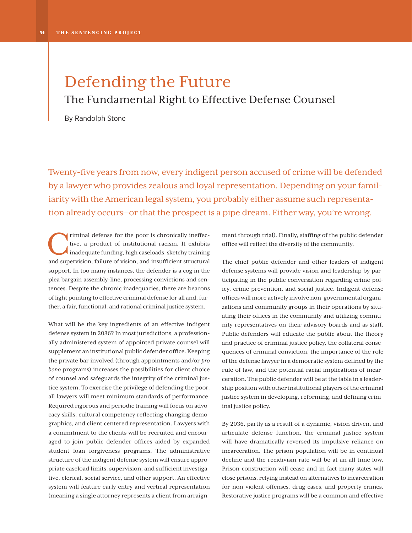### Defending the Future The Fundamental Right to Effective Defense Counsel

By Randolph Stone

Twenty-five years from now, every indigent person accused of crime will be defended by a lawyer who provides zealous and loyal representation. Depending on your familiarity with the American legal system, you probably either assume such representation already occurs—or that the prospect is a pipe dream. Either way, you're wrong.

Timinal defense for the poor is chronically ineffec-<br>tive, a product of institutional racism. It exhibits<br>inadequate funding, high caseloads, sketchy training<br>and supervision follows of vision, and insufficient structural tive, a product of institutional racism. It exhibits inadequate funding, high caseloads, sketchy training and supervision, failure of vision, and insufficient structural support. In too many instances, the defender is a cog in the plea bargain assembly-line, processing convictions and sentences. Despite the chronic inadequacies, there are beacons of light pointing to effective criminal defense for all and, further, a fair, functional, and rational criminal justice system.

What will be the key ingredients of an effective indigent defense system in 2036? In most jurisdictions, a professionally administered system of appointed private counsel will supplement an institutional public defender office. Keeping the private bar involved (through appointments and/or *pro bono* programs) increases the possibilities for client choice of counsel and safeguards the integrity of the criminal justice system. To exercise the privilege of defending the poor, all lawyers will meet minimum standards of performance. Required rigorous and periodic training will focus on advocacy skills, cultural competency reflecting changing demographics, and client centered representation. Lawyers with a commitment to the clients will be recruited and encouraged to join public defender offices aided by expanded student loan forgiveness programs. The administrative structure of the indigent defense system will ensure appropriate caseload limits, supervision, and sufficient investigative, clerical, social service, and other support. An effective system will feature early entry and vertical representation (meaning a single attorney represents a client from arraignment through trial). Finally, staffing of the public defender office will reflect the diversity of the community.

The chief public defender and other leaders of indigent defense systems will provide vision and leadership by participating in the public conversation regarding crime policy, crime prevention, and social justice. Indigent defense offices will more actively involve non-governmental organizations and community groups in their operations by situating their offices in the community and utilizing community representatives on their advisory boards and as staff. Public defenders will educate the public about the theory and practice of criminal justice policy, the collateral consequences of criminal conviction, the importance of the role of the defense lawyer in a democratic system defined by the rule of law, and the potential racial implications of incarceration. The public defender will be at the table in a leadership position with other institutional players of the criminal justice system in developing, reforming, and defining criminal justice policy.

By 2036, partly as a result of a dynamic, vision driven, and articulate defense function, the criminal justice system will have dramatically reversed its impulsive reliance on incarceration. The prison population will be in continual decline and the recidivism rate will be at an all time low. Prison construction will cease and in fact many states will close prisons, relying instead on alternatives to incarceration for non-violent offenses, drug cases, and property crimes. Restorative justice programs will be a common and effective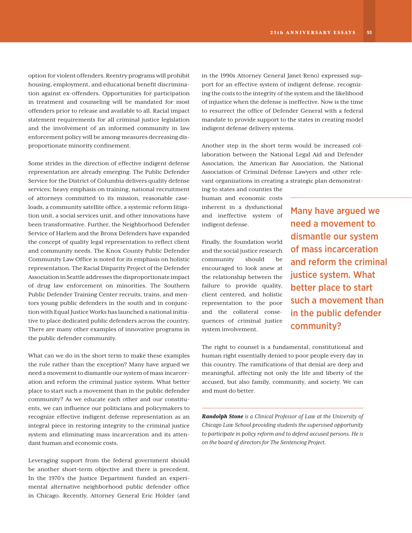option for violent offenders. Reentry programs will prohibit housing, employment, and educational benefit discrimination against ex-offenders. Opportunities for participation in treatment and counseling will be mandated for most offenders prior to release and available to all. Racial impact statement requirements for all criminal justice legislation and the involvement of an informed community in law enforcement policy will be among measures decreasing disproportionate minority confinement.

Some strides in the direction of effective indigent defense representation are already emerging. The Public Defender Service for the District of Columbia delivers quality defense services; heavy emphasis on training, national recruitment of attorneys committed to its mission, reasonable caseloads, a community satellite office, a systemic reform litigation unit, a social services unit, and other innovations have been transformative. Further, the Neighborhood Defender Service of Harlem and the Bronx Defenders have expanded the concept of quality legal representation to reflect client and community needs. The Knox County Public Defender Community Law Office is noted for its emphasis on holistic representation. The Racial Disparity Project of the Defender Association in Seattle addresses the disproportionate impact of drug law enforcement on minorities. The Southern Public Defender Training Center recruits, trains, and mentors young public defenders in the south and in conjunction with Equal Justice Works has launched a national initiative to place dedicated public defenders across the country. There are many other examples of innovative programs in the public defender community.

What can we do in the short term to make these examples the rule rather than the exception? Many have argued we need a movement to dismantle our system of mass incarceration and reform the criminal justice system. What better place to start such a movement than in the public defender community? As we educate each other and our constituents, we can influence our politicians and policymakers to recognize effective indigent defense representation as an integral piece in restoring integrity to the criminal justice system and eliminating mass incarceration and its attendant human and economic costs.

Leveraging support from the federal government should be another short-term objective and there is precedent. In the 1970's the Justice Department funded an experimental alternative neighborhood public defender office in Chicago. Recently, Attorney General Eric Holder (and in the 1990s Attorney General Janet Reno) expressed support for an effective system of indigent defense, recognizing the costs to the integrity of the system and the likelihood of injustice when the defense is ineffective. Now is the time to resurrect the office of Defender General with a federal mandate to provide support to the states in creating model indigent defense delivery systems.

Another step in the short term would be increased collaboration between the National Legal Aid and Defender Association, the American Bar Association, the National Association of Criminal Defense Lawyers and other relevant organizations in creating a strategic plan demonstrat-

ing to states and counties the human and economic costs inherent in a dysfunctional and ineffective system of indigent defense.

Finally, the foundation world and the social justice research community should be encouraged to look anew at the relationship between the failure to provide quality, client centered, and holistic representation to the poor and the collateral consequences of criminal justice system involvement.

Many have argued we need a movement to dismantle our system of mass incarceration and reform the criminal justice system. What better place to start such a movement than in the public defender community?

The right to counsel is a fundamental, constitutional and human right essentially denied to poor people every day in this country. The ramifications of that denial are deep and meaningful, affecting not only the life and liberty of the accused, but also family, community, and society. We can and must do better.

*Randolph Stone is a Clinical Professor of Law at the University of Chicago Law School providing students the supervised opportunity to participate in policy reform and to defend accused persons. He is on the board of directors for The Sentencing Project.*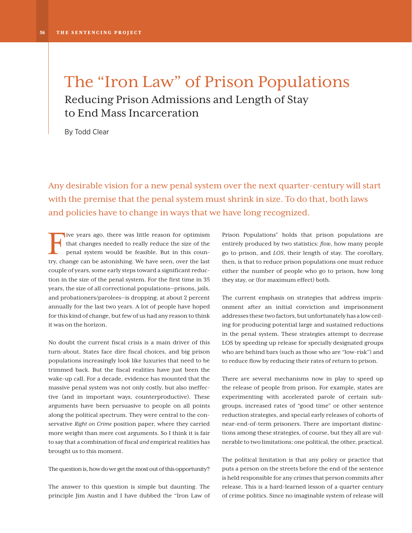### The "Iron Law" of Prison Populations Reducing Prison Admissions and Length of Stay to End Mass Incarceration

By Todd Clear

Any desirable vision for a new penal system over the next quarter-century will start with the premise that the penal system must shrink in size. To do that, both laws and policies have to change in ways that we have long recognized.

Five years ago, there was little reason for optimism<br>that changes needed to really reduce the size of the<br>penal system would be feasible. But in this coun-<br>try change can be actorishing We have seen, over the last that changes needed to really reduce the size of the penal system would be feasible. But in this country, change can be astonishing. We have seen, over the last couple of years, some early steps toward a significant reduction in the size of the penal system. For the first time in 35 years, the size of all correctional populations—prisons, jails, and probationers/parolees—is dropping, at about 2 percent annually for the last two years. A lot of people have hoped for this kind of change, but few of us had any reason to think it was on the horizon.

No doubt the current fiscal crisis is a main driver of this turn-about. States face dire fiscal choices, and big prison populations increasingly look like luxuries that need to be trimmed back. But the fiscal realities have just been the wake-up call. For a decade, evidence has mounted that the massive penal system was not only costly, but also ineffective (and in important ways, counterproductive). These arguments have been persuasive to people on all points along the political spectrum. They were central to the conservative *Right on Crime* position paper, where they carried more weight than mere cost arguments. So I think it is fair to say that a combination of fiscal *and* empirical realities has brought us to this moment.

The question is, how do we get the most out of this opportunity?

The answer to this question is simple but daunting. The principle Jim Austin and I have dubbed the "Iron Law of Prison Populations" holds that prison populations are entirely produced by two statistics: *flow*, how many people go to prison, and *LOS*, their length of stay. The corollary, then, is that to reduce prison populations one must reduce either the number of people who go to prison, how long they stay, or (for maximum effect) both.

The current emphasis on strategies that address imprisonment after an initial conviction and imprisonment addresses these two factors, but unfortunately has a low ceiling for producing potential large and sustained reductions in the penal system. These strategies attempt to decrease LOS by speeding up release for specially designated groups who are behind bars (such as those who are "low-risk") and to reduce flow by reducing their rates of return to prison.

There are several mechanisms now in play to speed up the release of people from prison. For example, states are experimenting with accelerated parole of certain subgroups, increased rates of "good time" or other sentence reduction strategies, and special early releases of cohorts of near-end-of-term prisoners. There are important distinctions among these strategies, of course, but they all are vulnerable to two limitations; one political, the other, practical.

The political limitation is that any policy or practice that puts a person on the streets before the end of the sentence is held responsible for any crimes that person commits after release. This is a hard-learned lesson of a quarter century of crime politics. Since no imaginable system of release will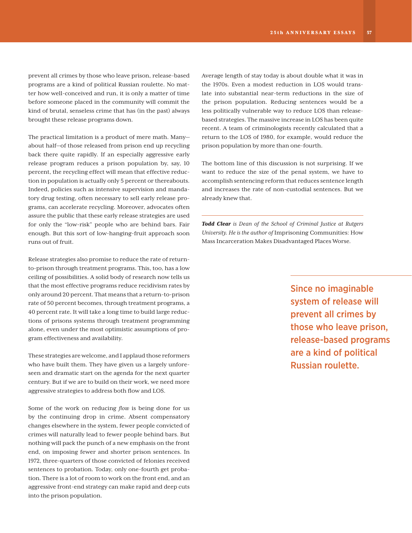prevent all crimes by those who leave prison, release-based programs are a kind of political Russian roulette. No matter how well-conceived and run, it is only a matter of time before someone placed in the community will commit the kind of brutal, senseless crime that has (in the past) always brought these release programs down.

The practical limitation is a product of mere math. Many about half—of those released from prison end up recycling back there quite rapidly. If an especially aggressive early release program reduces a prison population by, say, 10 percent, the recycling effect will mean that effective reduction in population is actually only 5 percent or thereabouts. Indeed, policies such as intensive supervision and mandatory drug testing, often necessary to sell early release programs, can accelerate recycling. Moreover, advocates often assure the public that these early release strategies are used for only the "low-risk" people who are behind bars. Fair enough. But this sort of low-hanging-fruit approach soon runs out of fruit.

Release strategies also promise to reduce the rate of returnto-prison through treatment programs. This, too, has a low ceiling of possibilities. A solid body of research now tells us that the most effective programs reduce recidivism rates by only around 20 percent. That means that a return-to-prison rate of 50 percent becomes, through treatment programs, a 40 percent rate. It will take a long time to build large reductions of prisons systems through treatment programming alone, even under the most optimistic assumptions of program effectiveness and availability.

These strategies are welcome, and I applaud those reformers who have built them. They have given us a largely unforeseen and dramatic start on the agenda for the next quarter century. But if we are to build on their work, we need more aggressive strategies to address both flow and LOS.

Some of the work on reducing *flow* is being done for us by the continuing drop in crime. Absent compensatory changes elsewhere in the system, fewer people convicted of crimes will naturally lead to fewer people behind bars. But nothing will pack the punch of a new emphasis on the front end, on imposing fewer and shorter prison sentences. In 1972, three-quarters of those convicted of felonies received sentences to probation. Today, only one-fourth get probation. There is a lot of room to work on the front end, and an aggressive front-end strategy can make rapid and deep cuts into the prison population.

Average length of stay today is about double what it was in the 1970s. Even a modest reduction in LOS would translate into substantial near-term reductions in the size of the prison population. Reducing sentences would be a less politically vulnerable way to reduce LOS than releasebased strategies. The massive increase in LOS has been quite recent. A team of criminologists recently calculated that a return to the LOS of 1980, for example, would reduce the prison population by more than one-fourth.

The bottom line of this discussion is not surprising. If we want to reduce the size of the penal system, we have to accomplish sentencing reform that reduces sentence length and increases the rate of non-custodial sentences. But we already knew that.

*Todd Clear is Dean of the School of Criminal Justice at Rutgers University. He is the author of* Imprisoning Communities: How Mass Incarceration Makes Disadvantaged Places Worse*.*

> Since no imaginable system of release will prevent all crimes by those who leave prison, release-based programs are a kind of political Russian roulette.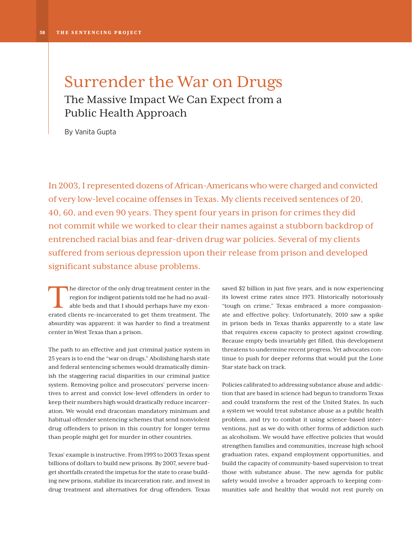### Surrender the War on Drugs The Massive Impact We Can Expect from a Public Health Approach

By Vanita Gupta

In 2003, I represented dozens of African-Americans who were charged and convicted of very low-level cocaine offenses in Texas. My clients received sentences of 20, 40, 60, and even 90 years. They spent four years in prison for crimes they did not commit while we worked to clear their names against a stubborn backdrop of entrenched racial bias and fear-driven drug war policies. Several of my clients suffered from serious depression upon their release from prison and developed significant substance abuse problems.

The director of the only drug treatment center in the region for indigent patients told me he had no available beds and that I should perhaps have my exonerated clients re-incarcerated to get them treatment. The absurdity was apparent: it was harder to find a treatment center in West Texas than a prison.

The path to an effective and just criminal justice system in 25 years is to end the "war on drugs." Abolishing harsh state and federal sentencing schemes would dramatically diminish the staggering racial disparities in our criminal justice system. Removing police and prosecutors' perverse incentives to arrest and convict low-level offenders in order to keep their numbers high would drastically reduce incarceration. We would end draconian mandatory minimum and habitual offender sentencing schemes that send nonviolent drug offenders to prison in this country for longer terms than people might get for murder in other countries.

Texas' example is instructive. From 1993 to 2003 Texas spent billions of dollars to build new prisons. By 2007, severe budget shortfalls created the impetus for the state to cease building new prisons, stabilize its incarceration rate, and invest in drug treatment and alternatives for drug offenders. Texas saved \$2 billion in just five years, and is now experiencing its lowest crime rates since 1973. Historically notoriously "tough on crime," Texas embraced a more compassionate and effective policy. Unfortunately, 2010 saw a spike in prison beds in Texas thanks apparently to a state law that requires excess capacity to protect against crowding. Because empty beds invariably get filled, this development threatens to undermine recent progress. Yet advocates continue to push for deeper reforms that would put the Lone Star state back on track.

Policies calibrated to addressing substance abuse and addiction that are based in science had begun to transform Texas and could transform the rest of the United States. In such a system we would treat substance abuse as a public health problem, and try to combat it using science-based interventions, just as we do with other forms of addiction such as alcoholism. We would have effective policies that would strengthen families and communities, increase high school graduation rates, expand employment opportunities, and build the capacity of community-based supervision to treat those with substance abuse. The new agenda for public safety would involve a broader approach to keeping communities safe and healthy that would not rest purely on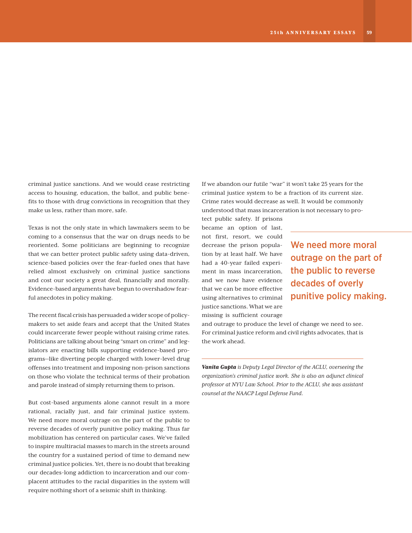criminal justice sanctions. And we would cease restricting access to housing, education, the ballot, and public benefits to those with drug convictions in recognition that they make us less, rather than more, safe.

Texas is not the only state in which lawmakers seem to be coming to a consensus that the war on drugs needs to be reoriented. Some politicians are beginning to recognize that we can better protect public safety using data-driven, science-based policies over the fear-fueled ones that have relied almost exclusively on criminal justice sanctions and cost our society a great deal, financially and morally. Evidence-based arguments have begun to overshadow fearful anecdotes in policy making.

The recent fiscal crisis has persuaded a wider scope of policymakers to set aside fears and accept that the United States could incarcerate fewer people without raising crime rates. Politicians are talking about being "smart on crime" and legislators are enacting bills supporting evidence-based programs—like diverting people charged with lower-level drug offenses into treatment and imposing non-prison sanctions on those who violate the technical terms of their probation and parole instead of simply returning them to prison.

But cost-based arguments alone cannot result in a more rational, racially just, and fair criminal justice system. We need more moral outrage on the part of the public to reverse decades of overly punitive policy making. Thus far mobilization has centered on particular cases. We've failed to inspire multiracial masses to march in the streets around the country for a sustained period of time to demand new criminal justice policies. Yet, there is no doubt that breaking our decades-long addiction to incarceration and our complacent attitudes to the racial disparities in the system will require nothing short of a seismic shift in thinking.

If we abandon our futile "war" it won't take 25 years for the criminal justice system to be a fraction of its current size. Crime rates would decrease as well. It would be commonly understood that mass incarceration is not necessary to pro-

tect public safety. If prisons

became an option of last, not first, resort, we could decrease the prison population by at least half. We have had a 40-year failed experiment in mass incarceration, and we now have evidence that we can be more effective using alternatives to criminal justice sanctions. What we are missing is sufficient courage

We need more moral outrage on the part of the public to reverse decades of overly punitive policy making.

and outrage to produce the level of change we need to see. For criminal justice reform and civil rights advocates, that is the work ahead.

*Vanita Gupta is Deputy Legal Director of the ACLU, overseeing the organization's criminal justice work. She is also an adjunct clinical professor at NYU Law School. Prior to the ACLU, she was assistant counsel at the NAACP Legal Defense Fund.*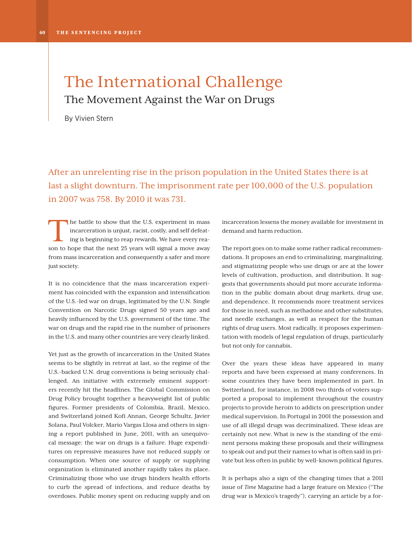### The International Challenge The Movement Against the War on Drugs

By Vivien Stern

After an unrelenting rise in the prison population in the United States there is at last a slight downturn. The imprisonment rate per 100,000 of the U.S. population in 2007 was 758. By 2010 it was 731.

The battle to show that the U.S. experiment in mass incarceration is unjust, racist, costly, and self defeating is beginning to reap rewards. We have every reason to hope that the next 25 years will signal a move away from mass incarceration and consequently a safer and more just society.

It is no coincidence that the mass incarceration experiment has coincided with the expansion and intensification of the U.S.-led war on drugs, legitimated by the U.N. Single Convention on Narcotic Drugs signed 50 years ago and heavily influenced by the U.S. government of the time. The war on drugs and the rapid rise in the number of prisoners in the U.S. and many other countries are very clearly linked.

Yet just as the growth of incarceration in the United States seems to be slightly in retreat at last, so the regime of the U.S.-backed U.N. drug conventions is being seriously challenged. An initiative with extremely eminent supporters recently hit the headlines. The Global Commission on Drug Policy brought together a heavyweight list of public figures. Former presidents of Colombia, Brazil, Mexico, and Switzerland joined Kofi Annan, George Schultz, Javier Solana, Paul Volcker, Mario Vargas Llosa and others in signing a report published in June, 2011, with an unequivocal message: the war on drugs is a failure. Huge expenditures on repressive measures have not reduced supply or consumption. When one source of supply or supplying organization is eliminated another rapidly takes its place. Criminalizing those who use drugs hinders health efforts to curb the spread of infections, and reduce deaths by overdoses. Public money spent on reducing supply and on incarceration lessens the money available for investment in demand and harm reduction.

The report goes on to make some rather radical recommendations. It proposes an end to criminalizing, marginalizing, and stigmatizing people who use drugs or are at the lower levels of cultivation, production, and distribution. It suggests that governments should put more accurate information in the public domain about drug markets, drug use, and dependence. It recommends more treatment services for those in need, such as methadone and other substitutes, and needle exchanges, as well as respect for the human rights of drug users. Most radically, it proposes experimentation with models of legal regulation of drugs, particularly but not only for cannabis.

Over the years these ideas have appeared in many reports and have been expressed at many conferences. In some countries they have been implemented in part. In Switzerland, for instance, in 2008 two thirds of voters supported a proposal to implement throughout the country projects to provide heroin to addicts on prescription under medical supervision. In Portugal in 2001 the possession and use of all illegal drugs was decriminalized. These ideas are certainly not new. What is new is the standing of the eminent persons making these proposals and their willingness to speak out and put their names to what is often said in private but less often in public by well-known political figures.

It is perhaps also a sign of the changing times that a 2011 issue of *Time* Magazine had a large feature on Mexico ("The drug war is Mexico's tragedy"), carrying an article by a for-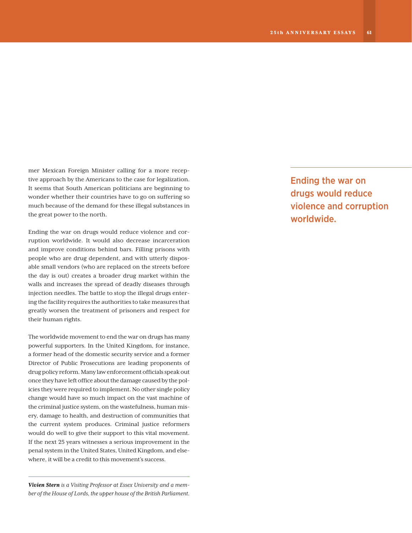mer Mexican Foreign Minister calling for a more receptive approach by the Americans to the case for legalization. It seems that South American politicians are beginning to wonder whether their countries have to go on suffering so much because of the demand for these illegal substances in the great power to the north.

Ending the war on drugs would reduce violence and corruption worldwide. It would also decrease incarceration and improve conditions behind bars. Filling prisons with people who are drug dependent, and with utterly disposable small vendors (who are replaced on the streets before the day is out) creates a broader drug market within the walls and increases the spread of deadly diseases through injection needles. The battle to stop the illegal drugs entering the facility requires the authorities to take measures that greatly worsen the treatment of prisoners and respect for their human rights.

The worldwide movement to end the war on drugs has many powerful supporters. In the United Kingdom, for instance, a former head of the domestic security service and a former Director of Public Prosecutions are leading proponents of drug policy reform. Many law enforcement officials speak out once they have left office about the damage caused by the policies they were required to implement. No other single policy change would have so much impact on the vast machine of the criminal justice system, on the wastefulness, human misery, damage to health, and destruction of communities that the current system produces. Criminal justice reformers would do well to give their support to this vital movement. If the next 25 years witnesses a serious improvement in the penal system in the United States, United Kingdom, and elsewhere, it will be a credit to this movement's success.

*Vivien Stern is a Visiting Professor at Essex University and a member of the House of Lords, the upper house of the British Parliament.* Ending the war on drugs would reduce violence and corruption worldwide.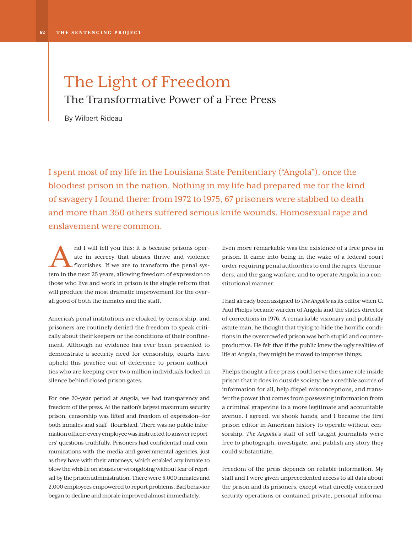### The Light of Freedom The Transformative Power of a Free Press

By Wilbert Rideau

I spent most of my life in the Louisiana State Penitentiary ("Angola"), once the bloodiest prison in the nation. Nothing in my life had prepared me for the kind of savagery I found there: from 1972 to 1975, 67 prisoners were stabbed to death and more than 350 others suffered serious knife wounds. Homosexual rape and enslavement were common.

nd I will tell you this: it is because prisons oper-<br>ate in secrecy that abuses thrive and violence<br>flourishes. If we are to transform the penal sys-<br>am in the peut  $25$  wears, allowing freedom of sympetion to ate in secrecy that abuses thrive and violence flourishes. If we are to transform the penal system in the next 25 years, allowing freedom of expression to those who live and work in prison is the single reform that will produce the most dramatic improvement for the overall good of both the inmates and the staff.

America's penal institutions are cloaked by censorship, and prisoners are routinely denied the freedom to speak critically about their keepers or the conditions of their confinement. Although no evidence has ever been presented to demonstrate a security need for censorship, courts have upheld this practice out of deference to prison authorities who are keeping over two million individuals locked in silence behind closed prison gates.

For one 20-year period at Angola, we had transparency and freedom of the press. At the nation's largest maximum security prison, censorship was lifted and freedom of expression—for both inmates and staff—flourished. There was no public information officer: every employee was instructed to answer reporters' questions truthfully. Prisoners had confidential mail communications with the media and governmental agencies, just as they have with their attorneys, which enabled any inmate to blow the whistle on abuses or wrongdoing without fear of reprisal by the prison administration. There were 5,000 inmates and 2,000 employees empowered to report problems. Bad behavior began to decline and morale improved almost immediately.

Even more remarkable was the existence of a free press in prison. It came into being in the wake of a federal court order requiring penal authorities to end the rapes, the murders, and the gang warfare, and to operate Angola in a constitutional manner.

I had already been assigned to *The Angolite* as its editor when C. Paul Phelps became warden of Angola and the state's director of corrections in 1976. A remarkable visionary and politically astute man, he thought that trying to hide the horrific conditions in the overcrowded prison was both stupid and counterproductive. He felt that if the public knew the ugly realities of life at Angola, they might be moved to improve things.

Phelps thought a free press could serve the same role inside prison that it does in outside society: be a credible source of information for all, help dispel misconceptions, and transfer the power that comes from possessing information from a criminal grapevine to a more legitimate and accountable avenue. I agreed, we shook hands, and I became the first prison editor in American history to operate without censorship. *The Angolite*'s staff of self-taught journalists were free to photograph, investigate, and publish any story they could substantiate.

Freedom of the press depends on reliable information. My staff and I were given unprecedented access to all data about the prison and its prisoners, except what directly concerned security operations or contained private, personal informa-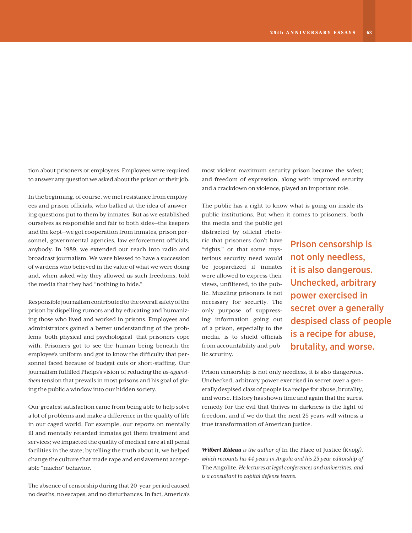tion about prisoners or employees. Employees were required to answer any question we asked about the prison or their job.

In the beginning, of course, we met resistance from employees and prison officials, who balked at the idea of answering questions put to them by inmates. But as we established ourselves as responsible and fair to both sides—the keepers and the kept—we got cooperation from inmates, prison personnel, governmental agencies, law enforcement officials, anybody. In 1989, we extended our reach into radio and broadcast journalism. We were blessed to have a succession of wardens who believed in the value of what we were doing and, when asked why they allowed us such freedoms, told the media that they had "nothing to hide."

Responsible journalism contributed to the overall safety of the prison by dispelling rumors and by educating and humanizing those who lived and worked in prisons. Employees and administrators gained a better understanding of the problems—both physical and psychological—that prisoners cope with. Prisoners got to see the human being beneath the employee's uniform and got to know the difficulty that personnel faced because of budget cuts or short-staffing. Our journalism fulfilled Phelps's vision of reducing the *us-againstthem* tension that prevails in most prisons and his goal of giving the public a window into our hidden society.

Our greatest satisfaction came from being able to help solve a lot of problems and make a difference in the quality of life in our caged world. For example, our reports on mentally ill and mentally retarded inmates got them treatment and services; we impacted the quality of medical care at all penal facilities in the state; by telling the truth about it, we helped change the culture that made rape and enslavement acceptable "macho" behavior.

The absence of censorship during that 20-year period caused no deaths, no escapes, and no disturbances. In fact, America's most violent maximum security prison became the safest; and freedom of expression, along with improved security and a crackdown on violence, played an important role.

The public has a right to know what is going on inside its public institutions, But when it comes to prisoners, both

the media and the public get distracted by official rhetoric that prisoners don't have "rights," or that some mysterious security need would be jeopardized if inmates were allowed to express their views, unfiltered, to the public. Muzzling prisoners is not necessary for security. The only purpose of suppressing information going out of a prison, especially to the media, is to shield officials from accountability and public scrutiny.

Prison censorship is not only needless, it is also dangerous. Unchecked, arbitrary power exercised in secret over a generally despised class of people is a recipe for abuse, brutality, and worse.

Prison censorship is not only needless, it is also dangerous. Unchecked, arbitrary power exercised in secret over a generally despised class of people is a recipe for abuse, brutality, and worse. History has shown time and again that the surest remedy for the evil that thrives in darkness is the light of freedom, and if we do that the next 25 years will witness a true transformation of American justice.

*Wilbert Rideau is the author of* In the Place of Justice *(Knopf), which recounts his 44 years in Angola and his 25 year editorship of*  The Angolite*. He lectures at legal conferences and universities, and is a consultant to capital defense teams.*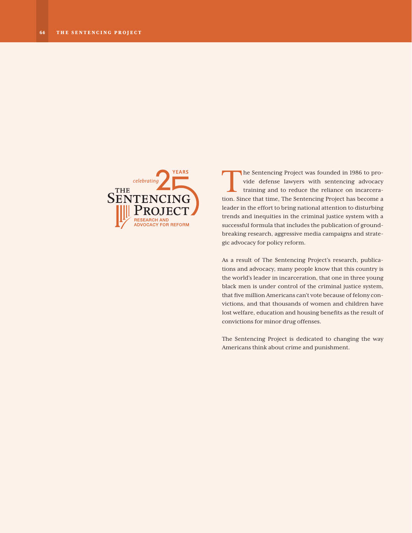

The Sentencing Project was founded in 1986 to provide defense lawyers with sentencing advocacy training and to reduce the reliance on incarceration. Since that time, The Sentencing Project has become a leader in the effort to bring national attention to disturbing trends and inequities in the criminal justice system with a successful formula that includes the publication of groundbreaking research, aggressive media campaigns and strategic advocacy for policy reform.

2

As a result of The Sentencing Project's research, publications and advocacy, many people know that this country is the world's leader in incarceration, that one in three young black men is under control of the criminal justice system, that five million Americans can't vote because of felony convictions, and that thousands of women and children have lost welfare, education and housing benefits as the result of convictions for minor drug offenses.

The Sentencing Project is dedicated to changing the way Americans think about crime and punishment.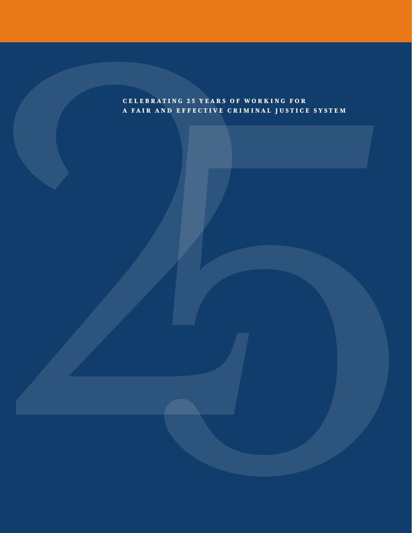# 25 CELEBRATING 25 YEARS OF WORKING FOR A FAIR AND EFFECTIVE CRIMINAL JUSTICE SYSTEM